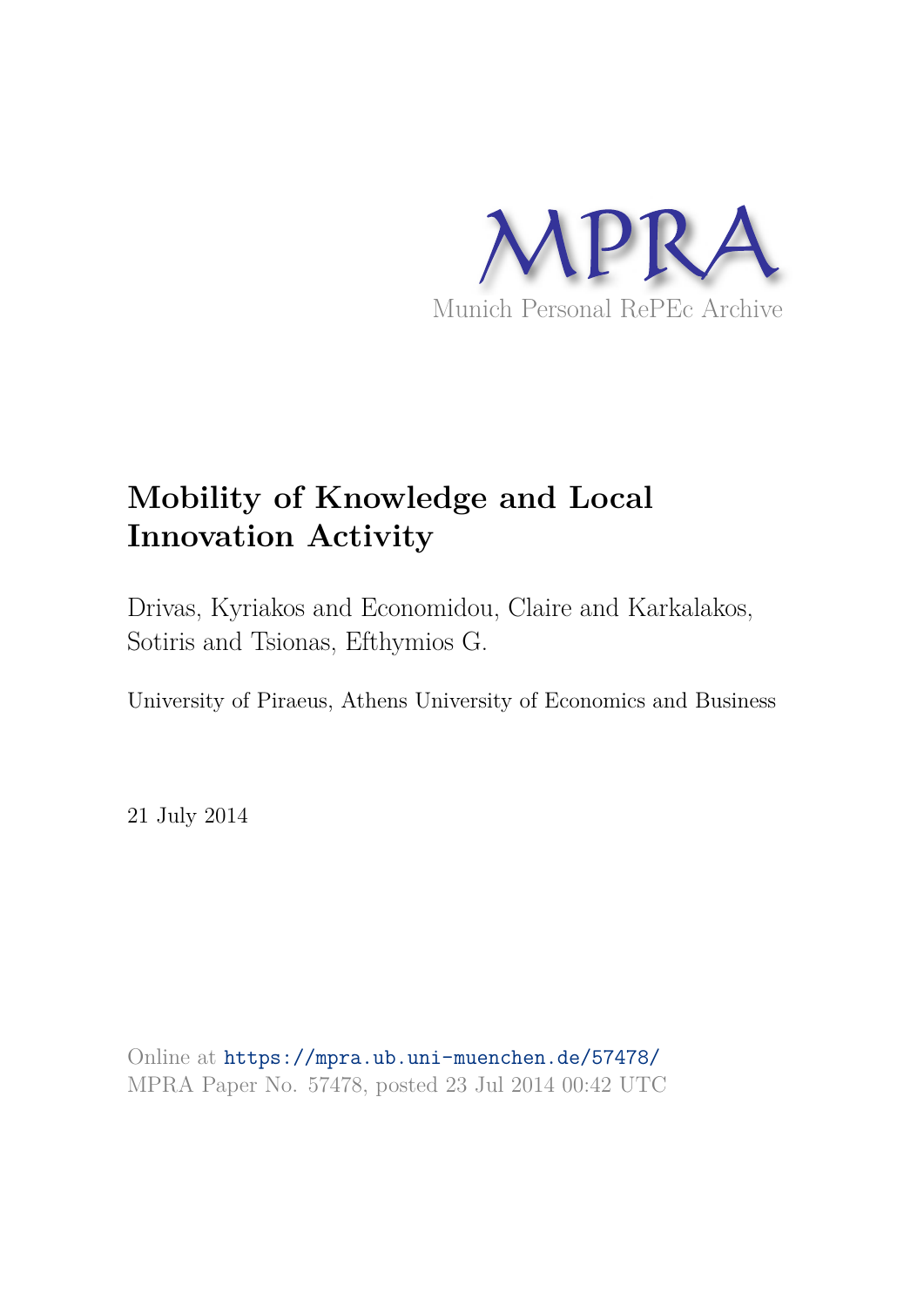

# **Mobility of Knowledge and Local Innovation Activity**

Drivas, Kyriakos and Economidou, Claire and Karkalakos, Sotiris and Tsionas, Efthymios G.

University of Piraeus, Athens University of Economics and Business

21 July 2014

Online at https://mpra.ub.uni-muenchen.de/57478/ MPRA Paper No. 57478, posted 23 Jul 2014 00:42 UTC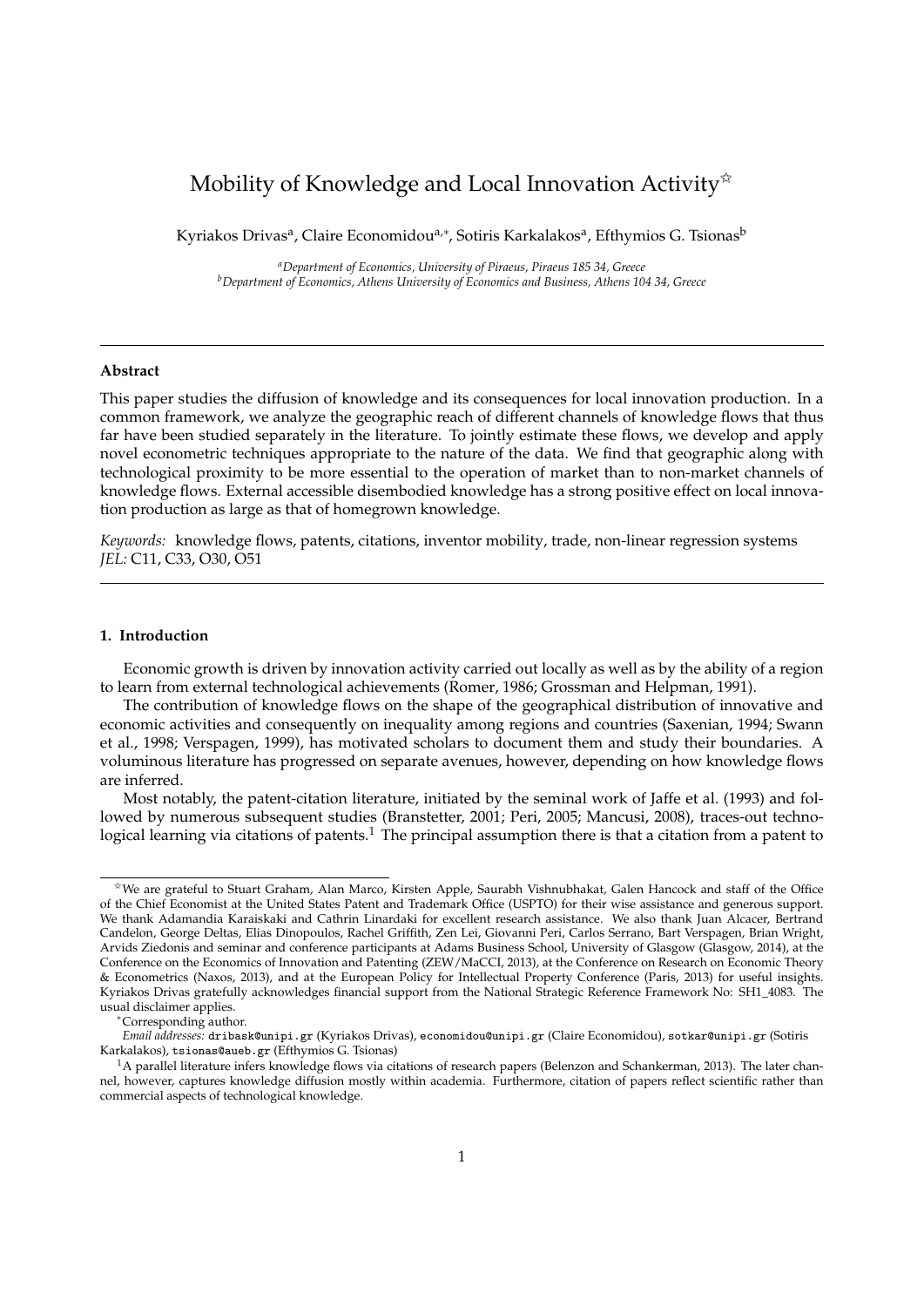# Mobility of Knowledge and Local Innovation Activity $\mathbb{X}$

Kyriakos Drivas<sup>a</sup>, Claire Economidou<sup>a,∗</sup>, Sotiris Karkalakos<sup>a</sup>, Efthymios G. Tsionas<sup>b</sup>

*<sup>a</sup>Department of Economics, University of Piraeus, Piraeus 185 34, Greece <sup>b</sup>Department of Economics, Athens University of Economics and Business, Athens 104 34, Greece*

#### **Abstract**

This paper studies the diffusion of knowledge and its consequences for local innovation production. In a common framework, we analyze the geographic reach of different channels of knowledge flows that thus far have been studied separately in the literature. To jointly estimate these flows, we develop and apply novel econometric techniques appropriate to the nature of the data. We find that geographic along with technological proximity to be more essential to the operation of market than to non-market channels of knowledge flows. External accessible disembodied knowledge has a strong positive effect on local innovation production as large as that of homegrown knowledge.

*Keywords:* knowledge flows, patents, citations, inventor mobility, trade, non-linear regression systems *JEL:* C11, C33, O30, O51

# **1. Introduction**

Economic growth is driven by innovation activity carried out locally as well as by the ability of a region to learn from external technological achievements (Romer, 1986; Grossman and Helpman, 1991).

The contribution of knowledge flows on the shape of the geographical distribution of innovative and economic activities and consequently on inequality among regions and countries (Saxenian, 1994; Swann et al., 1998; Verspagen, 1999), has motivated scholars to document them and study their boundaries. A voluminous literature has progressed on separate avenues, however, depending on how knowledge flows are inferred.

Most notably, the patent-citation literature, initiated by the seminal work of Jaffe et al. (1993) and followed by numerous subsequent studies (Branstetter, 2001; Peri, 2005; Mancusi, 2008), traces-out technological learning via citations of patents.<sup>1</sup> The principal assumption there is that a citation from a patent to

<sup>✩</sup>We are grateful to Stuart Graham, Alan Marco, Kirsten Apple, Saurabh Vishnubhakat, Galen Hancock and staff of the Office of the Chief Economist at the United States Patent and Trademark Office (USPTO) for their wise assistance and generous support. We thank Adamandia Karaiskaki and Cathrin Linardaki for excellent research assistance. We also thank Juan Alcacer, Bertrand Candelon, George Deltas, Elias Dinopoulos, Rachel Griffith, Zen Lei, Giovanni Peri, Carlos Serrano, Bart Verspagen, Brian Wright, Arvids Ziedonis and seminar and conference participants at Adams Business School, University of Glasgow (Glasgow, 2014), at the Conference on the Economics of Innovation and Patenting (ZEW/MaCCI, 2013), at the Conference on Research on Economic Theory & Econometrics (Naxos, 2013), and at the European Policy for Intellectual Property Conference (Paris, 2013) for useful insights. Kyriakos Drivas gratefully acknowledges financial support from the National Strategic Reference Framework No: SH1\_4083. The usual disclaimer applies.

<sup>∗</sup>Corresponding author.

*Email addresses:* dribask@unipi.gr (Kyriakos Drivas), economidou@unipi.gr (Claire Economidou), sotkar@unipi.gr (Sotiris Karkalakos), tsionas@aueb.gr (Efthymios G. Tsionas)

<sup>&</sup>lt;sup>1</sup>A parallel literature infers knowledge flows via citations of research papers (Belenzon and Schankerman, 2013). The later channel, however, captures knowledge diffusion mostly within academia. Furthermore, citation of papers reflect scientific rather than commercial aspects of technological knowledge.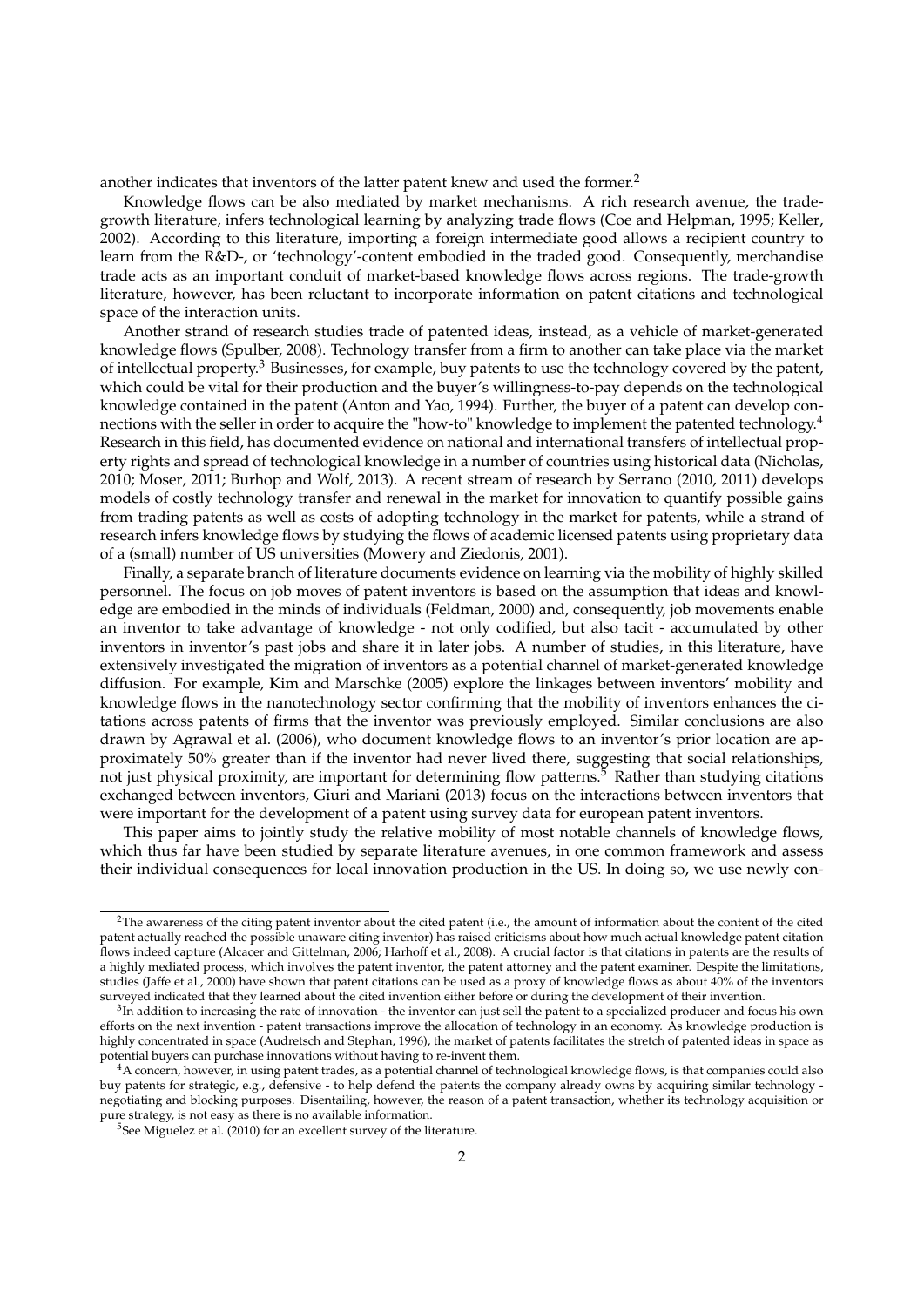another indicates that inventors of the latter patent knew and used the former.<sup>2</sup>

Knowledge flows can be also mediated by market mechanisms. A rich research avenue, the tradegrowth literature, infers technological learning by analyzing trade flows (Coe and Helpman, 1995; Keller, 2002). According to this literature, importing a foreign intermediate good allows a recipient country to learn from the R&D-, or 'technology'-content embodied in the traded good. Consequently, merchandise trade acts as an important conduit of market-based knowledge flows across regions. The trade-growth literature, however, has been reluctant to incorporate information on patent citations and technological space of the interaction units.

Another strand of research studies trade of patented ideas, instead, as a vehicle of market-generated knowledge flows (Spulber, 2008). Technology transfer from a firm to another can take place via the market of intellectual property.<sup>3</sup> Businesses, for example, buy patents to use the technology covered by the patent, which could be vital for their production and the buyer's willingness-to-pay depends on the technological knowledge contained in the patent (Anton and Yao, 1994). Further, the buyer of a patent can develop connections with the seller in order to acquire the "how-to" knowledge to implement the patented technology.<sup>4</sup> Research in this field, has documented evidence on national and international transfers of intellectual property rights and spread of technological knowledge in a number of countries using historical data (Nicholas, 2010; Moser, 2011; Burhop and Wolf, 2013). A recent stream of research by Serrano (2010, 2011) develops models of costly technology transfer and renewal in the market for innovation to quantify possible gains from trading patents as well as costs of adopting technology in the market for patents, while a strand of research infers knowledge flows by studying the flows of academic licensed patents using proprietary data of a (small) number of US universities (Mowery and Ziedonis, 2001).

Finally, a separate branch of literature documents evidence on learning via the mobility of highly skilled personnel. The focus on job moves of patent inventors is based on the assumption that ideas and knowledge are embodied in the minds of individuals (Feldman, 2000) and, consequently, job movements enable an inventor to take advantage of knowledge - not only codified, but also tacit - accumulated by other inventors in inventor's past jobs and share it in later jobs. A number of studies, in this literature, have extensively investigated the migration of inventors as a potential channel of market-generated knowledge diffusion. For example, Kim and Marschke (2005) explore the linkages between inventors' mobility and knowledge flows in the nanotechnology sector confirming that the mobility of inventors enhances the citations across patents of firms that the inventor was previously employed. Similar conclusions are also drawn by Agrawal et al. (2006), who document knowledge flows to an inventor's prior location are approximately 50% greater than if the inventor had never lived there, suggesting that social relationships, not just physical proximity, are important for determining flow patterns.<sup>5</sup> Rather than studying citations exchanged between inventors, Giuri and Mariani (2013) focus on the interactions between inventors that were important for the development of a patent using survey data for european patent inventors.

This paper aims to jointly study the relative mobility of most notable channels of knowledge flows, which thus far have been studied by separate literature avenues, in one common framework and assess their individual consequences for local innovation production in the US. In doing so, we use newly con-

 $2$ The awareness of the citing patent inventor about the cited patent (i.e., the amount of information about the content of the cited patent actually reached the possible unaware citing inventor) has raised criticisms about how much actual knowledge patent citation flows indeed capture (Alcacer and Gittelman, 2006; Harhoff et al., 2008). A crucial factor is that citations in patents are the results of a highly mediated process, which involves the patent inventor, the patent attorney and the patent examiner. Despite the limitations, studies (Jaffe et al., 2000) have shown that patent citations can be used as a proxy of knowledge flows as about 40% of the inventors surveyed indicated that they learned about the cited invention either before or during the development of their invention.

 ${}^{3}$ In addition to increasing the rate of innovation - the inventor can just sell the patent to a specialized producer and focus his own efforts on the next invention - patent transactions improve the allocation of technology in an economy. As knowledge production is highly concentrated in space (Audretsch and Stephan, 1996), the market of patents facilitates the stretch of patented ideas in space as potential buyers can purchase innovations without having to re-invent them.

 $^4$ A concern, however, in using patent trades, as a potential channel of technological knowledge flows, is that companies could also buy patents for strategic, e.g., defensive - to help defend the patents the company already owns by acquiring similar technology negotiating and blocking purposes. Disentailing, however, the reason of a patent transaction, whether its technology acquisition or pure strategy, is not easy as there is no available information.

<sup>&</sup>lt;sup>5</sup>See Miguelez et al. (2010) for an excellent survey of the literature.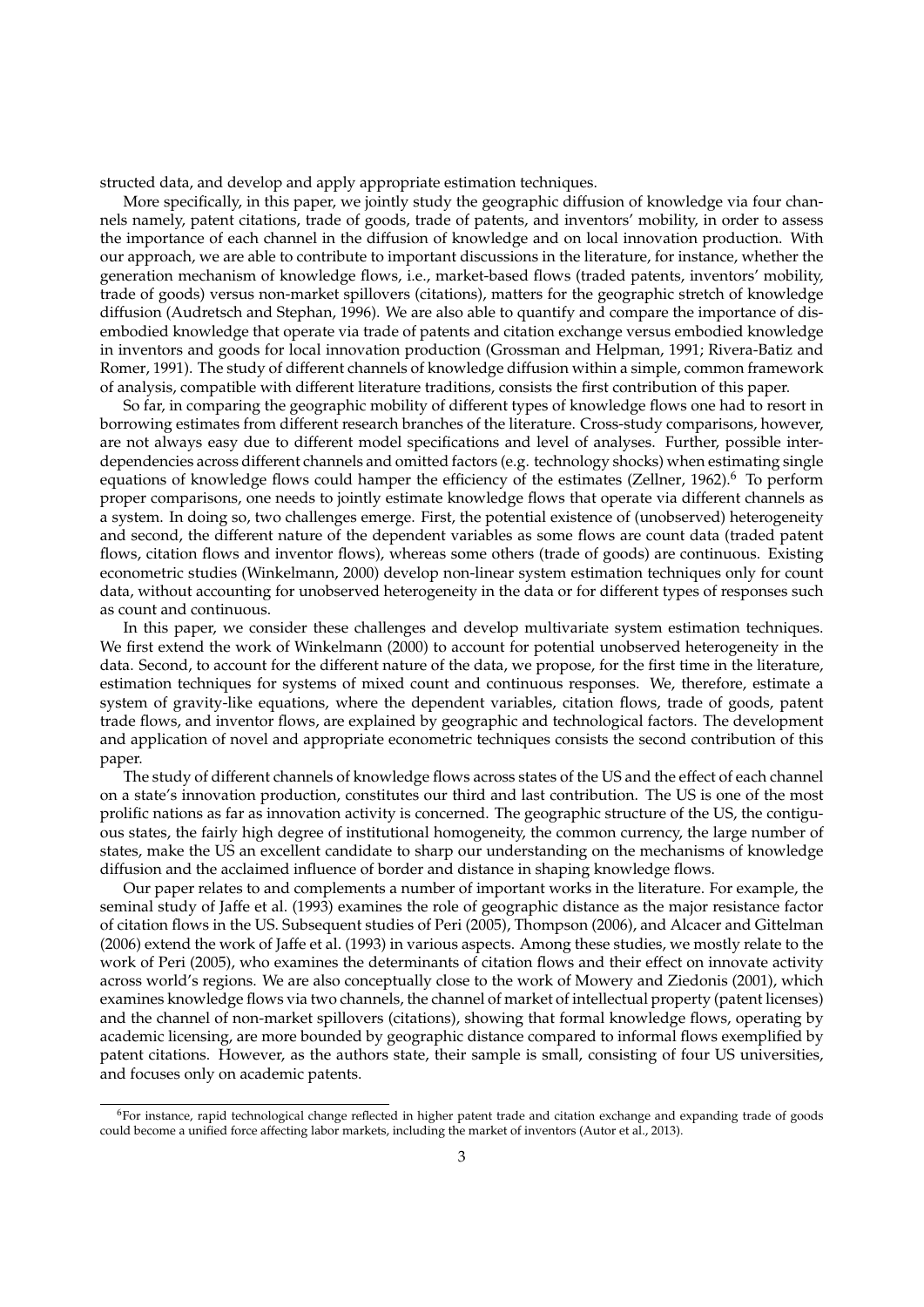structed data, and develop and apply appropriate estimation techniques.

More specifically, in this paper, we jointly study the geographic diffusion of knowledge via four channels namely, patent citations, trade of goods, trade of patents, and inventors' mobility, in order to assess the importance of each channel in the diffusion of knowledge and on local innovation production. With our approach, we are able to contribute to important discussions in the literature, for instance, whether the generation mechanism of knowledge flows, i.e., market-based flows (traded patents, inventors' mobility, trade of goods) versus non-market spillovers (citations), matters for the geographic stretch of knowledge diffusion (Audretsch and Stephan, 1996). We are also able to quantify and compare the importance of disembodied knowledge that operate via trade of patents and citation exchange versus embodied knowledge in inventors and goods for local innovation production (Grossman and Helpman, 1991; Rivera-Batiz and Romer, 1991). The study of different channels of knowledge diffusion within a simple, common framework of analysis, compatible with different literature traditions, consists the first contribution of this paper.

So far, in comparing the geographic mobility of different types of knowledge flows one had to resort in borrowing estimates from different research branches of the literature. Cross-study comparisons, however, are not always easy due to different model specifications and level of analyses. Further, possible interdependencies across different channels and omitted factors (e.g. technology shocks) when estimating single equations of knowledge flows could hamper the efficiency of the estimates (Zellner, 1962).<sup>6</sup> To perform proper comparisons, one needs to jointly estimate knowledge flows that operate via different channels as a system. In doing so, two challenges emerge. First, the potential existence of (unobserved) heterogeneity and second, the different nature of the dependent variables as some flows are count data (traded patent flows, citation flows and inventor flows), whereas some others (trade of goods) are continuous. Existing econometric studies (Winkelmann, 2000) develop non-linear system estimation techniques only for count data, without accounting for unobserved heterogeneity in the data or for different types of responses such as count and continuous.

In this paper, we consider these challenges and develop multivariate system estimation techniques. We first extend the work of Winkelmann (2000) to account for potential unobserved heterogeneity in the data. Second, to account for the different nature of the data, we propose, for the first time in the literature, estimation techniques for systems of mixed count and continuous responses. We, therefore, estimate a system of gravity-like equations, where the dependent variables, citation flows, trade of goods, patent trade flows, and inventor flows, are explained by geographic and technological factors. The development and application of novel and appropriate econometric techniques consists the second contribution of this paper.

The study of different channels of knowledge flows across states of the US and the effect of each channel on a state's innovation production, constitutes our third and last contribution. The US is one of the most prolific nations as far as innovation activity is concerned. The geographic structure of the US, the contiguous states, the fairly high degree of institutional homogeneity, the common currency, the large number of states, make the US an excellent candidate to sharp our understanding on the mechanisms of knowledge diffusion and the acclaimed influence of border and distance in shaping knowledge flows.

Our paper relates to and complements a number of important works in the literature. For example, the seminal study of Jaffe et al. (1993) examines the role of geographic distance as the major resistance factor of citation flows in the US. Subsequent studies of Peri (2005), Thompson (2006), and Alcacer and Gittelman (2006) extend the work of Jaffe et al. (1993) in various aspects. Among these studies, we mostly relate to the work of Peri (2005), who examines the determinants of citation flows and their effect on innovate activity across world's regions. We are also conceptually close to the work of Mowery and Ziedonis (2001), which examines knowledge flows via two channels, the channel of market of intellectual property (patent licenses) and the channel of non-market spillovers (citations), showing that formal knowledge flows, operating by academic licensing, are more bounded by geographic distance compared to informal flows exemplified by patent citations. However, as the authors state, their sample is small, consisting of four US universities, and focuses only on academic patents.

<sup>6</sup>For instance, rapid technological change reflected in higher patent trade and citation exchange and expanding trade of goods could become a unified force affecting labor markets, including the market of inventors (Autor et al., 2013).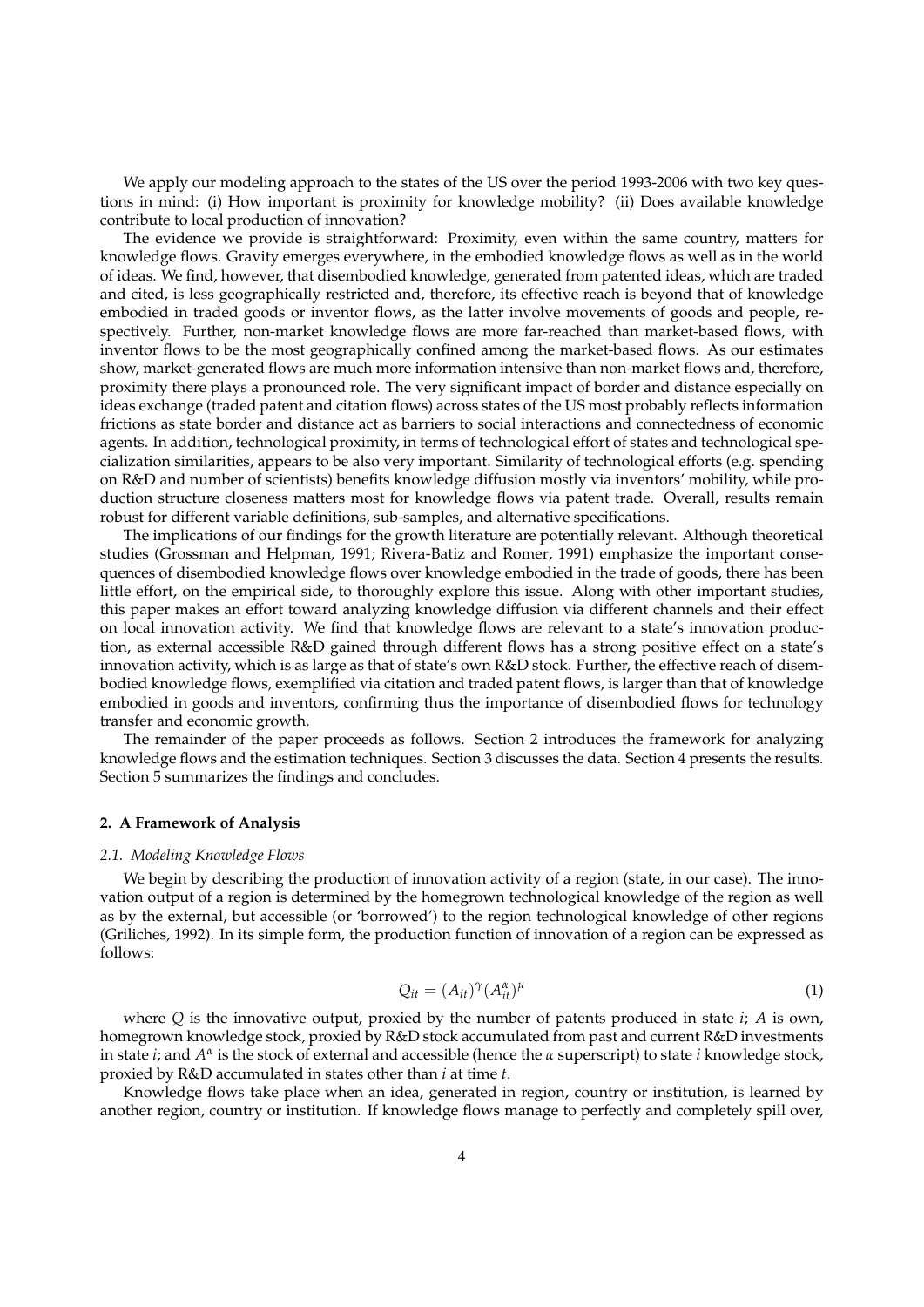We apply our modeling approach to the states of the US over the period 1993-2006 with two key questions in mind: (i) How important is proximity for knowledge mobility? (ii) Does available knowledge contribute to local production of innovation?

The evidence we provide is straightforward: Proximity, even within the same country, matters for knowledge flows. Gravity emerges everywhere, in the embodied knowledge flows as well as in the world of ideas. We find, however, that disembodied knowledge, generated from patented ideas, which are traded and cited, is less geographically restricted and, therefore, its effective reach is beyond that of knowledge embodied in traded goods or inventor flows, as the latter involve movements of goods and people, respectively. Further, non-market knowledge flows are more far-reached than market-based flows, with inventor flows to be the most geographically confined among the market-based flows. As our estimates show, market-generated flows are much more information intensive than non-market flows and, therefore, proximity there plays a pronounced role. The very significant impact of border and distance especially on ideas exchange (traded patent and citation flows) across states of the US most probably reflects information frictions as state border and distance act as barriers to social interactions and connectedness of economic agents. In addition, technological proximity, in terms of technological effort of states and technological specialization similarities, appears to be also very important. Similarity of technological efforts (e.g. spending on R&D and number of scientists) benefits knowledge diffusion mostly via inventors' mobility, while production structure closeness matters most for knowledge flows via patent trade. Overall, results remain robust for different variable definitions, sub-samples, and alternative specifications.

The implications of our findings for the growth literature are potentially relevant. Although theoretical studies (Grossman and Helpman, 1991; Rivera-Batiz and Romer, 1991) emphasize the important consequences of disembodied knowledge flows over knowledge embodied in the trade of goods, there has been little effort, on the empirical side, to thoroughly explore this issue. Along with other important studies, this paper makes an effort toward analyzing knowledge diffusion via different channels and their effect on local innovation activity. We find that knowledge flows are relevant to a state's innovation production, as external accessible R&D gained through different flows has a strong positive effect on a state's innovation activity, which is as large as that of state's own R&D stock. Further, the effective reach of disembodied knowledge flows, exemplified via citation and traded patent flows, is larger than that of knowledge embodied in goods and inventors, confirming thus the importance of disembodied flows for technology transfer and economic growth.

The remainder of the paper proceeds as follows. Section 2 introduces the framework for analyzing knowledge flows and the estimation techniques. Section 3 discusses the data. Section 4 presents the results. Section 5 summarizes the findings and concludes.

# **2. A Framework of Analysis**

#### *2.1. Modeling Knowledge Flows*

We begin by describing the production of innovation activity of a region (state, in our case). The innovation output of a region is determined by the homegrown technological knowledge of the region as well as by the external, but accessible (or 'borrowed') to the region technological knowledge of other regions (Griliches, 1992). In its simple form, the production function of innovation of a region can be expressed as follows:

$$
Q_{it} = (A_{it})^{\gamma} (A_{it}^{\alpha})^{\mu} \tag{1}
$$

where *Q* is the innovative output, proxied by the number of patents produced in state *i*; *A* is own, homegrown knowledge stock, proxied by R&D stock accumulated from past and current R&D investments in state *i*; and  $A^{\alpha}$  is the stock of external and accessible (hence the *α* superscript) to state *i* knowledge stock, proxied by R&D accumulated in states other than *i* at time *t*.

Knowledge flows take place when an idea, generated in region, country or institution, is learned by another region, country or institution. If knowledge flows manage to perfectly and completely spill over,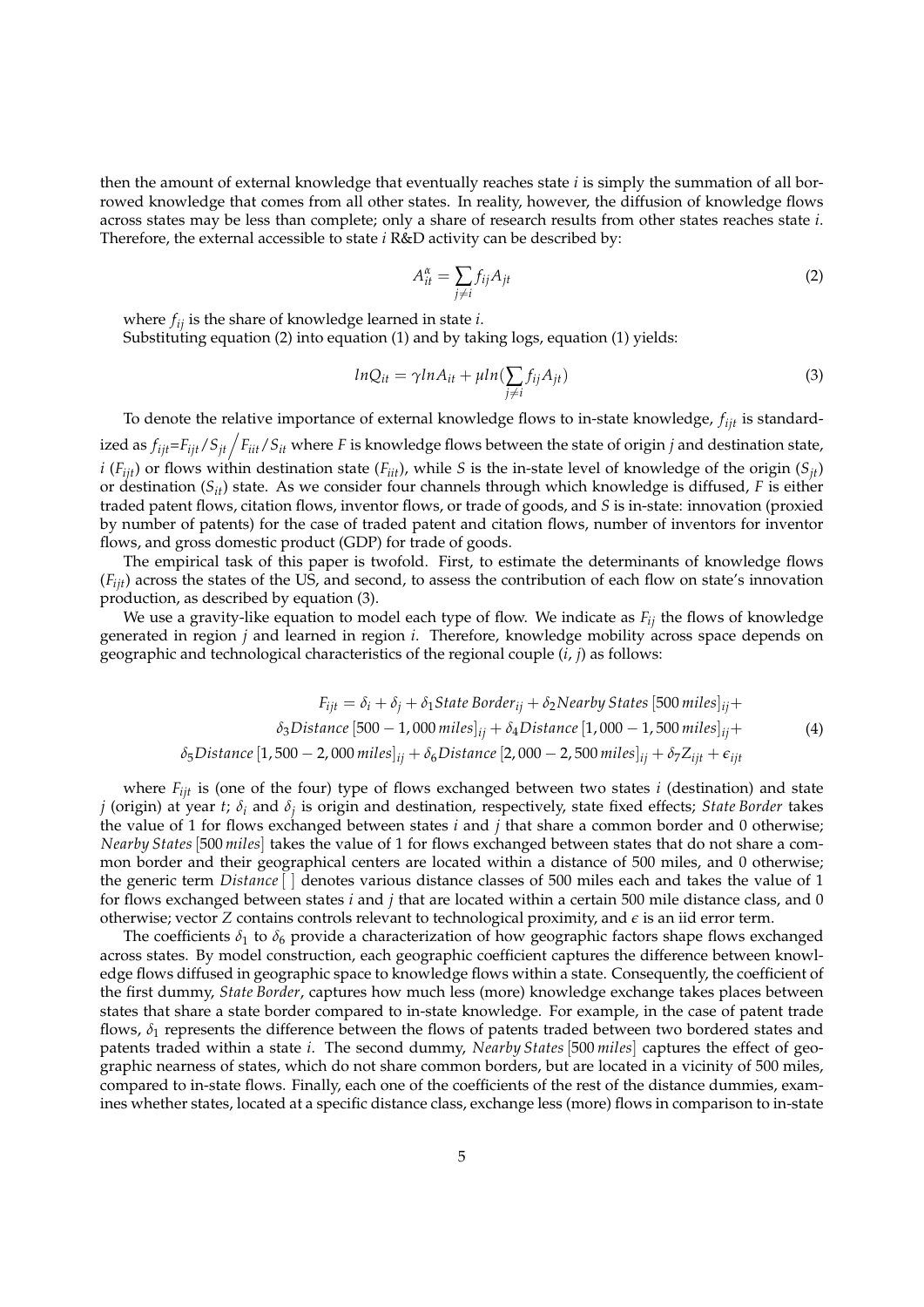then the amount of external knowledge that eventually reaches state *i* is simply the summation of all borrowed knowledge that comes from all other states. In reality, however, the diffusion of knowledge flows across states may be less than complete; only a share of research results from other states reaches state *i*. Therefore, the external accessible to state *i* R&D activity can be described by:

$$
A_{it}^{\alpha} = \sum_{j \neq i} f_{ij} A_{jt} \tag{2}
$$

where *fij* is the share of knowledge learned in state *i*.

Substituting equation (2) into equation (1) and by taking logs, equation (1) yields:

$$
lnQ_{it} = \gamma lnA_{it} + \mu ln(\sum_{j \neq i} f_{ij}A_{jt})
$$
\n(3)

To denote the relative importance of external knowledge flows to in-state knowledge, *fijt* is standardized as  $f_{ijt}$ = $F_{ijt}$ / $S_{jt}$   $\Big/$   $F_{iit}$ / $S_{it}$  where  $F$  is knowledge flows between the state of origin  $j$  and destination state, *i* ( $F_{ijt}$ ) or flows within destination state ( $F_{iit}$ ), while *S* is the in-state level of knowledge of the origin ( $S_{jt}$ ) or destination (*Sit*) state. As we consider four channels through which knowledge is diffused, *F* is either traded patent flows, citation flows, inventor flows, or trade of goods, and *S* is in-state: innovation (proxied by number of patents) for the case of traded patent and citation flows, number of inventors for inventor flows, and gross domestic product (GDP) for trade of goods.

The empirical task of this paper is twofold. First, to estimate the determinants of knowledge flows  $(F_{iik})$  across the states of the US, and second, to assess the contribution of each flow on state's innovation production, as described by equation (3).

We use a gravity-like equation to model each type of flow. We indicate as *Fij* the flows of knowledge generated in region *j* and learned in region *i*. Therefore, knowledge mobility across space depends on geographic and technological characteristics of the regional couple (*i*, *j*) as follows:

$$
F_{ijt} = \delta_i + \delta_j + \delta_1 State\,Border_{ij} + \delta_2 Nearby\,States\,[500\,miles]_{ij} + \delta_3 Distance\,[500 - 1,000\,miles]_{ij} + \delta_4 Distance\, [1,000 - 1,500\,miles]_{ij} + \delta_5 Distance\, [1,500 - 2,000\,miles]_{ij} + \delta_6 Distance\, [2,000 - 2,500\,miles]_{ij} + \delta_7 Z_{ijt} + \epsilon_{ijt}
$$
\n
$$
(4)
$$

where  $F_{ijt}$  is (one of the four) type of flows exchanged between two states *i* (destination) and state *j* (origin) at year *t*; *δ<sup>i</sup>* and *δ<sup>j</sup>* is origin and destination, respectively, state fixed effects; *State Border* takes the value of 1 for flows exchanged between states *i* and *j* that share a common border and 0 otherwise; *Nearby States*[500 *miles*] takes the value of 1 for flows exchanged between states that do not share a common border and their geographical centers are located within a distance of 500 miles, and 0 otherwise; the generic term *Distance*[ ] denotes various distance classes of 500 miles each and takes the value of 1 for flows exchanged between states *i* and *j* that are located within a certain 500 mile distance class, and 0 otherwise; vector *Z* contains controls relevant to technological proximity, and  $\epsilon$  is an iid error term.

The coefficients  $\delta_1$  to  $\delta_6$  provide a characterization of how geographic factors shape flows exchanged across states. By model construction, each geographic coefficient captures the difference between knowledge flows diffused in geographic space to knowledge flows within a state. Consequently, the coefficient of the first dummy, *State Border*, captures how much less (more) knowledge exchange takes places between states that share a state border compared to in-state knowledge. For example, in the case of patent trade flows,  $\delta_1$  represents the difference between the flows of patents traded between two bordered states and patents traded within a state *i*. The second dummy, *Nearby States*[500 *miles*] captures the effect of geographic nearness of states, which do not share common borders, but are located in a vicinity of 500 miles, compared to in-state flows. Finally, each one of the coefficients of the rest of the distance dummies, examines whether states, located at a specific distance class, exchange less (more) flows in comparison to in-state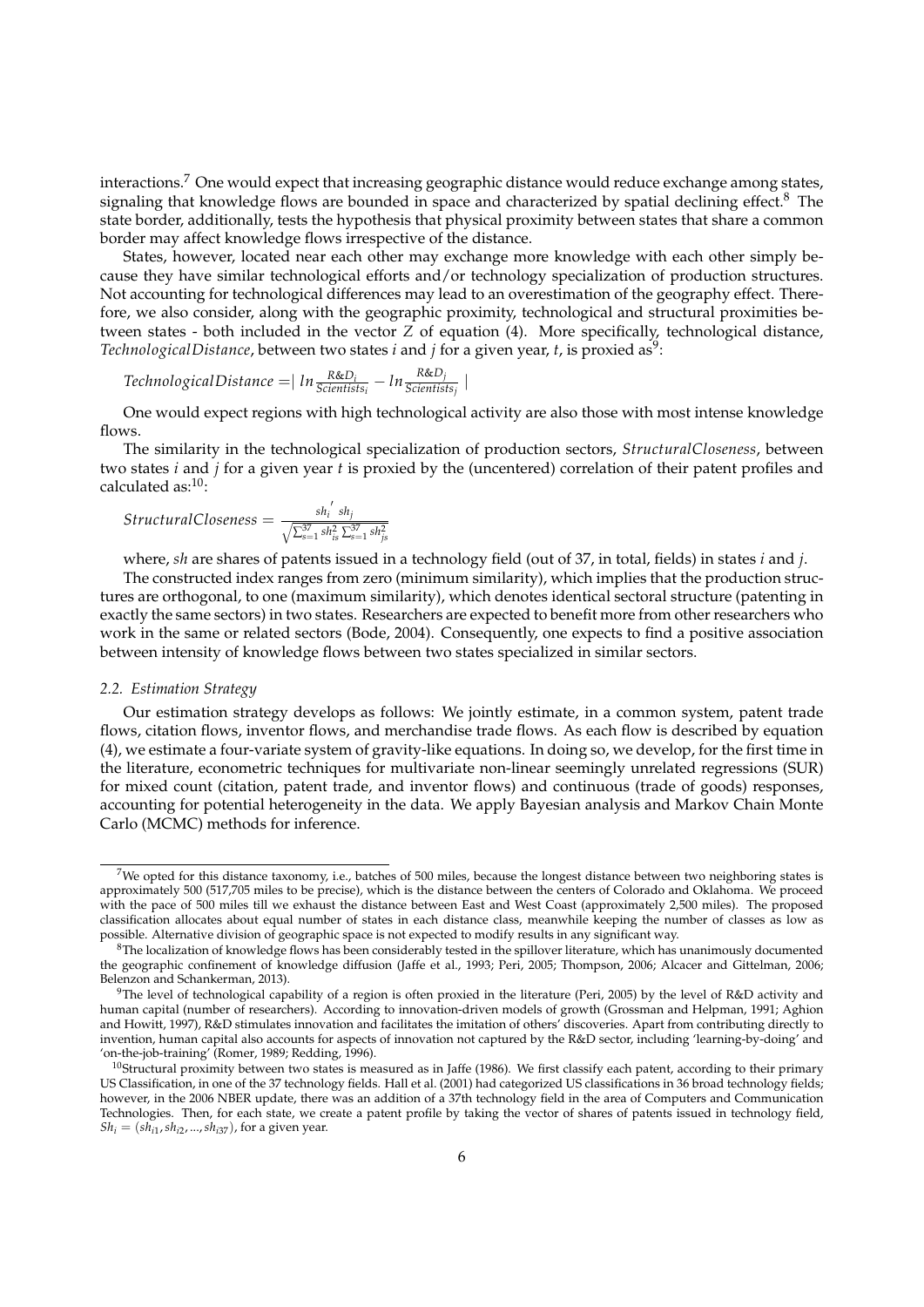interactions.<sup>7</sup> One would expect that increasing geographic distance would reduce exchange among states, signaling that knowledge flows are bounded in space and characterized by spatial declining effect.<sup>8</sup> The state border, additionally, tests the hypothesis that physical proximity between states that share a common border may affect knowledge flows irrespective of the distance.

States, however, located near each other may exchange more knowledge with each other simply because they have similar technological efforts and/or technology specialization of production structures. Not accounting for technological differences may lead to an overestimation of the geography effect. Therefore, we also consider, along with the geographic proximity, technological and structural proximities between states - both included in the vector *Z* of equation (4). More specifically, technological distance, TechnologicalDistance, between two states i and j for a given year, t, is proxied as<sup>9</sup>:

Technological Distance = 
$$
| ln \frac{R&D_i}{Scientists_i} - ln \frac{R&D_j}{Scientists_j}|
$$

One would expect regions with high technological activity are also those with most intense knowledge flows.

The similarity in the technological specialization of production sectors, *StructuralCloseness*, between two states *i* and *j* for a given year *t* is proxied by the (uncentered) correlation of their patent profiles and calculated as:10:

$$
Structural Closeness = \frac{sh_i^{'}}{\sqrt{\sum_{s=1}^{37} sh_{is}^2 \sum_{s=1}^{37} sh_{js}^2}}
$$

where, *sh* are shares of patents issued in a technology field (out of 37, in total, fields) in states *i* and *j*.

The constructed index ranges from zero (minimum similarity), which implies that the production structures are orthogonal, to one (maximum similarity), which denotes identical sectoral structure (patenting in exactly the same sectors) in two states. Researchers are expected to benefit more from other researchers who work in the same or related sectors (Bode, 2004). Consequently, one expects to find a positive association between intensity of knowledge flows between two states specialized in similar sectors.

#### *2.2. Estimation Strategy*

Our estimation strategy develops as follows: We jointly estimate, in a common system, patent trade flows, citation flows, inventor flows, and merchandise trade flows. As each flow is described by equation (4), we estimate a four-variate system of gravity-like equations. In doing so, we develop, for the first time in the literature, econometric techniques for multivariate non-linear seemingly unrelated regressions (SUR) for mixed count (citation, patent trade, and inventor flows) and continuous (trade of goods) responses, accounting for potential heterogeneity in the data. We apply Bayesian analysis and Markov Chain Monte Carlo (MCMC) methods for inference.

<sup>7</sup>We opted for this distance taxonomy, i.e., batches of 500 miles, because the longest distance between two neighboring states is approximately 500 (517,705 miles to be precise), which is the distance between the centers of Colorado and Oklahoma. We proceed with the pace of 500 miles till we exhaust the distance between East and West Coast (approximately 2,500 miles). The proposed classification allocates about equal number of states in each distance class, meanwhile keeping the number of classes as low as possible. Alternative division of geographic space is not expected to modify results in any significant way.

 $8$ The localization of knowledge flows has been considerably tested in the spillover literature, which has unanimously documented the geographic confinement of knowledge diffusion (Jaffe et al., 1993; Peri, 2005; Thompson, 2006; Alcacer and Gittelman, 2006; Belenzon and Schankerman, 2013).

<sup>&</sup>lt;sup>9</sup>The level of technological capability of a region is often proxied in the literature (Peri, 2005) by the level of R&D activity and human capital (number of researchers). According to innovation-driven models of growth (Grossman and Helpman, 1991; Aghion and Howitt, 1997), R&D stimulates innovation and facilitates the imitation of others' discoveries. Apart from contributing directly to invention, human capital also accounts for aspects of innovation not captured by the R&D sector, including 'learning-by-doing' and 'on-the-job-training' (Romer, 1989; Redding, 1996).

 $10$ Structural proximity between two states is measured as in Jaffe (1986). We first classify each patent, according to their primary US Classification, in one of the 37 technology fields. Hall et al. (2001) had categorized US classifications in 36 broad technology fields; however, in the 2006 NBER update, there was an addition of a 37th technology field in the area of Computers and Communication Technologies. Then, for each state, we create a patent profile by taking the vector of shares of patents issued in technology field,  $Sh_i = (sh_{i1}, sh_{i2}, ..., sh_{i37})$ , for a given year.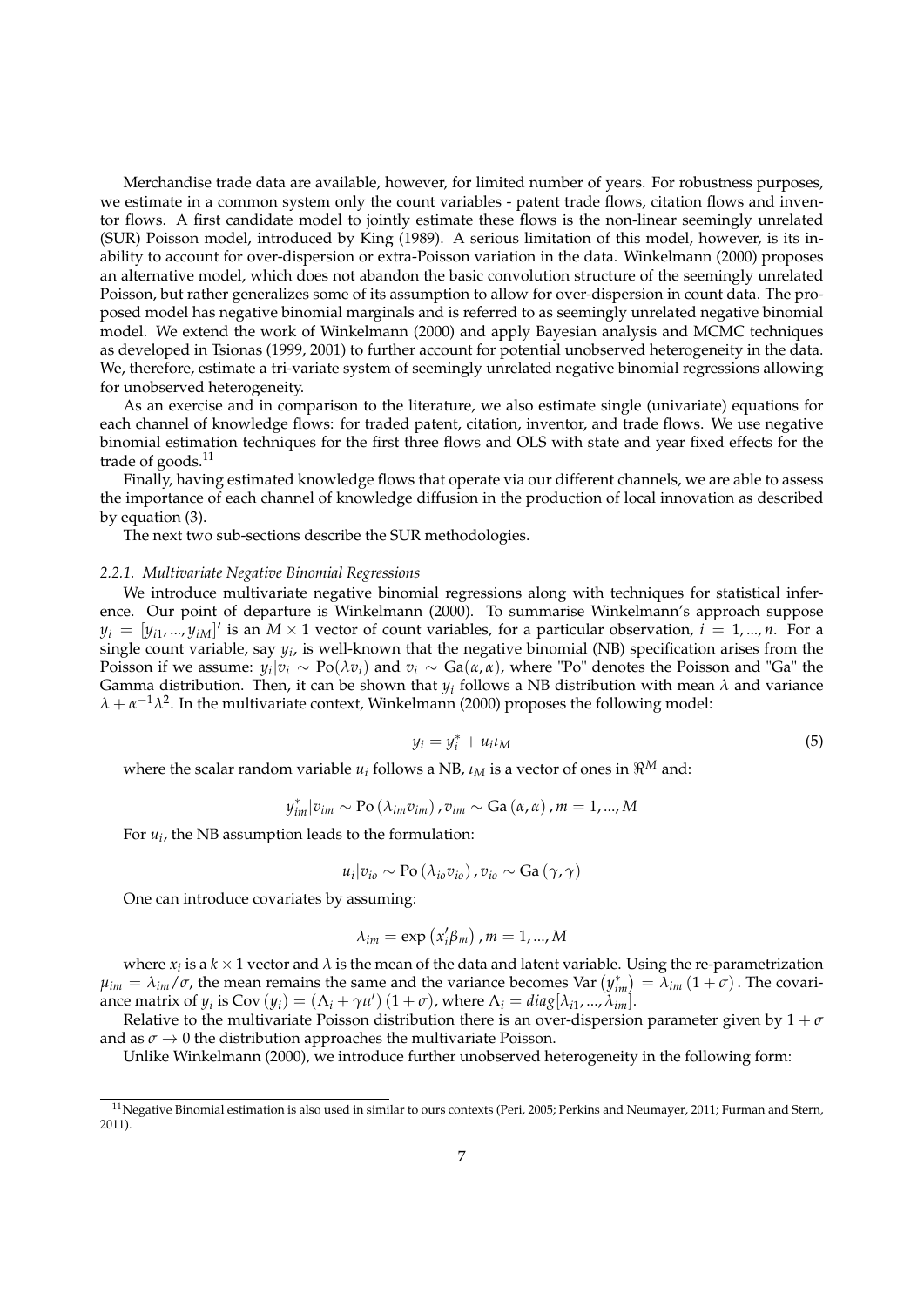Merchandise trade data are available, however, for limited number of years. For robustness purposes, we estimate in a common system only the count variables - patent trade flows, citation flows and inventor flows. A first candidate model to jointly estimate these flows is the non-linear seemingly unrelated (SUR) Poisson model, introduced by King (1989). A serious limitation of this model, however, is its inability to account for over-dispersion or extra-Poisson variation in the data. Winkelmann (2000) proposes an alternative model, which does not abandon the basic convolution structure of the seemingly unrelated Poisson, but rather generalizes some of its assumption to allow for over-dispersion in count data. The proposed model has negative binomial marginals and is referred to as seemingly unrelated negative binomial model. We extend the work of Winkelmann (2000) and apply Bayesian analysis and MCMC techniques as developed in Tsionas (1999, 2001) to further account for potential unobserved heterogeneity in the data. We, therefore, estimate a tri-variate system of seemingly unrelated negative binomial regressions allowing for unobserved heterogeneity.

As an exercise and in comparison to the literature, we also estimate single (univariate) equations for each channel of knowledge flows: for traded patent, citation, inventor, and trade flows. We use negative binomial estimation techniques for the first three flows and OLS with state and year fixed effects for the trade of goods.<sup>11</sup>

Finally, having estimated knowledge flows that operate via our different channels, we are able to assess the importance of each channel of knowledge diffusion in the production of local innovation as described by equation (3).

The next two sub-sections describe the SUR methodologies.

## *2.2.1. Multivariate Negative Binomial Regressions*

We introduce multivariate negative binomial regressions along with techniques for statistical inference. Our point of departure is Winkelmann (2000). To summarise Winkelmann's approach suppose  $y_i = [y_{i1},...,y_{iM}]'$  is an  $M \times 1$  vector of count variables, for a particular observation,  $i = 1,...,n$ . For a single count variable, say  $y_i$ , is well-known that the negative binomial (NB) specification arises from the Poisson if we assume:  $y_i|v_i$  ∼ Po( $\lambda v_i$ ) and  $v_i$  ∼ Ga( $α, α$ ), where "Po" denotes the Poisson and "Ga" the Gamma distribution. Then, it can be shown that *y<sup>i</sup>* follows a NB distribution with mean *λ* and variance  $\lambda + \alpha^{-1} \lambda^2$ . In the multivariate context, Winkelmann (2000) proposes the following model:

$$
y_i = y_i^* + u_i t_M \tag{5}
$$

where the scalar random variable  $u_i$  follows a NB,  $\iota_M$  is a vector of ones in  $\Re^M$  and:

$$
y_{im}^*|v_{im} \sim \text{Po}\left(\lambda_{im}v_{im}\right)
$$
 ,  $v_{im} \sim \text{Ga}\left(\alpha, \alpha\right)$  ,  $m=1,...,M$ 

For  $u_i$ , the NB assumption leads to the formulation:

$$
u_i|v_{io} \sim \text{Po}(\lambda_{io}v_{io})\,, v_{io} \sim \text{Ga}(\gamma, \gamma)
$$

One can introduce covariates by assuming:

$$
\lambda_{im} = \exp\left(x_i'\beta_m\right), m = 1, ..., M
$$

where  $x_i$  is a  $k \times 1$  vector and  $\lambda$  is the mean of the data and latent variable. Using the re-parametrization  $\mu_{im} = \lambda_{im}/\sigma$ , the mean remains the same and the variance becomes Var  $(y^*_{im}) = \lambda_{im}(1+\sigma)$ . The covariance matrix of  $y_i$  is Cov  $(y_i) = (\Lambda_i + \gamma u') (1 + \sigma)$ , where  $\Lambda_i = diag[\lambda_{i1}, ..., \lambda_{im}].$ 

Relative to the multivariate Poisson distribution there is an over-dispersion parameter given by  $1 + \sigma$ and as  $\sigma \to 0$  the distribution approaches the multivariate Poisson.

Unlike Winkelmann (2000), we introduce further unobserved heterogeneity in the following form:

 $11$ Negative Binomial estimation is also used in similar to ours contexts (Peri, 2005; Perkins and Neumayer, 2011; Furman and Stern, 2011).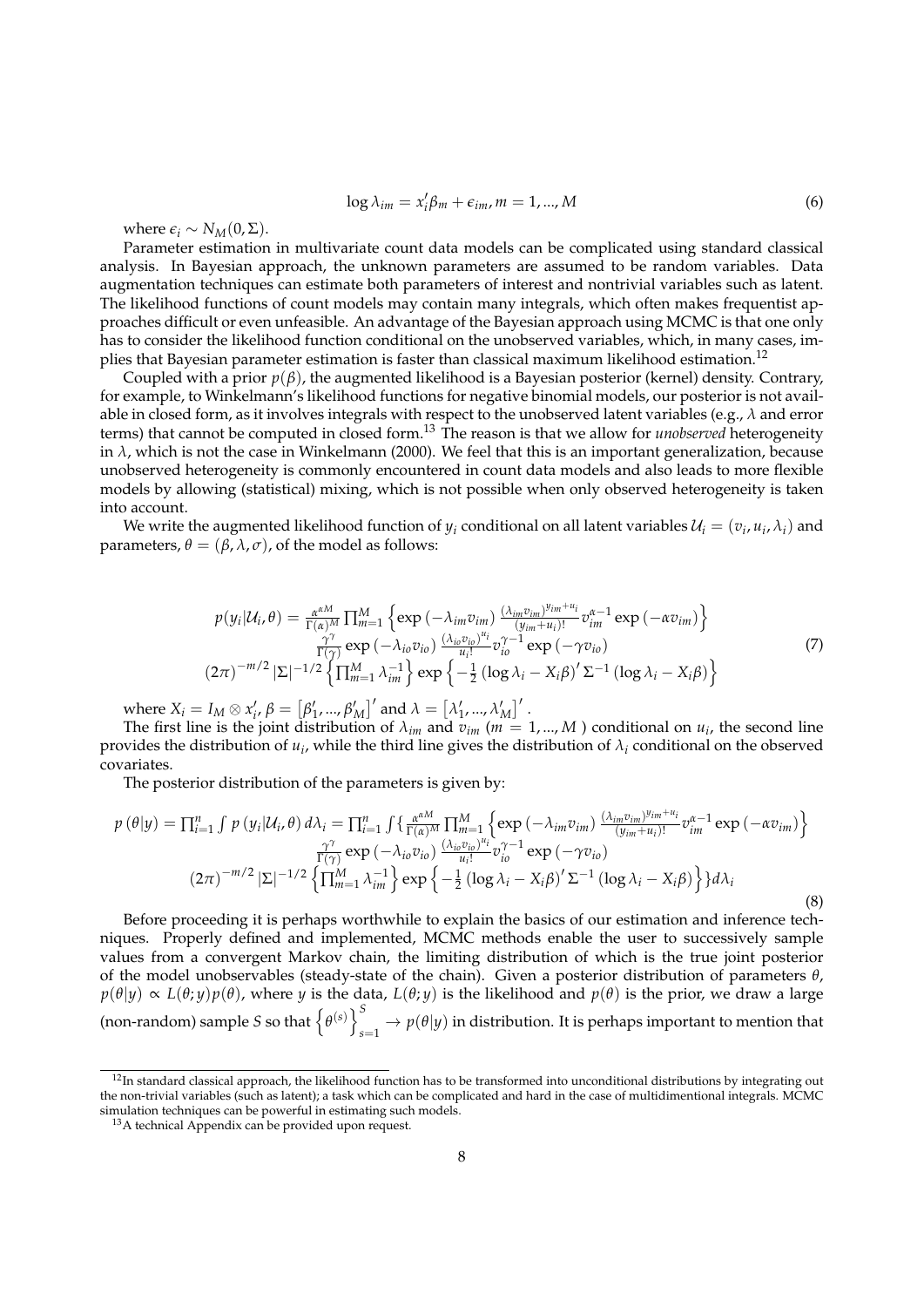$$
\log \lambda_{im} = x'_i \beta_m + \epsilon_{im}, m = 1, ..., M
$$
 (6)

where  $\epsilon_i \sim N_M(0, \Sigma)$ .

Parameter estimation in multivariate count data models can be complicated using standard classical analysis. In Bayesian approach, the unknown parameters are assumed to be random variables. Data augmentation techniques can estimate both parameters of interest and nontrivial variables such as latent. The likelihood functions of count models may contain many integrals, which often makes frequentist approaches difficult or even unfeasible. An advantage of the Bayesian approach using MCMC is that one only has to consider the likelihood function conditional on the unobserved variables, which, in many cases, implies that Bayesian parameter estimation is faster than classical maximum likelihood estimation.<sup>12</sup>

Coupled with a prior *p*(*β*), the augmented likelihood is a Bayesian posterior (kernel) density. Contrary, for example, to Winkelmann's likelihood functions for negative binomial models, our posterior is not available in closed form, as it involves integrals with respect to the unobserved latent variables (e.g., *λ* and error terms) that cannot be computed in closed form.<sup>13</sup> The reason is that we allow for *unobserved* heterogeneity in  $\lambda$ , which is not the case in Winkelmann (2000). We feel that this is an important generalization, because unobserved heterogeneity is commonly encountered in count data models and also leads to more flexible models by allowing (statistical) mixing, which is not possible when only observed heterogeneity is taken into account.

We write the augmented likelihood function of  $y_i$  conditional on all latent variables  $\mathcal{U}_i=(v_i,u_i,\lambda_i)$  and parameters,  $\theta = (\beta, \lambda, \sigma)$ , of the model as follows:

$$
p(y_i|\mathcal{U}_i,\theta) = \frac{\alpha^{\alpha M}}{\Gamma(\alpha)^M} \prod_{m=1}^M \left\{ \exp\left(-\lambda_{im}v_{im}\right) \frac{(\lambda_{im}v_{im})^{y_{im}+u_i}}{(y_{im}+u_i)!} v_{im}^{\alpha-1} \exp\left(-\alpha v_{im}\right) \right\}
$$
  

$$
\frac{\gamma^{\gamma}}{\Gamma(\gamma)} \exp\left(-\lambda_{io}v_{io}\right) \frac{(\lambda_{io}v_{io})^{u_i}}{u_i!} v_{io}^{\gamma-1} \exp\left(-\gamma v_{io}\right)
$$
  

$$
(2\pi)^{-m/2} |\Sigma|^{-1/2} \left\{ \prod_{m=1}^M \lambda_{im}^{-1} \right\} \exp\left\{-\frac{1}{2} \left(\log \lambda_i - X_i \beta\right)' \Sigma^{-1} \left(\log \lambda_i - X_i \beta\right) \right\}
$$
 (7)

where  $X_i = I_M \otimes x'_i$ ,  $\beta = [\beta'_1, ..., \beta'_M]$  and  $\lambda = [\lambda'_1, ..., \lambda'_M]$ .

The first line is the joint distribution of  $\lambda_{im}$  and  $v_{im}$  ( $m = 1, ..., M$ ) conditional on  $u_i$ , the second line provides the distribution of  $u_i$ , while the third line gives the distribution of  $\lambda_i$  conditional on the observed covariates.

The posterior distribution of the parameters is given by:

$$
p(\theta|y) = \prod_{i=1}^{n} \int p(y_i|\mathcal{U}_i, \theta) d\lambda_i = \prod_{i=1}^{n} \int \left\{ \frac{\alpha^{\alpha M}}{\Gamma(\alpha)^M} \prod_{m=1}^{M} \left\{ \exp\left( -\lambda_{im} v_{im} \right) \frac{(\lambda_{im} v_{im})^{y_{im}+u_i}}{(y_{im}+u_i)!} v_{im}^{\alpha-1} \exp\left( -\alpha v_{im} \right) \right\} \frac{\gamma^{\gamma}}{\Gamma(\gamma)} \exp\left( -\lambda_{io} v_{io} \right) \frac{(\lambda_{io} v_{io})^{u_i}}{u_i!} v_{io}^{\gamma-1} \exp\left( -\gamma v_{io} \right)
$$
\n
$$
(2\pi)^{-m/2} |\Sigma|^{-1/2} \left\{ \prod_{m=1}^{M} \lambda_{im}^{-1} \right\} \exp\left\{ -\frac{1}{2} \left( \log \lambda_i - X_i \beta \right)' \Sigma^{-1} \left( \log \lambda_i - X_i \beta \right) \right\} d\lambda_i
$$
\n(8)

Before proceeding it is perhaps worthwhile to explain the basics of our estimation and inference techniques. Properly defined and implemented, MCMC methods enable the user to successively sample values from a convergent Markov chain, the limiting distribution of which is the true joint posterior of the model unobservables (steady-state of the chain). Given a posterior distribution of parameters *θ*,  $p(\theta|y) \propto L(\theta; y)p(\theta)$ , where *y* is the data,  $L(\theta; y)$  is the likelihood and  $p(\theta)$  is the prior, we draw a large (non-random) sample *S* so that  $\{ \theta^{(s)} \}$ <sup>S</sup>  $\mathcal{L}_{s=1} \rightarrow p(\theta | y)$  in distribution. It is perhaps important to mention that

 $12$ In standard classical approach, the likelihood function has to be transformed into unconditional distributions by integrating out the non-trivial variables (such as latent); a task which can be complicated and hard in the case of multidimentional integrals. MCMC simulation techniques can be powerful in estimating such models.

<sup>&</sup>lt;sup>13</sup>A technical Appendix can be provided upon request.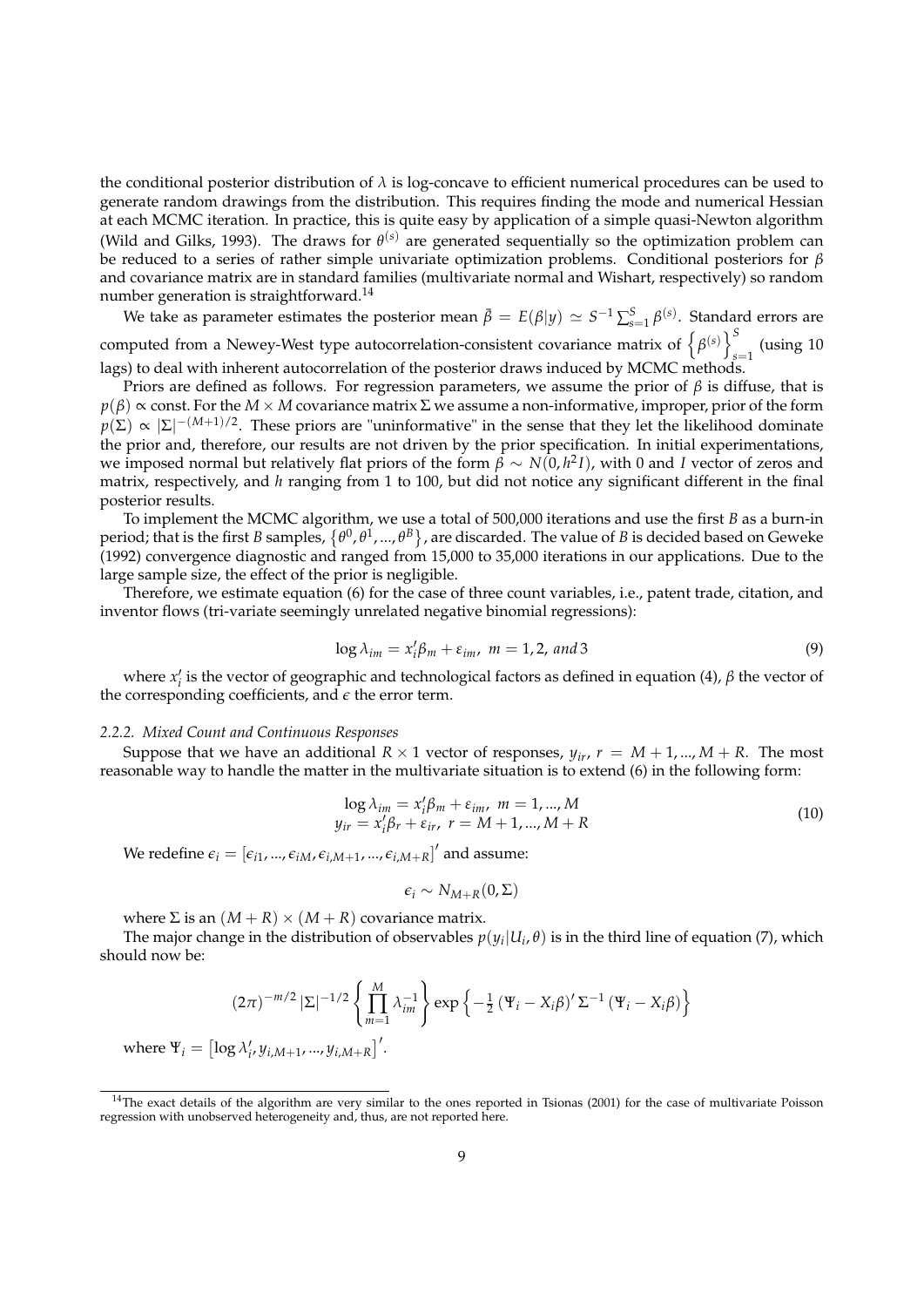the conditional posterior distribution of *λ* is log-concave to efficient numerical procedures can be used to generate random drawings from the distribution. This requires finding the mode and numerical Hessian at each MCMC iteration. In practice, this is quite easy by application of a simple quasi-Newton algorithm (Wild and Gilks, 1993). The draws for  $\theta^{(s)}$  are generated sequentially so the optimization problem can be reduced to a series of rather simple univariate optimization problems. Conditional posteriors for *β* and covariance matrix are in standard families (multivariate normal and Wishart, respectively) so random number generation is straightforward.<sup>14</sup>

We take as parameter estimates the posterior mean  $\bar{\beta} = E(\beta|y) \simeq S^{-1} \sum_{s=1}^{S} \beta^{(s)}$ . Standard errors are computed from a Newey-West type autocorrelation-consistent covariance matrix of  $\left\{\beta^{(s)}\right\}^S$ *s*=1 (using 10 lags) to deal with inherent autocorrelation of the posterior draws induced by MCMC methods.

Priors are defined as follows. For regression parameters, we assume the prior of  $\beta$  is diffuse, that is  $p(\beta) \propto$  const. For the *M* × *M* covariance matrix  $\Sigma$  we assume a non-informative, improper, prior of the form  $p(\Sigma) \propto |\Sigma|^{-(M+1)/2}$ . These priors are "uninformative" in the sense that they let the likelihood dominate the prior and, therefore, our results are not driven by the prior specification. In initial experimentations, we imposed normal but relatively flat priors of the form *β* ∼ *N*(0, *h* 2 *I*), with 0 and *I* vector of zeros and matrix, respectively, and *h* ranging from 1 to 100, but did not notice any significant different in the final posterior results.

To implement the MCMC algorithm, we use a total of 500,000 iterations and use the first *B* as a burn-in period; that is the first *B* samples,  $\{\theta^0,\theta^1,...,\theta^B\}$ , are discarded. The value of *B* is decided based on Geweke (1992) convergence diagnostic and ranged from 15,000 to 35,000 iterations in our applications. Due to the large sample size, the effect of the prior is negligible.

Therefore, we estimate equation (6) for the case of three count variables, i.e., patent trade, citation, and inventor flows (tri-variate seemingly unrelated negative binomial regressions):

$$
\log \lambda_{im} = x_i' \beta_m + \varepsilon_{im}, \ m = 1, 2, \ and \ 3
$$
 (9)

where  $x'_i$  is the vector of geographic and technological factors as defined in equation (4),  $\beta$  the vector of the corresponding coefficients, and  $\epsilon$  the error term.

# *2.2.2. Mixed Count and Continuous Responses*

Suppose that we have an additional  $R \times 1$  vector of responses,  $y_i$ ,  $r = M + 1, ..., M + R$ . The most reasonable way to handle the matter in the multivariate situation is to extend (6) in the following form:

$$
\log \lambda_{im} = x'_i \beta_m + \varepsilon_{im}, \ m = 1, ..., M \n y_{ir} = x'_i \beta_r + \varepsilon_{ir}, \ r = M + 1, ..., M + R
$$
\n(10)

We redefine  $\epsilon_i = [\epsilon_{i1},...,\epsilon_{iM},\epsilon_{i,M+1},...,\epsilon_{i,M+R}]'$  and assume:

$$
\epsilon_i \sim N_{M+R}(0,\Sigma)
$$

where  $\Sigma$  is an  $(M + R) \times (M + R)$  covariance matrix.

The major change in the distribution of observables  $p(y_i|U_i,\theta)$  is in the third line of equation (7), which should now be:

$$
(2\pi)^{-m/2} |\Sigma|^{-1/2} \left\{ \prod_{m=1}^{M} \lambda_{im}^{-1} \right\} \exp \left\{ -\frac{1}{2} \left( \Psi_i - X_i \beta \right)' \Sigma^{-1} \left( \Psi_i - X_i \beta \right) \right\}
$$

where  $\Psi_i = \left[\log \lambda'_i, y_{i,M+1}, ..., y_{i,M+R}\right]'$ .

 $14$ The exact details of the algorithm are very similar to the ones reported in Tsionas (2001) for the case of multivariate Poisson regression with unobserved heterogeneity and, thus, are not reported here.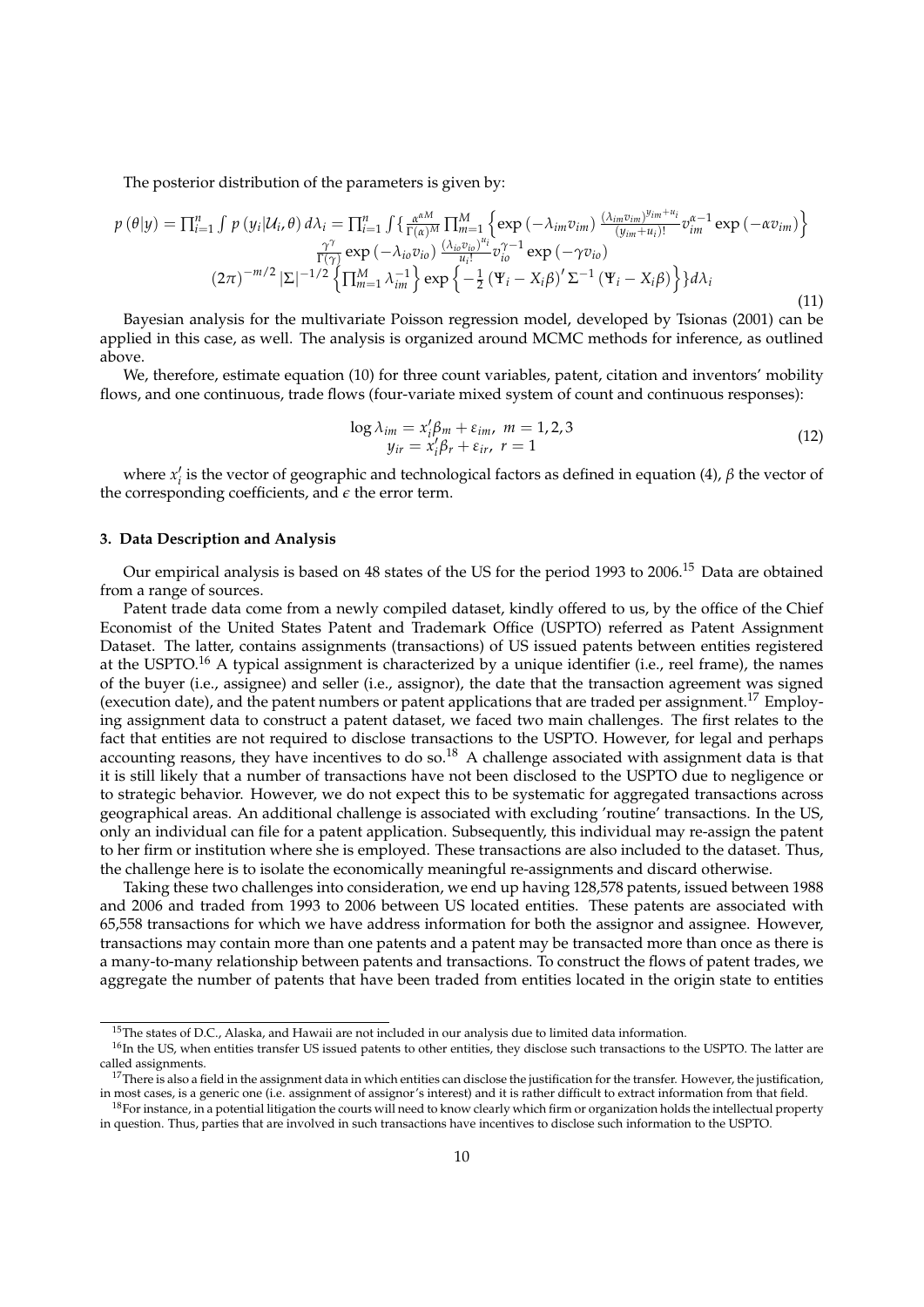The posterior distribution of the parameters is given by:

$$
p(\theta|y) = \prod_{i=1}^{n} \int p(y_i|U_i, \theta) d\lambda_i = \prod_{i=1}^{n} \int \left\{ \frac{\alpha^{\alpha M}}{\Gamma(\alpha)^M} \prod_{m=1}^{M} \left\{ \exp\left(-\lambda_{im} v_{im}\right) \frac{(\lambda_{im} v_{im})^{y_{im}+u_i}}{(y_{im}+u_i)!} v_{im}^{\alpha-1} \exp\left(-\alpha v_{im}\right) \right\} \frac{\gamma^{\gamma}}{\Gamma(\gamma)} \exp\left(-\lambda_{io} v_{io}\right) \frac{(\lambda_{io} v_{io})^{u_i}}{u_i!} v_{io}^{\gamma-1} \exp\left(-\gamma v_{io}\right)
$$
\n
$$
(2\pi)^{-m/2} |\Sigma|^{-1/2} \left\{ \prod_{m=1}^{M} \lambda_{im}^{-1} \right\} \exp\left\{ -\frac{1}{2} \left(\Psi_i - X_i \beta\right)' \Sigma^{-1} \left(\Psi_i - X_i \beta\right) \right\} \} d\lambda_i
$$
\n(11)

Bayesian analysis for the multivariate Poisson regression model, developed by Tsionas (2001) can be applied in this case, as well. The analysis is organized around MCMC methods for inference, as outlined above.

We, therefore, estimate equation (10) for three count variables, patent, citation and inventors' mobility flows, and one continuous, trade flows (four-variate mixed system of count and continuous responses):

$$
\log \lambda_{im} = x'_i \beta_m + \varepsilon_{im}, \quad m = 1, 2, 3
$$
  

$$
y_{ir} = x'_i \beta_r + \varepsilon_{ir}, \quad r = 1
$$
 (12)

where  $x'_i$  is the vector of geographic and technological factors as defined in equation (4),  $\beta$  the vector of the corresponding coefficients, and  $\epsilon$  the error term.

# **3. Data Description and Analysis**

Our empirical analysis is based on 48 states of the US for the period 1993 to 2006.<sup>15</sup> Data are obtained from a range of sources.

Patent trade data come from a newly compiled dataset, kindly offered to us, by the office of the Chief Economist of the United States Patent and Trademark Office (USPTO) referred as Patent Assignment Dataset. The latter, contains assignments (transactions) of US issued patents between entities registered at the USPTO.<sup>16</sup> A typical assignment is characterized by a unique identifier (i.e., reel frame), the names of the buyer (i.e., assignee) and seller (i.e., assignor), the date that the transaction agreement was signed (execution date), and the patent numbers or patent applications that are traded per assignment.<sup>17</sup> Employing assignment data to construct a patent dataset, we faced two main challenges. The first relates to the fact that entities are not required to disclose transactions to the USPTO. However, for legal and perhaps accounting reasons, they have incentives to do so.<sup>18</sup> A challenge associated with assignment data is that it is still likely that a number of transactions have not been disclosed to the USPTO due to negligence or to strategic behavior. However, we do not expect this to be systematic for aggregated transactions across geographical areas. An additional challenge is associated with excluding 'routine' transactions. In the US, only an individual can file for a patent application. Subsequently, this individual may re-assign the patent to her firm or institution where she is employed. These transactions are also included to the dataset. Thus, the challenge here is to isolate the economically meaningful re-assignments and discard otherwise.

Taking these two challenges into consideration, we end up having 128,578 patents, issued between 1988 and 2006 and traded from 1993 to 2006 between US located entities. These patents are associated with 65,558 transactions for which we have address information for both the assignor and assignee. However, transactions may contain more than one patents and a patent may be transacted more than once as there is a many-to-many relationship between patents and transactions. To construct the flows of patent trades, we aggregate the number of patents that have been traded from entities located in the origin state to entities

<sup>&</sup>lt;sup>15</sup>The states of D.C., Alaska, and Hawaii are not included in our analysis due to limited data information.

<sup>&</sup>lt;sup>16</sup>In the US, when entities transfer US issued patents to other entities, they disclose such transactions to the USPTO. The latter are called assignments.

 $17$ There is also a field in the assignment data in which entities can disclose the justification for the transfer. However, the justification, in most cases, is a generic one (i.e. assignment of assignor's interest) and it is rather difficult to extract information from that field.

 $18$ For instance, in a potential litigation the courts will need to know clearly which firm or organization holds the intellectual property in question. Thus, parties that are involved in such transactions have incentives to disclose such information to the USPTO.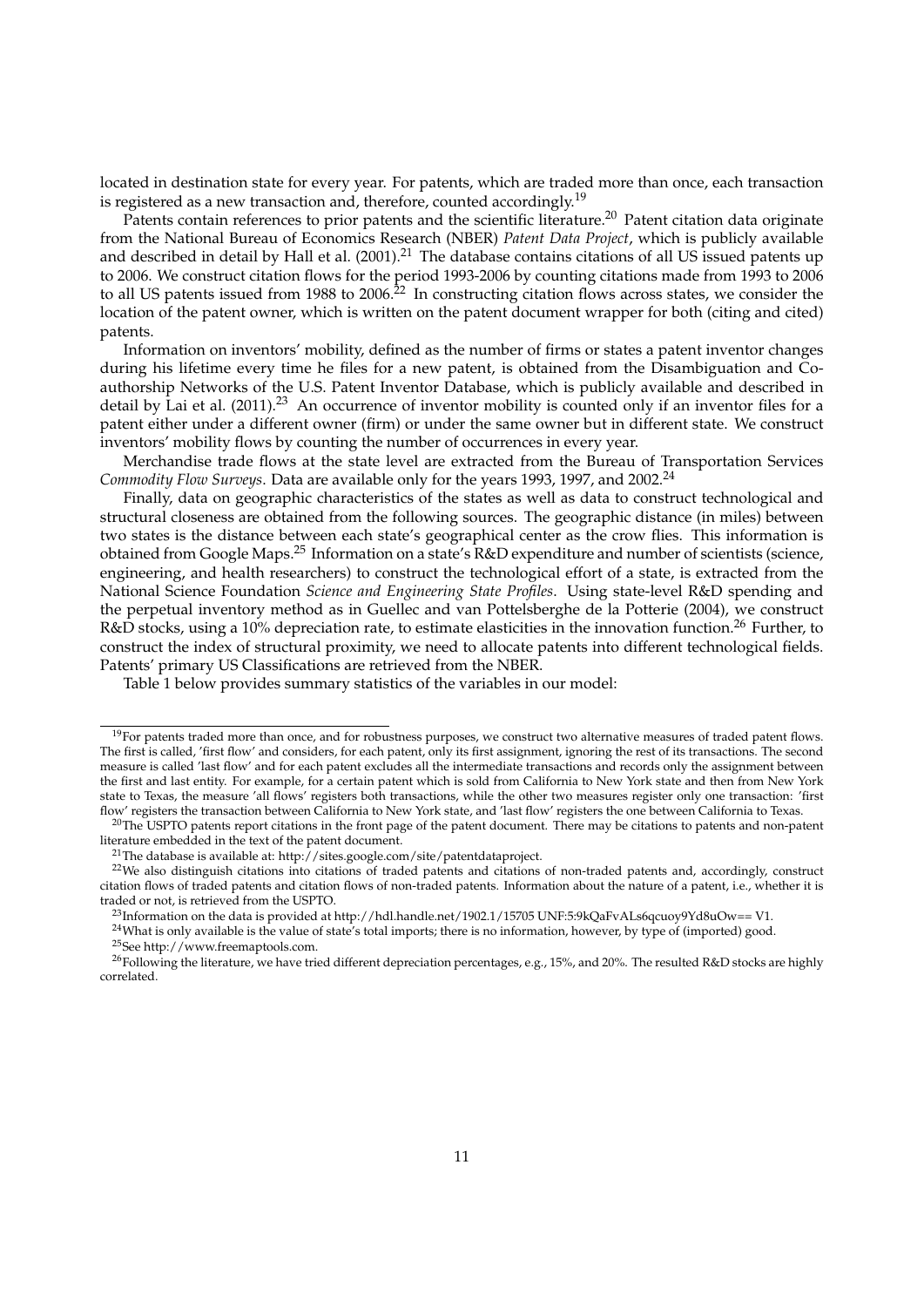located in destination state for every year. For patents, which are traded more than once, each transaction is registered as a new transaction and, therefore, counted accordingly.<sup>19</sup>

Patents contain references to prior patents and the scientific literature.<sup>20</sup> Patent citation data originate from the National Bureau of Economics Research (NBER) *Patent Data Project*, which is publicly available and described in detail by Hall et al. (2001).<sup>21</sup> The database contains citations of all US issued patents up to 2006. We construct citation flows for the period 1993-2006 by counting citations made from 1993 to 2006 to all US patents issued from 1988 to 2006.<sup>22</sup> In constructing citation flows across states, we consider the location of the patent owner, which is written on the patent document wrapper for both (citing and cited) patents.

Information on inventors' mobility, defined as the number of firms or states a patent inventor changes during his lifetime every time he files for a new patent, is obtained from the Disambiguation and Coauthorship Networks of the U.S. Patent Inventor Database, which is publicly available and described in detail by Lai et al. (2011).<sup>23</sup> An occurrence of inventor mobility is counted only if an inventor files for a patent either under a different owner (firm) or under the same owner but in different state. We construct inventors' mobility flows by counting the number of occurrences in every year.

Merchandise trade flows at the state level are extracted from the Bureau of Transportation Services *Commodity Flow Surveys*. Data are available only for the years 1993, 1997, and 2002.<sup>24</sup>

Finally, data on geographic characteristics of the states as well as data to construct technological and structural closeness are obtained from the following sources. The geographic distance (in miles) between two states is the distance between each state's geographical center as the crow flies. This information is obtained from Google Maps.<sup>25</sup> Information on a state's R&D expenditure and number of scientists (science, engineering, and health researchers) to construct the technological effort of a state, is extracted from the National Science Foundation *Science and Engineering State Profiles*. Using state-level R&D spending and the perpetual inventory method as in Guellec and van Pottelsberghe de la Potterie (2004), we construct R&D stocks, using a 10% depreciation rate, to estimate elasticities in the innovation function.<sup>26</sup> Further, to construct the index of structural proximity, we need to allocate patents into different technological fields. Patents' primary US Classifications are retrieved from the NBER.

Table 1 below provides summary statistics of the variables in our model:

<sup>&</sup>lt;sup>19</sup>For patents traded more than once, and for robustness purposes, we construct two alternative measures of traded patent flows. The first is called, 'first flow' and considers, for each patent, only its first assignment, ignoring the rest of its transactions. The second measure is called 'last flow' and for each patent excludes all the intermediate transactions and records only the assignment between the first and last entity. For example, for a certain patent which is sold from California to New York state and then from New York state to Texas, the measure 'all flows' registers both transactions, while the other two measures register only one transaction: 'first flow' registers the transaction between California to New York state, and 'last flow' registers the one between California to Texas.

<sup>&</sup>lt;sup>20</sup>The USPTO patents report citations in the front page of the patent document. There may be citations to patents and non-patent literature embedded in the text of the patent document.

<sup>&</sup>lt;sup>21</sup>The database is available at: http://sites.google.com/site/patentdataproject.

<sup>&</sup>lt;sup>22</sup>We also distinguish citations into citations of traded patents and citations of non-traded patents and, accordingly, construct citation flows of traded patents and citation flows of non-traded patents. Information about the nature of a patent, i.e., whether it is traded or not, is retrieved from the USPTO.

<sup>&</sup>lt;sup>23</sup>Information on the data is provided at http://hdl.handle.net/1902.1/15705 UNF:5:9kQaFvALs6qcuoy9Yd8uOw== V1.

<sup>&</sup>lt;sup>24</sup>What is only available is the value of state's total imports; there is no information, however, by type of (imported) good.

<sup>25</sup>See http://www.freemaptools.com.

<sup>&</sup>lt;sup>26</sup>Following the literature, we have tried different depreciation percentages, e.g., 15%, and 20%. The resulted R&D stocks are highly correlated.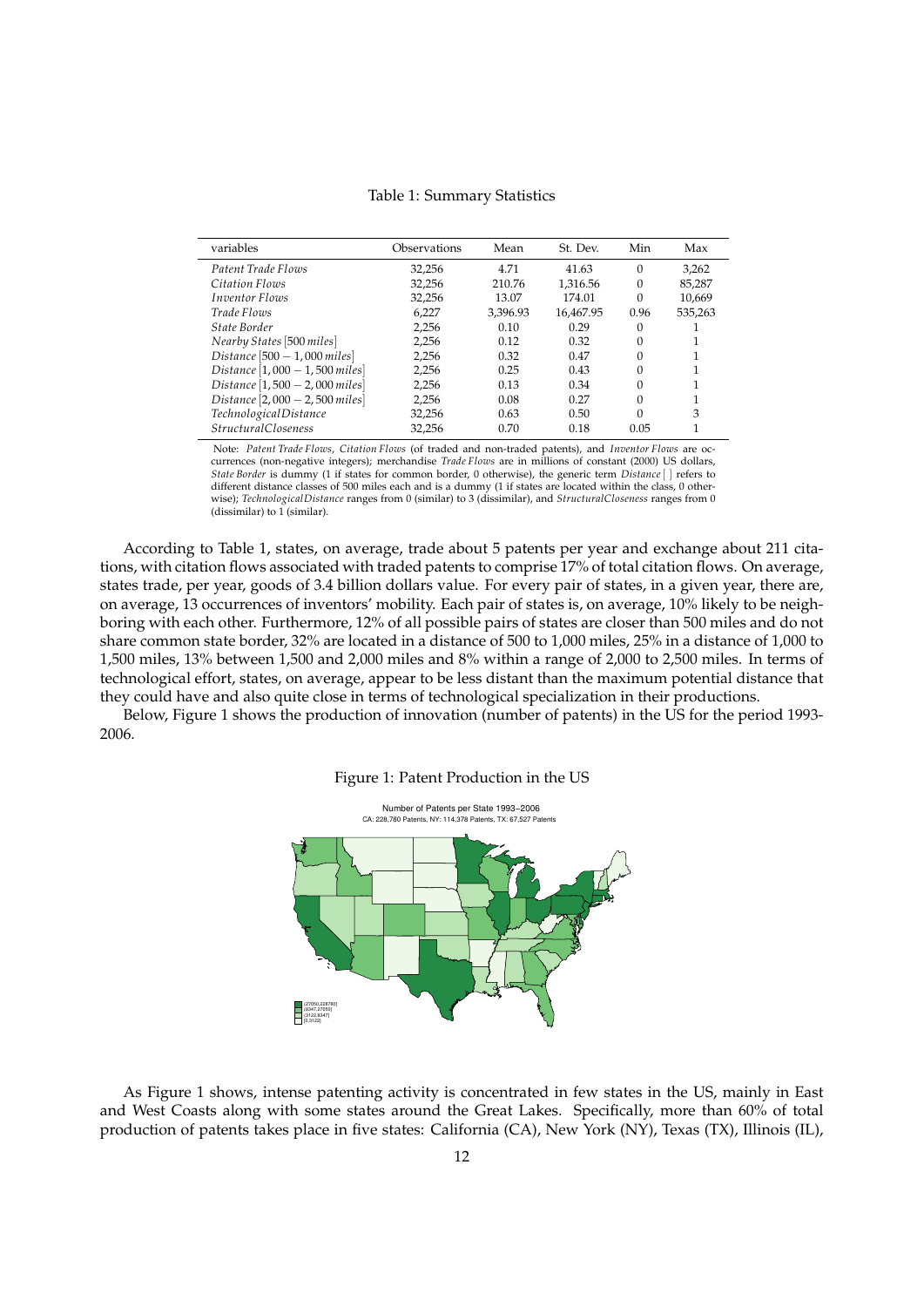| variables                       | Observations | Mean     | St. Dev.  | Min      | Max     |
|---------------------------------|--------------|----------|-----------|----------|---------|
| Patent Trade Flows              | 32,256       | 4.71     | 41.63     | 0        | 3.262   |
| Citation Flows                  | 32.256       | 210.76   | 1.316.56  | 0        | 85,287  |
| <b>Inventor Flows</b>           | 32,256       | 13.07    | 174.01    | 0        | 10,669  |
| Trade Flows                     | 6,227        | 3.396.93 | 16.467.95 | 0.96     | 535,263 |
| State Border                    | 2.256        | 0.10     | 0.29      | 0        |         |
| Nearby States [500 miles]       | 2,256        | 0.12     | 0.32      | $\Omega$ |         |
| Distance $[500 - 1,000$ miles   | 2,256        | 0.32     | 0.47      | $\Omega$ |         |
| Distance $[1,000 - 1,500$ miles | 2.256        | 0.25     | 0.43      | $\Omega$ |         |
| Distance $[1,500 - 2,000$ miles | 2,256        | 0.13     | 0.34      | $\Omega$ |         |
| Distance $[2,000 - 2,500$ miles | 2,256        | 0.08     | 0.27      | $\Omega$ |         |
| Technological Distance          | 32,256       | 0.63     | 0.50      | $\Omega$ | 3       |
| <b>StructuralCloseness</b>      | 32.256       | 0.70     | 0.18      | 0.05     |         |

Table 1: Summary Statistics

Note: *Patent Trade Flows*, *Citation Flows* (of traded and non-traded patents), and *Inventor Flows* are occurrences (non-negative integers); merchandise *Trade Flows* are in millions of constant (2000) US dollars, *State Border* is dummy (1 if states for common border, 0 otherwise), the generic term *Distance*[ ] refers to different distance classes of 500 miles each and is a dummy (1 if states are located within the class, 0 otherwise); *TechnologicalDistance* ranges from 0 (similar) to 3 (dissimilar), and *StructuralCloseness* ranges from 0 (dissimilar) to 1 (similar).

According to Table 1, states, on average, trade about 5 patents per year and exchange about 211 citations, with citation flows associated with traded patents to comprise 17% of total citation flows. On average, states trade, per year, goods of 3.4 billion dollars value. For every pair of states, in a given year, there are, on average, 13 occurrences of inventors' mobility. Each pair of states is, on average, 10% likely to be neighboring with each other. Furthermore, 12% of all possible pairs of states are closer than 500 miles and do not share common state border, 32% are located in a distance of 500 to 1,000 miles, 25% in a distance of 1,000 to 1,500 miles, 13% between 1,500 and 2,000 miles and 8% within a range of 2,000 to 2,500 miles. In terms of technological effort, states, on average, appear to be less distant than the maximum potential distance that they could have and also quite close in terms of technological specialization in their productions.

Below, Figure 1 shows the production of innovation (number of patents) in the US for the period 1993- 2006.





As Figure 1 shows, intense patenting activity is concentrated in few states in the US, mainly in East and West Coasts along with some states around the Great Lakes. Specifically, more than 60% of total production of patents takes place in five states: California (CA), New York (NY), Texas (TX), Illinois (IL),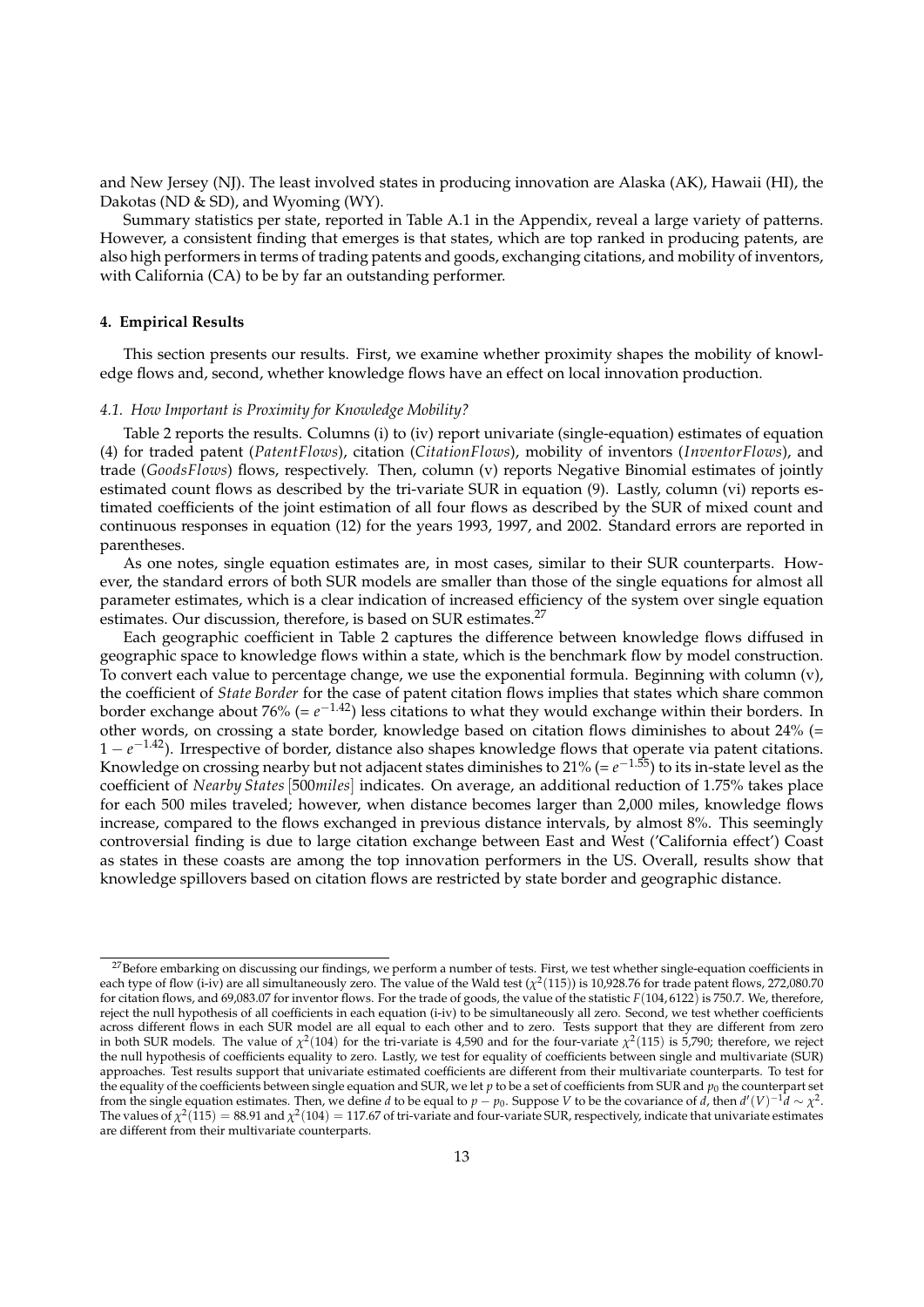and New Jersey (NJ). The least involved states in producing innovation are Alaska (AK), Hawaii (HI), the Dakotas (ND & SD), and Wyoming (WY).

Summary statistics per state, reported in Table A.1 in the Appendix, reveal a large variety of patterns. However, a consistent finding that emerges is that states, which are top ranked in producing patents, are also high performers in terms of trading patents and goods, exchanging citations, and mobility of inventors, with California (CA) to be by far an outstanding performer.

# **4. Empirical Results**

This section presents our results. First, we examine whether proximity shapes the mobility of knowledge flows and, second, whether knowledge flows have an effect on local innovation production.

# *4.1. How Important is Proximity for Knowledge Mobility?*

Table 2 reports the results. Columns (i) to (iv) report univariate (single-equation) estimates of equation (4) for traded patent (*PatentFlows*), citation (*CitationFlows*), mobility of inventors (*InventorFlows*), and trade (*GoodsFlows*) flows, respectively. Then, column (v) reports Negative Binomial estimates of jointly estimated count flows as described by the tri-variate SUR in equation (9). Lastly, column (vi) reports estimated coefficients of the joint estimation of all four flows as described by the SUR of mixed count and continuous responses in equation (12) for the years 1993, 1997, and 2002. Standard errors are reported in parentheses.

As one notes, single equation estimates are, in most cases, similar to their SUR counterparts. However, the standard errors of both SUR models are smaller than those of the single equations for almost all parameter estimates, which is a clear indication of increased efficiency of the system over single equation estimates. Our discussion, therefore, is based on SUR estimates.<sup>27</sup>

Each geographic coefficient in Table 2 captures the difference between knowledge flows diffused in geographic space to knowledge flows within a state, which is the benchmark flow by model construction. To convert each value to percentage change, we use the exponential formula. Beginning with column (v), the coefficient of *State Border* for the case of patent citation flows implies that states which share common border exchange about 76% (=  $e^{-1.42}$ ) less citations to what they would exchange within their borders. In other words, on crossing a state border, knowledge based on citation flows diminishes to about 24% (= 1 − *e* <sup>−</sup>1.42). Irrespective of border, distance also shapes knowledge flows that operate via patent citations. Knowledge on crossing nearby but not adjacent states diminishes to 21% (= *e* <sup>−</sup>1.55) to its in-state level as the coefficient of *Nearby States*[500*miles*] indicates. On average, an additional reduction of 1.75% takes place for each 500 miles traveled; however, when distance becomes larger than 2,000 miles, knowledge flows increase, compared to the flows exchanged in previous distance intervals, by almost 8%. This seemingly controversial finding is due to large citation exchange between East and West ('California effect') Coast as states in these coasts are among the top innovation performers in the US. Overall, results show that knowledge spillovers based on citation flows are restricted by state border and geographic distance.

<sup>&</sup>lt;sup>27</sup>Before embarking on discussing our findings, we perform a number of tests. First, we test whether single-equation coefficients in each type of flow (i-iv) are all simultaneously zero. The value of the Wald test ( $\chi^2(115)$ ) is 10,928.76 for trade patent flows, 272,080.70 for citation flows, and 69,083.07 for inventor flows. For the trade of goods, the value of the statistic *F*(104, 6122) is 750.7. We, therefore, reject the null hypothesis of all coefficients in each equation (i-iv) to be simultaneously all zero. Second, we test whether coefficients across different flows in each SUR model are all equal to each other and to zero. Tests support that they are different from zero in both SUR models. The value of  $\chi^2(104)$  for the tri-variate is 4,590 and for the four-variate  $\chi^2(115)$  is 5,790; therefore, we reject the null hypothesis of coefficients equality to zero. Lastly, we test for equality of coefficients between single and multivariate (SUR) approaches. Test results support that univariate estimated coefficients are different from their multivariate counterparts. To test for the equality of the coefficients between single equation and SUR, we let *p* to be a set of coefficients from SUR and *p*<sup>0</sup> the counterpart set from the single equation estimates. Then, we define *d* to be equal to  $p - p_0$ . Suppose *V* to be the covariance of *d*, then  $d'(V)^{-1}d \sim \chi^2$ . The values of  $\chi^2(115) = 88.91$  and  $\chi^2(104) = 117.67$  of tri-variate and four-variate SUR, respectively, indicate that univariate estimates are different from their multivariate counterparts.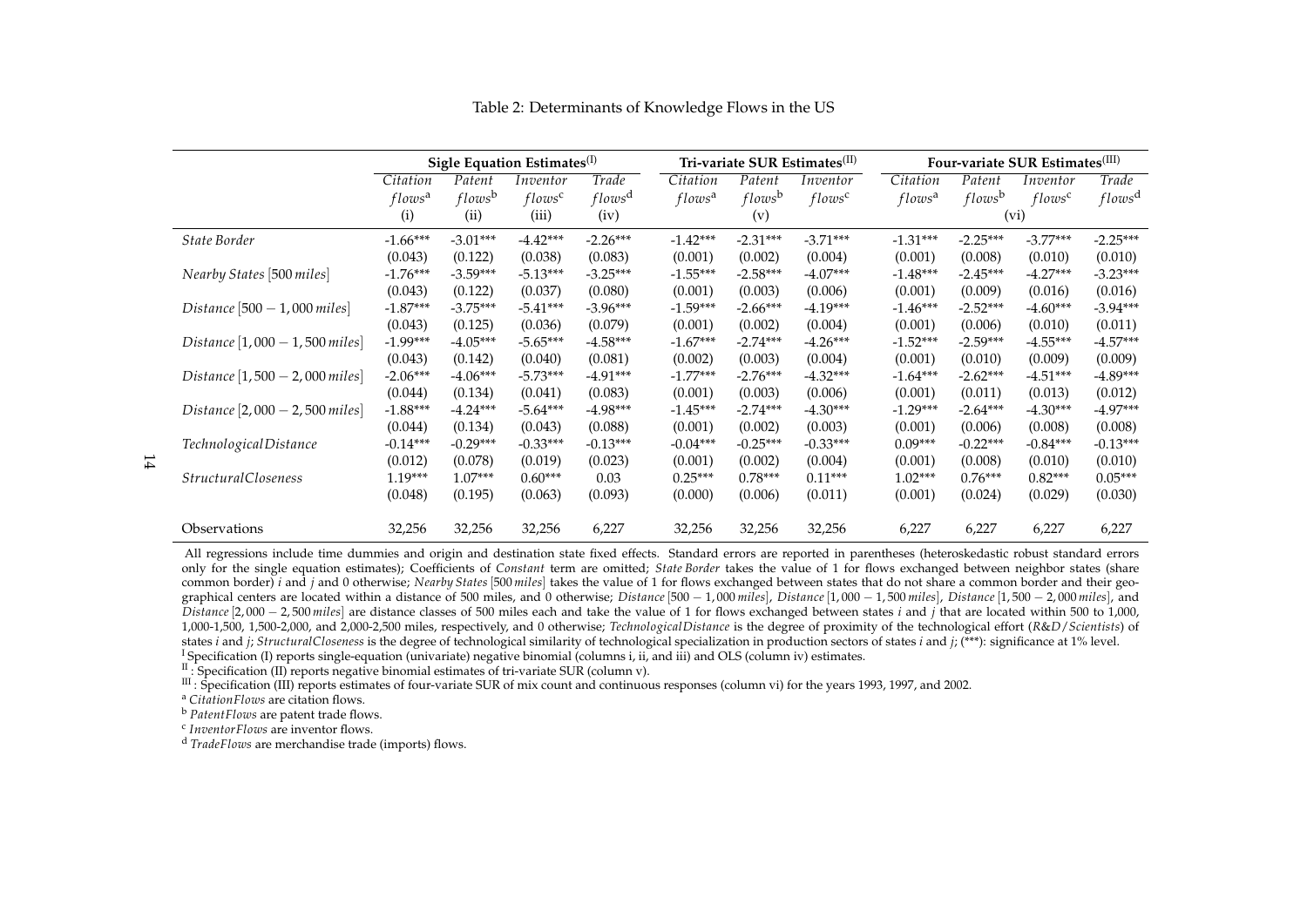|                                  | Sigle Equation Estimates <sup>(I)</sup> |                    |                    |                    | Tri-variate SUR Estimates <sup>(II)</sup> |                     |                    | Four-variate SUR Estimates <sup>(III)</sup> |                    |                    |                    |
|----------------------------------|-----------------------------------------|--------------------|--------------------|--------------------|-------------------------------------------|---------------------|--------------------|---------------------------------------------|--------------------|--------------------|--------------------|
|                                  | Citation                                | Patent             | Inventor           | Trade              | Citation                                  | $\overline{Patent}$ | Inventor           | Citation                                    | Patent             | Inventor           | Trade              |
|                                  | flows <sup>a</sup>                      | flows <sup>b</sup> | flows <sup>c</sup> | flows <sup>d</sup> | flows <sup>a</sup>                        | flows <sup>b</sup>  | flows <sup>c</sup> | flows <sup>a</sup>                          | flows <sup>b</sup> | flows <sup>c</sup> | flows <sup>d</sup> |
|                                  | (i)                                     | (ii)               | (iii)              | (iv)               |                                           | (v)                 |                    |                                             |                    | (vi)               |                    |
| State Border                     | $-1.66***$                              | $-3.01***$         | $-4.42***$         | $-2.26***$         | $-1.42***$                                | $-2.31***$          | $-3.71***$         | $-1.31***$                                  | $-2.25***$         | $-3.77***$         | $-2.25***$         |
|                                  | (0.043)                                 | (0.122)            | (0.038)            | (0.083)            | (0.001)                                   | (0.002)             | (0.004)            | (0.001)                                     | (0.008)            | (0.010)            | (0.010)            |
| Nearby States [500 miles]        | $-1.76***$                              | $-3.59***$         | $-5.13***$         | $-3.25***$         | $-1.55***$                                | $-2.58***$          | $-4.07***$         | $-1.48***$                                  | $-2.45***$         | $-4.27***$         | $-3.23***$         |
|                                  | (0.043)                                 | (0.122)            | (0.037)            | (0.080)            | (0.001)                                   | (0.003)             | (0.006)            | (0.001)                                     | (0.009)            | (0.016)            | (0.016)            |
| Distance $[500 - 1,000$ miles]   | $-1.87***$                              | $-3.75***$         | $-5.41***$         | $-3.96***$         | $-1.59***$                                | $-2.66***$          | $-4.19***$         | $-1.46***$                                  | $-2.52***$         | $-4.60***$         | $-3.94***$         |
|                                  | (0.043)                                 | (0.125)            | (0.036)            | (0.079)            | (0.001)                                   | (0.002)             | (0.004)            | (0.001)                                     | (0.006)            | (0.010)            | (0.011)            |
| Distance $[1,000 - 1,500$ miles] | $-1.99***$                              | $-4.05***$         | $-5.65***$         | $-4.58***$         | $-1.67***$                                | $-2.74***$          | $-4.26***$         | $-1.52***$                                  | $-2.59***$         | $-4.55***$         | $-4.57***$         |
|                                  | (0.043)                                 | (0.142)            | (0.040)            | (0.081)            | (0.002)                                   | (0.003)             | (0.004)            | (0.001)                                     | (0.010)            | (0.009)            | (0.009)            |
| Distance $[1,500 - 2,000$ miles  | $-2.06***$                              | $-4.06***$         | $-5.73***$         | $-4.91***$         | $-1.77***$                                | $-2.76***$          | $-4.32***$         | $-1.64***$                                  | $-2.62***$         | $-4.51***$         | $-4.89***$         |
|                                  | (0.044)                                 | (0.134)            | (0.041)            | (0.083)            | (0.001)                                   | (0.003)             | (0.006)            | (0.001)                                     | (0.011)            | (0.013)            | (0.012)            |
| Distance $[2,000 - 2,500$ miles] | $-1.88***$                              | $-4.24***$         | $-5.64***$         | $-4.98***$         | $-1.45***$                                | $-2.74***$          | $-4.30***$         | $-1.29***$                                  | $-2.64***$         | $-4.30***$         | $-4.97***$         |
|                                  | (0.044)                                 | (0.134)            | (0.043)            | (0.088)            | (0.001)                                   | (0.002)             | (0.003)            | (0.001)                                     | (0.006)            | (0.008)            | (0.008)            |
| Technological Distance           | $-0.14***$                              | $-0.29***$         | $-0.33***$         | $-0.13***$         | $-0.04***$                                | $-0.25***$          | $-0.33***$         | $0.09***$                                   | $-0.22***$         | $-0.84***$         | $-0.13***$         |
|                                  | (0.012)                                 | (0.078)            | (0.019)            | (0.023)            | (0.001)                                   | (0.002)             | (0.004)            | (0.001)                                     | (0.008)            | (0.010)            | (0.010)            |
| StructuralCloseness              | $1.19***$                               | $1.07***$          | $0.60***$          | 0.03               | $0.25***$                                 | $0.78***$           | $0.11***$          | $1.02***$                                   | $0.76***$          | $0.82***$          | $0.05***$          |
|                                  | (0.048)                                 | (0.195)            | (0.063)            | (0.093)            | (0.000)                                   | (0.006)             | (0.011)            | (0.001)                                     | (0.024)            | (0.029)            | (0.030)            |
| Observations                     | 32,256                                  | 32,256             | 32,256             | 6,227              | 32,256                                    | 32,256              | 32,256             | 6,227                                       | 6,227              | 6,227              | 6,227              |

Table 2: Determinants of Knowledge Flows in the US

All regressions include time dummies and origin and destination state fixed effects. Standard errors are reported in parentheses (heteroskedastic robust standard errors only for the single equation estimates); Coefficients of *Constant* term are omitted; *State Border* takes the value of 1 for flows exchanged between neighbor states (share common border) *i* and *j* and 0 otherwise; *Nearby States*[500 *miles*] takes the value of 1 for flows exchanged between states that do not share a common border and their geographical centers are located within a distance of 500 miles, and 0 otherwise; *Distance*[500 − 1, 000 *miles*], *Distance*[1, 000 − 1, 500 *miles*], *Distance*[1, 500 − 2, 000 *miles*], and *Distance*[2, 000 − 2, 500 *miles*] are distance classes of 500 miles each and take the value of 1 for flows exchanged between states *i* and *j* that are located within 500 to 1,000, 1,000-1,500, 1,500-2,000, and 2,000-2,500 miles, respectively, and 0 otherwise; *TechnologicalDistance* is the degree of proximity of the technological effort (*R*&*D*/*Scientists*) of states *i* and *j*; *StructuralCloseness* is the degree of technological similarity of technological specialization in production sectors of states *i* and *j*; (\*\*\*): significance at 1% level. <sup>I</sup> Specification (I) reports single-equation (univariate) negative binomial (columns i, ii, and iii) and OLS (column iv) estimates.

II : Specification (II) reports negative binomial estimates of tri-variate SUR (column v).

 $III$ : Specification (III) reports estimates of four-variate SUR of mix count and continuous responses (column vi) for the years 1993, 1997, and 2002.

<sup>a</sup> *CitationFlows* are citation flows.

<sup>b</sup> *PatentFlows* are patent trade flows.

c *InventorFlows* are inventor flows.

<sup>d</sup> *TradeFlows* are merchandise trade (imports) flows.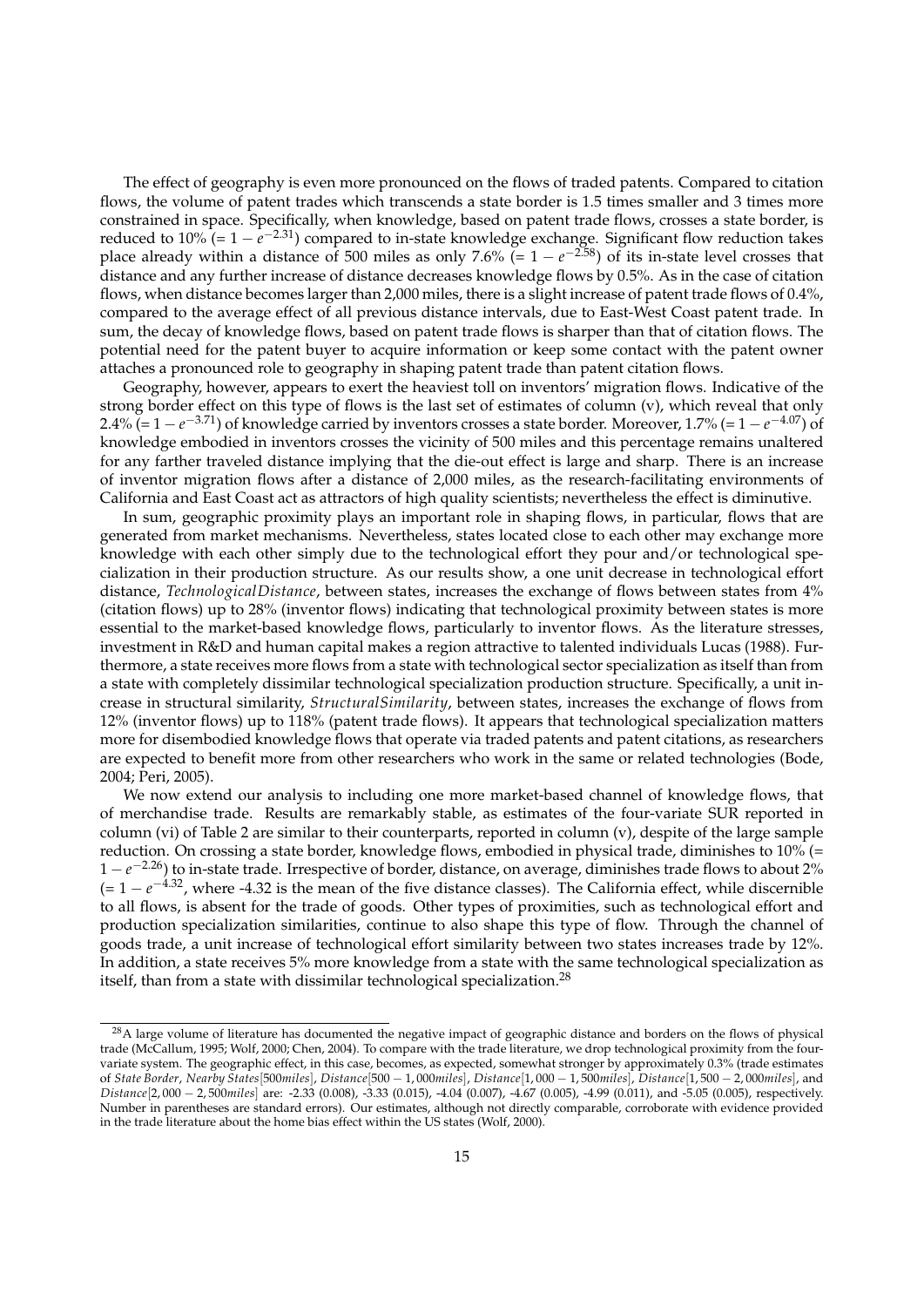The effect of geography is even more pronounced on the flows of traded patents. Compared to citation flows, the volume of patent trades which transcends a state border is 1.5 times smaller and 3 times more constrained in space. Specifically, when knowledge, based on patent trade flows, crosses a state border, is reduced to 10% (= 1 −  $e^{-2.31}$ ) compared to in-state knowledge exchange. Significant flow reduction takes place already within a distance of 500 miles as only 7.6% (=  $1 - e^{-2.58}$ ) of its in-state level crosses that distance and any further increase of distance decreases knowledge flows by 0.5%. As in the case of citation flows, when distance becomes larger than 2,000 miles, there is a slight increase of patent trade flows of 0.4%, compared to the average effect of all previous distance intervals, due to East-West Coast patent trade. In sum, the decay of knowledge flows, based on patent trade flows is sharper than that of citation flows. The potential need for the patent buyer to acquire information or keep some contact with the patent owner attaches a pronounced role to geography in shaping patent trade than patent citation flows.

Geography, however, appears to exert the heaviest toll on inventors' migration flows. Indicative of the strong border effect on this type of flows is the last set of estimates of column (v), which reveal that only 2.4% (= 1 −  $e^{-3.71}$ ) of knowledge carried by inventors crosses a state border. Moreover, 1.7% (= 1 −  $e^{-4.07}$ ) of knowledge embodied in inventors crosses the vicinity of 500 miles and this percentage remains unaltered for any farther traveled distance implying that the die-out effect is large and sharp. There is an increase of inventor migration flows after a distance of 2,000 miles, as the research-facilitating environments of California and East Coast act as attractors of high quality scientists; nevertheless the effect is diminutive.

In sum, geographic proximity plays an important role in shaping flows, in particular, flows that are generated from market mechanisms. Nevertheless, states located close to each other may exchange more knowledge with each other simply due to the technological effort they pour and/or technological specialization in their production structure. As our results show, a one unit decrease in technological effort distance, *TechnologicalDistance*, between states, increases the exchange of flows between states from 4% (citation flows) up to 28% (inventor flows) indicating that technological proximity between states is more essential to the market-based knowledge flows, particularly to inventor flows. As the literature stresses, investment in R&D and human capital makes a region attractive to talented individuals Lucas (1988). Furthermore, a state receives more flows from a state with technological sector specialization as itself than from a state with completely dissimilar technological specialization production structure. Specifically, a unit increase in structural similarity, *StructuralSimilarity*, between states, increases the exchange of flows from 12% (inventor flows) up to 118% (patent trade flows). It appears that technological specialization matters more for disembodied knowledge flows that operate via traded patents and patent citations, as researchers are expected to benefit more from other researchers who work in the same or related technologies (Bode, 2004; Peri, 2005).

We now extend our analysis to including one more market-based channel of knowledge flows, that of merchandise trade. Results are remarkably stable, as estimates of the four-variate SUR reported in column (vi) of Table 2 are similar to their counterparts, reported in column (v), despite of the large sample reduction. On crossing a state border, knowledge flows, embodied in physical trade, diminishes to 10% (= 1 − *e* <sup>−</sup>2.26) to in-state trade. Irrespective of border, distance, on average, diminishes trade flows to about 2%  $(= 1 - e^{-4.32})$ , where -4.32 is the mean of the five distance classes). The California effect, while discernible to all flows, is absent for the trade of goods. Other types of proximities, such as technological effort and production specialization similarities, continue to also shape this type of flow. Through the channel of goods trade, a unit increase of technological effort similarity between two states increases trade by 12%. In addition, a state receives 5% more knowledge from a state with the same technological specialization as itself, than from a state with dissimilar technological specialization.<sup>28</sup>

<sup>&</sup>lt;sup>28</sup>A large volume of literature has documented the negative impact of geographic distance and borders on the flows of physical trade (McCallum, 1995; Wolf, 2000; Chen, 2004). To compare with the trade literature, we drop technological proximity from the fourvariate system. The geographic effect, in this case, becomes, as expected, somewhat stronger by approximately 0.3% (trade estimates of *State Border*, *Nearby States*[500*miles*], *Distance*[500 − 1, 000*miles*], *Distance*[1, 000 − 1, 500*miles*], *Distance*[1, 500 − 2, 000*miles*], and *Distance*[2, 000 − 2, 500*miles*] are: -2.33 (0.008), -3.33 (0.015), -4.04 (0.007), -4.67 (0.005), -4.99 (0.011), and -5.05 (0.005), respectively. Number in parentheses are standard errors). Our estimates, although not directly comparable, corroborate with evidence provided in the trade literature about the home bias effect within the US states (Wolf, 2000).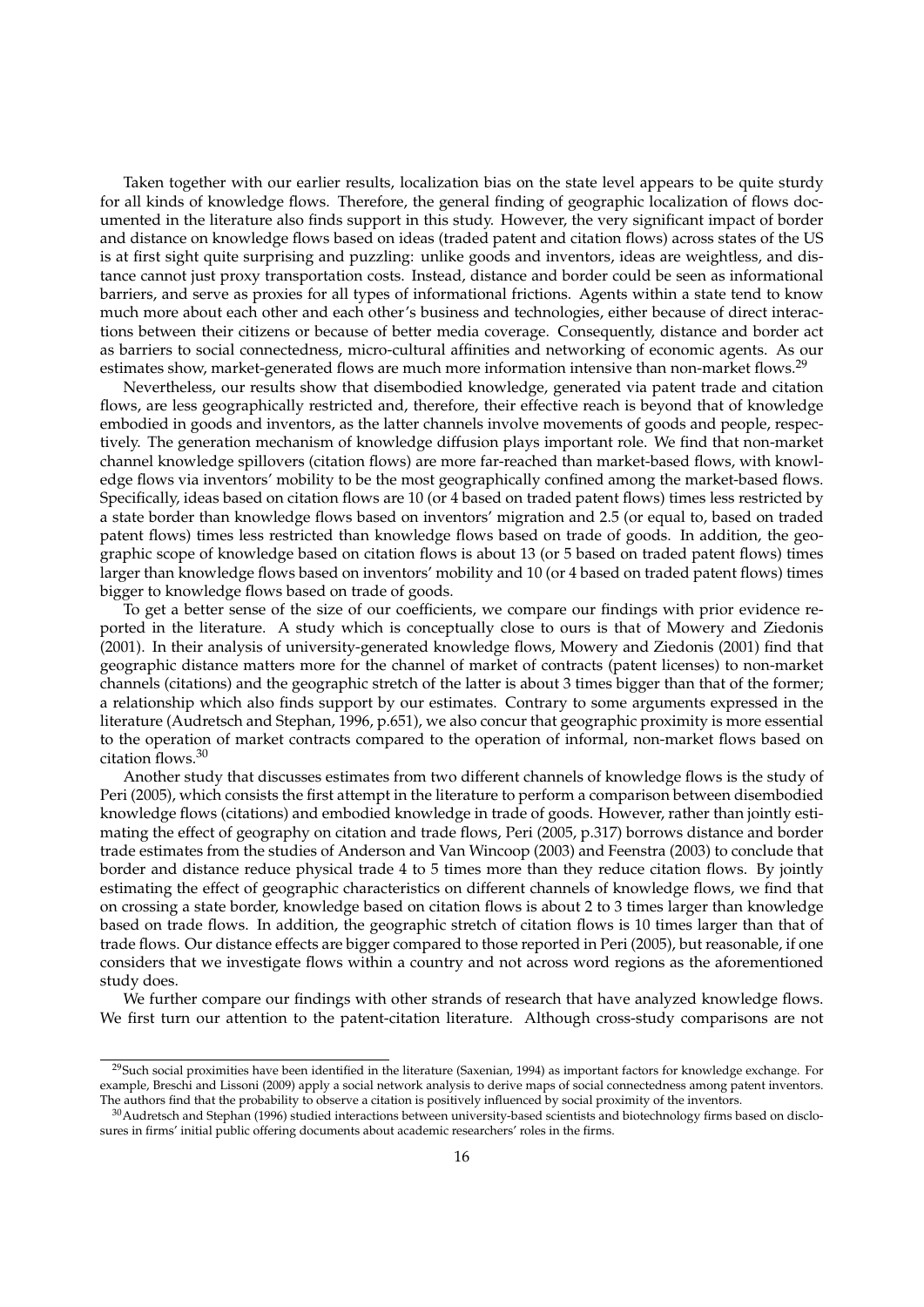Taken together with our earlier results, localization bias on the state level appears to be quite sturdy for all kinds of knowledge flows. Therefore, the general finding of geographic localization of flows documented in the literature also finds support in this study. However, the very significant impact of border and distance on knowledge flows based on ideas (traded patent and citation flows) across states of the US is at first sight quite surprising and puzzling: unlike goods and inventors, ideas are weightless, and distance cannot just proxy transportation costs. Instead, distance and border could be seen as informational barriers, and serve as proxies for all types of informational frictions. Agents within a state tend to know much more about each other and each other's business and technologies, either because of direct interactions between their citizens or because of better media coverage. Consequently, distance and border act as barriers to social connectedness, micro-cultural affinities and networking of economic agents. As our estimates show, market-generated flows are much more information intensive than non-market flows.<sup>29</sup>

Nevertheless, our results show that disembodied knowledge, generated via patent trade and citation flows, are less geographically restricted and, therefore, their effective reach is beyond that of knowledge embodied in goods and inventors, as the latter channels involve movements of goods and people, respectively. The generation mechanism of knowledge diffusion plays important role. We find that non-market channel knowledge spillovers (citation flows) are more far-reached than market-based flows, with knowledge flows via inventors' mobility to be the most geographically confined among the market-based flows. Specifically, ideas based on citation flows are 10 (or 4 based on traded patent flows) times less restricted by a state border than knowledge flows based on inventors' migration and 2.5 (or equal to, based on traded patent flows) times less restricted than knowledge flows based on trade of goods. In addition, the geographic scope of knowledge based on citation flows is about 13 (or 5 based on traded patent flows) times larger than knowledge flows based on inventors' mobility and 10 (or 4 based on traded patent flows) times bigger to knowledge flows based on trade of goods.

To get a better sense of the size of our coefficients, we compare our findings with prior evidence reported in the literature. A study which is conceptually close to ours is that of Mowery and Ziedonis (2001). In their analysis of university-generated knowledge flows, Mowery and Ziedonis (2001) find that geographic distance matters more for the channel of market of contracts (patent licenses) to non-market channels (citations) and the geographic stretch of the latter is about 3 times bigger than that of the former; a relationship which also finds support by our estimates. Contrary to some arguments expressed in the literature (Audretsch and Stephan, 1996, p.651), we also concur that geographic proximity is more essential to the operation of market contracts compared to the operation of informal, non-market flows based on citation flows.<sup>30</sup>

Another study that discusses estimates from two different channels of knowledge flows is the study of Peri (2005), which consists the first attempt in the literature to perform a comparison between disembodied knowledge flows (citations) and embodied knowledge in trade of goods. However, rather than jointly estimating the effect of geography on citation and trade flows, Peri (2005, p.317) borrows distance and border trade estimates from the studies of Anderson and Van Wincoop (2003) and Feenstra (2003) to conclude that border and distance reduce physical trade 4 to 5 times more than they reduce citation flows. By jointly estimating the effect of geographic characteristics on different channels of knowledge flows, we find that on crossing a state border, knowledge based on citation flows is about 2 to 3 times larger than knowledge based on trade flows. In addition, the geographic stretch of citation flows is 10 times larger than that of trade flows. Our distance effects are bigger compared to those reported in Peri (2005), but reasonable, if one considers that we investigate flows within a country and not across word regions as the aforementioned study does.

We further compare our findings with other strands of research that have analyzed knowledge flows. We first turn our attention to the patent-citation literature. Although cross-study comparisons are not

 $29$ Such social proximities have been identified in the literature (Saxenian, 1994) as important factors for knowledge exchange. For example, Breschi and Lissoni (2009) apply a social network analysis to derive maps of social connectedness among patent inventors. The authors find that the probability to observe a citation is positively influenced by social proximity of the inventors.

<sup>30</sup>Audretsch and Stephan (1996) studied interactions between university-based scientists and biotechnology firms based on disclosures in firms' initial public offering documents about academic researchers' roles in the firms.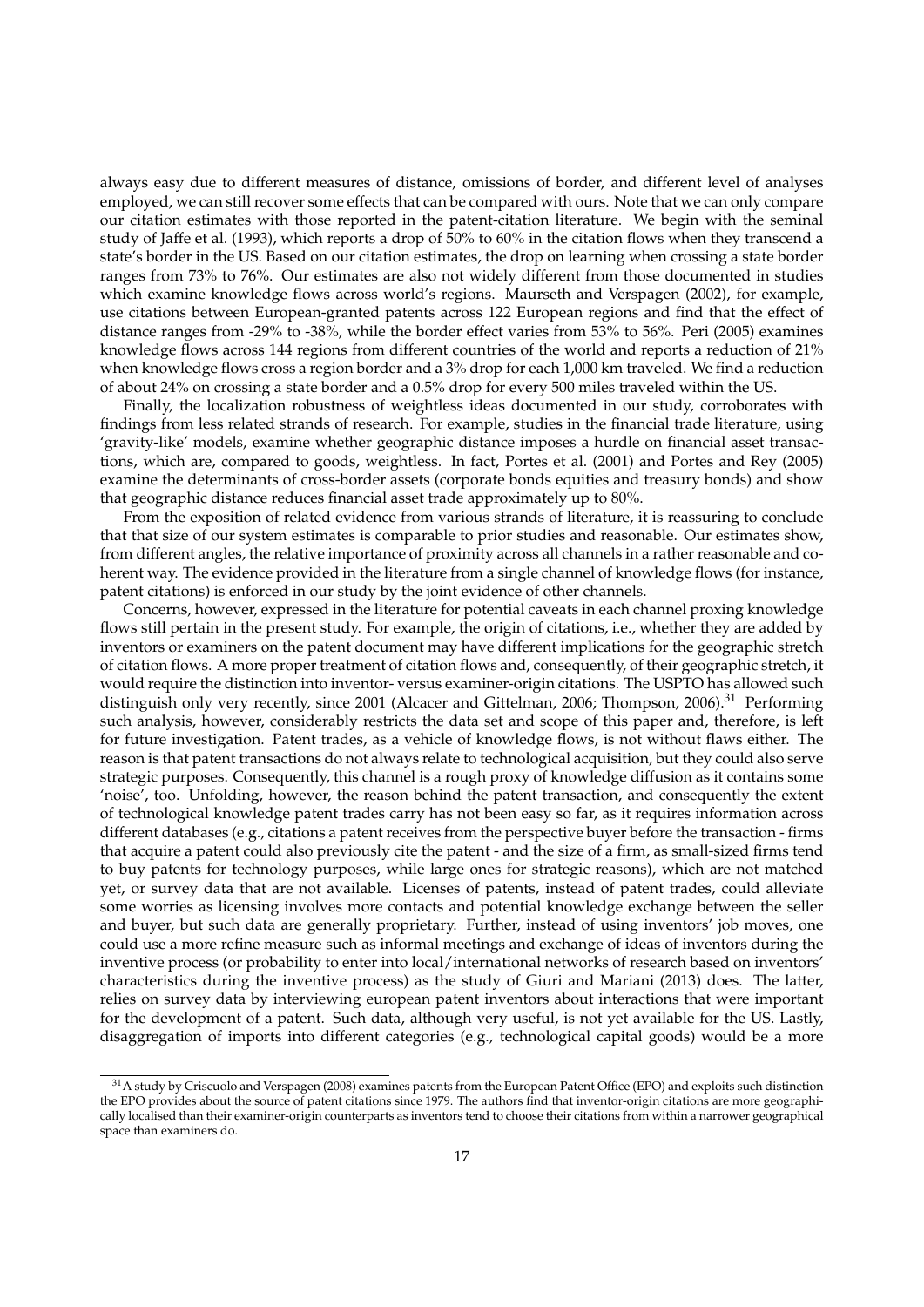always easy due to different measures of distance, omissions of border, and different level of analyses employed, we can still recover some effects that can be compared with ours. Note that we can only compare our citation estimates with those reported in the patent-citation literature. We begin with the seminal study of Jaffe et al. (1993), which reports a drop of 50% to 60% in the citation flows when they transcend a state's border in the US. Based on our citation estimates, the drop on learning when crossing a state border ranges from 73% to 76%. Our estimates are also not widely different from those documented in studies which examine knowledge flows across world's regions. Maurseth and Verspagen (2002), for example, use citations between European-granted patents across 122 European regions and find that the effect of distance ranges from -29% to -38%, while the border effect varies from 53% to 56%. Peri (2005) examines knowledge flows across 144 regions from different countries of the world and reports a reduction of 21% when knowledge flows cross a region border and a 3% drop for each 1,000 km traveled. We find a reduction of about 24% on crossing a state border and a 0.5% drop for every 500 miles traveled within the US.

Finally, the localization robustness of weightless ideas documented in our study, corroborates with findings from less related strands of research. For example, studies in the financial trade literature, using 'gravity-like' models, examine whether geographic distance imposes a hurdle on financial asset transactions, which are, compared to goods, weightless. In fact, Portes et al. (2001) and Portes and Rey (2005) examine the determinants of cross-border assets (corporate bonds equities and treasury bonds) and show that geographic distance reduces financial asset trade approximately up to 80%.

From the exposition of related evidence from various strands of literature, it is reassuring to conclude that that size of our system estimates is comparable to prior studies and reasonable. Our estimates show, from different angles, the relative importance of proximity across all channels in a rather reasonable and coherent way. The evidence provided in the literature from a single channel of knowledge flows (for instance, patent citations) is enforced in our study by the joint evidence of other channels.

Concerns, however, expressed in the literature for potential caveats in each channel proxing knowledge flows still pertain in the present study. For example, the origin of citations, i.e., whether they are added by inventors or examiners on the patent document may have different implications for the geographic stretch of citation flows. A more proper treatment of citation flows and, consequently, of their geographic stretch, it would require the distinction into inventor- versus examiner-origin citations. The USPTO has allowed such distinguish only very recently, since 2001 (Alcacer and Gittelman, 2006; Thompson, 2006).<sup>31</sup> Performing such analysis, however, considerably restricts the data set and scope of this paper and, therefore, is left for future investigation. Patent trades, as a vehicle of knowledge flows, is not without flaws either. The reason is that patent transactions do not always relate to technological acquisition, but they could also serve strategic purposes. Consequently, this channel is a rough proxy of knowledge diffusion as it contains some 'noise', too. Unfolding, however, the reason behind the patent transaction, and consequently the extent of technological knowledge patent trades carry has not been easy so far, as it requires information across different databases (e.g., citations a patent receives from the perspective buyer before the transaction - firms that acquire a patent could also previously cite the patent - and the size of a firm, as small-sized firms tend to buy patents for technology purposes, while large ones for strategic reasons), which are not matched yet, or survey data that are not available. Licenses of patents, instead of patent trades, could alleviate some worries as licensing involves more contacts and potential knowledge exchange between the seller and buyer, but such data are generally proprietary. Further, instead of using inventors' job moves, one could use a more refine measure such as informal meetings and exchange of ideas of inventors during the inventive process (or probability to enter into local/international networks of research based on inventors' characteristics during the inventive process) as the study of Giuri and Mariani (2013) does. The latter, relies on survey data by interviewing european patent inventors about interactions that were important for the development of a patent. Such data, although very useful, is not yet available for the US. Lastly, disaggregation of imports into different categories (e.g., technological capital goods) would be a more

<sup>&</sup>lt;sup>31</sup>A study by Criscuolo and Verspagen (2008) examines patents from the European Patent Office (EPO) and exploits such distinction the EPO provides about the source of patent citations since 1979. The authors find that inventor-origin citations are more geographically localised than their examiner-origin counterparts as inventors tend to choose their citations from within a narrower geographical space than examiners do.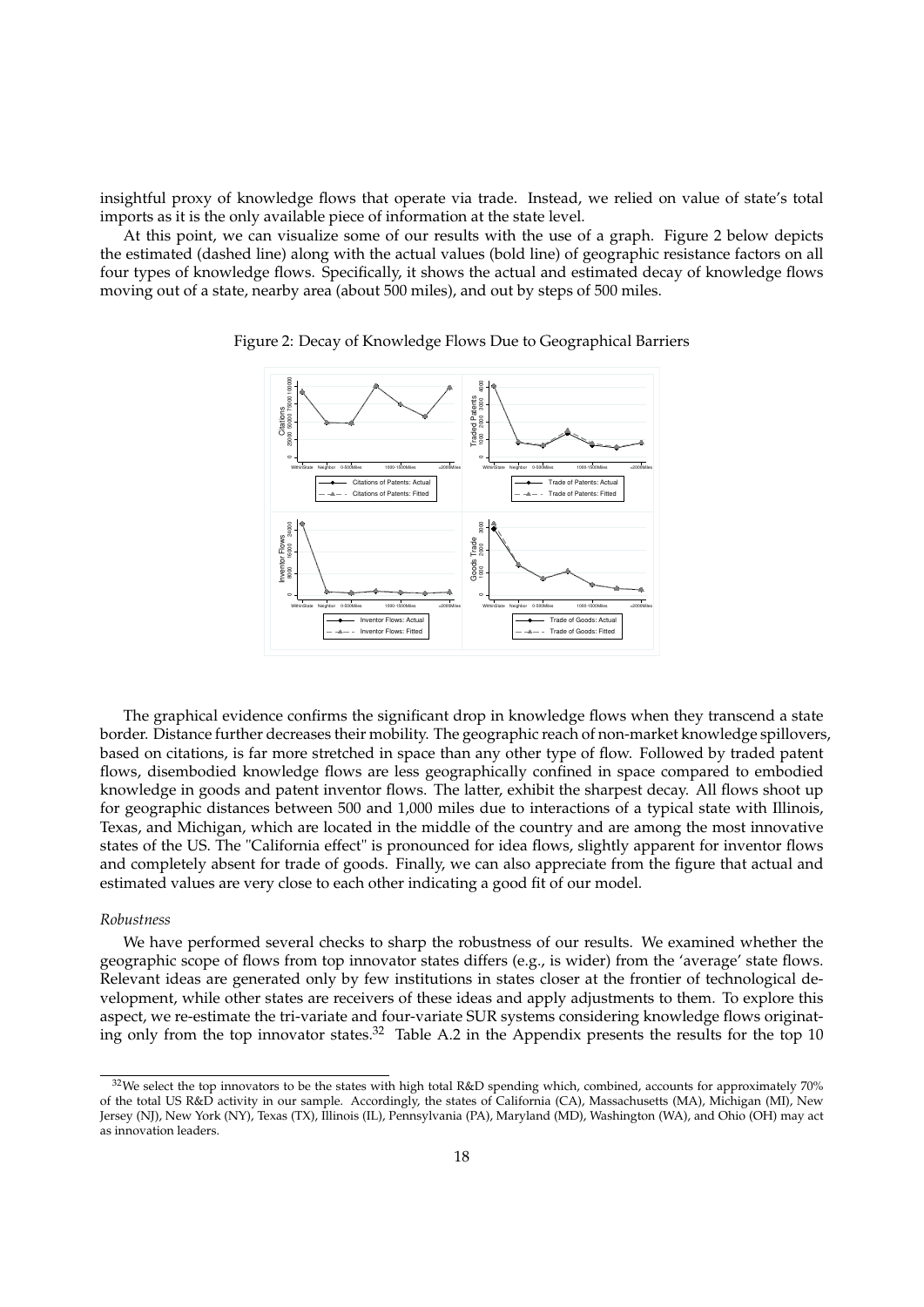insightful proxy of knowledge flows that operate via trade. Instead, we relied on value of state's total imports as it is the only available piece of information at the state level.

At this point, we can visualize some of our results with the use of a graph. Figure 2 below depicts the estimated (dashed line) along with the actual values (bold line) of geographic resistance factors on all four types of knowledge flows. Specifically, it shows the actual and estimated decay of knowledge flows moving out of a state, nearby area (about 500 miles), and out by steps of 500 miles.



Figure 2: Decay of Knowledge Flows Due to Geographical Barriers

The graphical evidence confirms the significant drop in knowledge flows when they transcend a state border. Distance further decreases their mobility. The geographic reach of non-market knowledge spillovers, based on citations, is far more stretched in space than any other type of flow. Followed by traded patent flows, disembodied knowledge flows are less geographically confined in space compared to embodied knowledge in goods and patent inventor flows. The latter, exhibit the sharpest decay. All flows shoot up for geographic distances between 500 and 1,000 miles due to interactions of a typical state with Illinois, Texas, and Michigan, which are located in the middle of the country and are among the most innovative states of the US. The "California effect" is pronounced for idea flows, slightly apparent for inventor flows and completely absent for trade of goods. Finally, we can also appreciate from the figure that actual and estimated values are very close to each other indicating a good fit of our model.

#### *Robustness*

We have performed several checks to sharp the robustness of our results. We examined whether the geographic scope of flows from top innovator states differs (e.g., is wider) from the 'average' state flows. Relevant ideas are generated only by few institutions in states closer at the frontier of technological development, while other states are receivers of these ideas and apply adjustments to them. To explore this aspect, we re-estimate the tri-variate and four-variate SUR systems considering knowledge flows originating only from the top innovator states.<sup>32</sup> Table A.2 in the Appendix presents the results for the top 10

 $32$  We select the top innovators to be the states with high total R&D spending which, combined, accounts for approximately 70% of the total US R&D activity in our sample. Accordingly, the states of California (CA), Massachusetts (MA), Michigan (MI), New Jersey (NJ), New York (NY), Texas (TX), Illinois (IL), Pennsylvania (PA), Maryland (MD), Washington (WA), and Ohio (OH) may act as innovation leaders.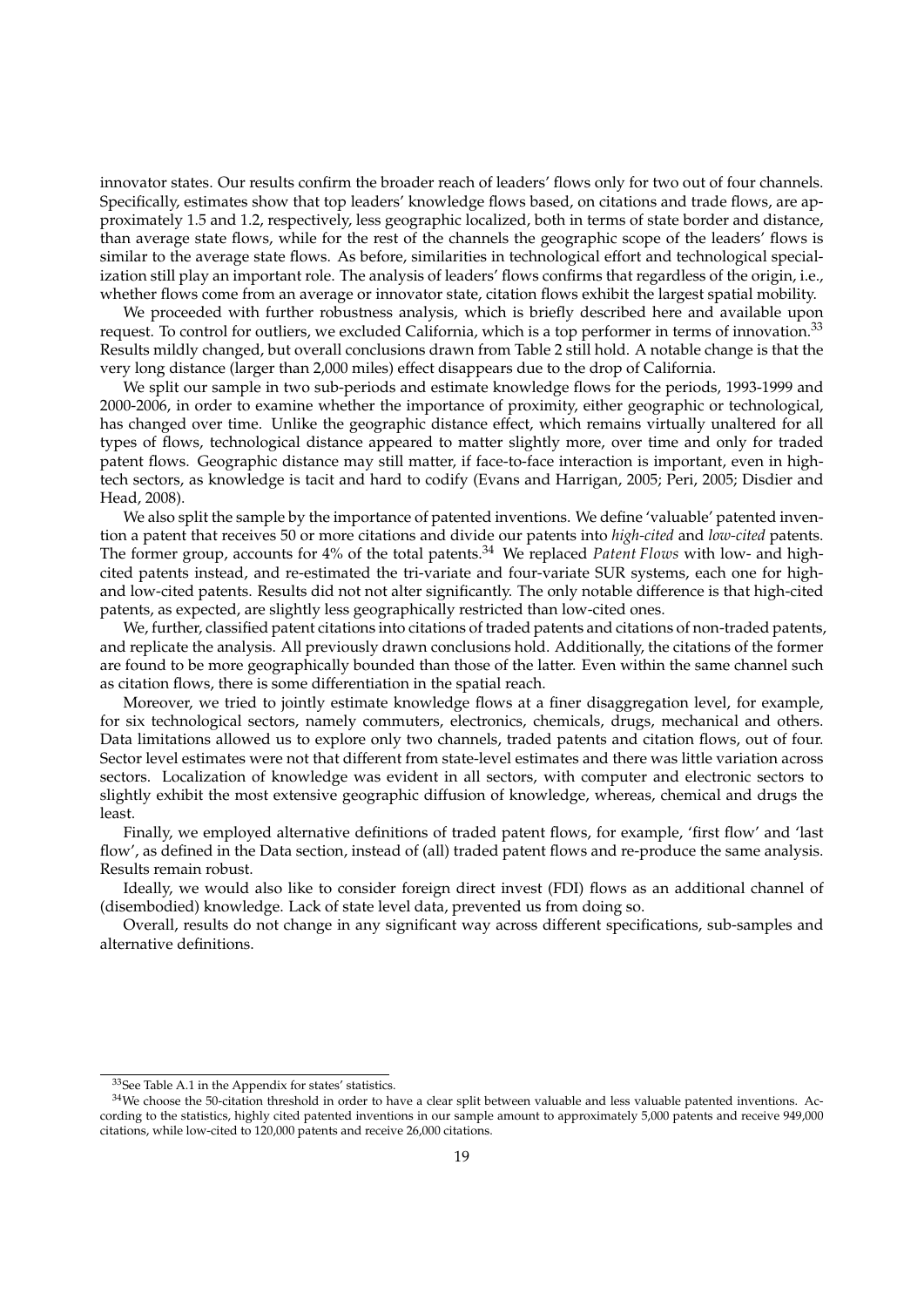innovator states. Our results confirm the broader reach of leaders' flows only for two out of four channels. Specifically, estimates show that top leaders' knowledge flows based, on citations and trade flows, are approximately 1.5 and 1.2, respectively, less geographic localized, both in terms of state border and distance, than average state flows, while for the rest of the channels the geographic scope of the leaders' flows is similar to the average state flows. As before, similarities in technological effort and technological specialization still play an important role. The analysis of leaders' flows confirms that regardless of the origin, i.e., whether flows come from an average or innovator state, citation flows exhibit the largest spatial mobility.

We proceeded with further robustness analysis, which is briefly described here and available upon request. To control for outliers, we excluded California, which is a top performer in terms of innovation.<sup>33</sup> Results mildly changed, but overall conclusions drawn from Table 2 still hold. A notable change is that the very long distance (larger than 2,000 miles) effect disappears due to the drop of California.

We split our sample in two sub-periods and estimate knowledge flows for the periods, 1993-1999 and 2000-2006, in order to examine whether the importance of proximity, either geographic or technological, has changed over time. Unlike the geographic distance effect, which remains virtually unaltered for all types of flows, technological distance appeared to matter slightly more, over time and only for traded patent flows. Geographic distance may still matter, if face-to-face interaction is important, even in hightech sectors, as knowledge is tacit and hard to codify (Evans and Harrigan, 2005; Peri, 2005; Disdier and Head, 2008).

We also split the sample by the importance of patented inventions. We define 'valuable' patented invention a patent that receives 50 or more citations and divide our patents into *high-cited* and *low-cited* patents. The former group, accounts for 4% of the total patents.<sup>34</sup> We replaced *Patent Flows* with low- and highcited patents instead, and re-estimated the tri-variate and four-variate SUR systems, each one for highand low-cited patents. Results did not not alter significantly. The only notable difference is that high-cited patents, as expected, are slightly less geographically restricted than low-cited ones.

We, further, classified patent citations into citations of traded patents and citations of non-traded patents, and replicate the analysis. All previously drawn conclusions hold. Additionally, the citations of the former are found to be more geographically bounded than those of the latter. Even within the same channel such as citation flows, there is some differentiation in the spatial reach.

Moreover, we tried to jointly estimate knowledge flows at a finer disaggregation level, for example, for six technological sectors, namely commuters, electronics, chemicals, drugs, mechanical and others. Data limitations allowed us to explore only two channels, traded patents and citation flows, out of four. Sector level estimates were not that different from state-level estimates and there was little variation across sectors. Localization of knowledge was evident in all sectors, with computer and electronic sectors to slightly exhibit the most extensive geographic diffusion of knowledge, whereas, chemical and drugs the least.

Finally, we employed alternative definitions of traded patent flows, for example, 'first flow' and 'last flow', as defined in the Data section, instead of (all) traded patent flows and re-produce the same analysis. Results remain robust.

Ideally, we would also like to consider foreign direct invest (FDI) flows as an additional channel of (disembodied) knowledge. Lack of state level data, prevented us from doing so.

Overall, results do not change in any significant way across different specifications, sub-samples and alternative definitions.

<sup>33</sup>See Table A.1 in the Appendix for states' statistics.

<sup>34</sup>We choose the 50-citation threshold in order to have a clear split between valuable and less valuable patented inventions. According to the statistics, highly cited patented inventions in our sample amount to approximately 5,000 patents and receive 949,000 citations, while low-cited to 120,000 patents and receive 26,000 citations.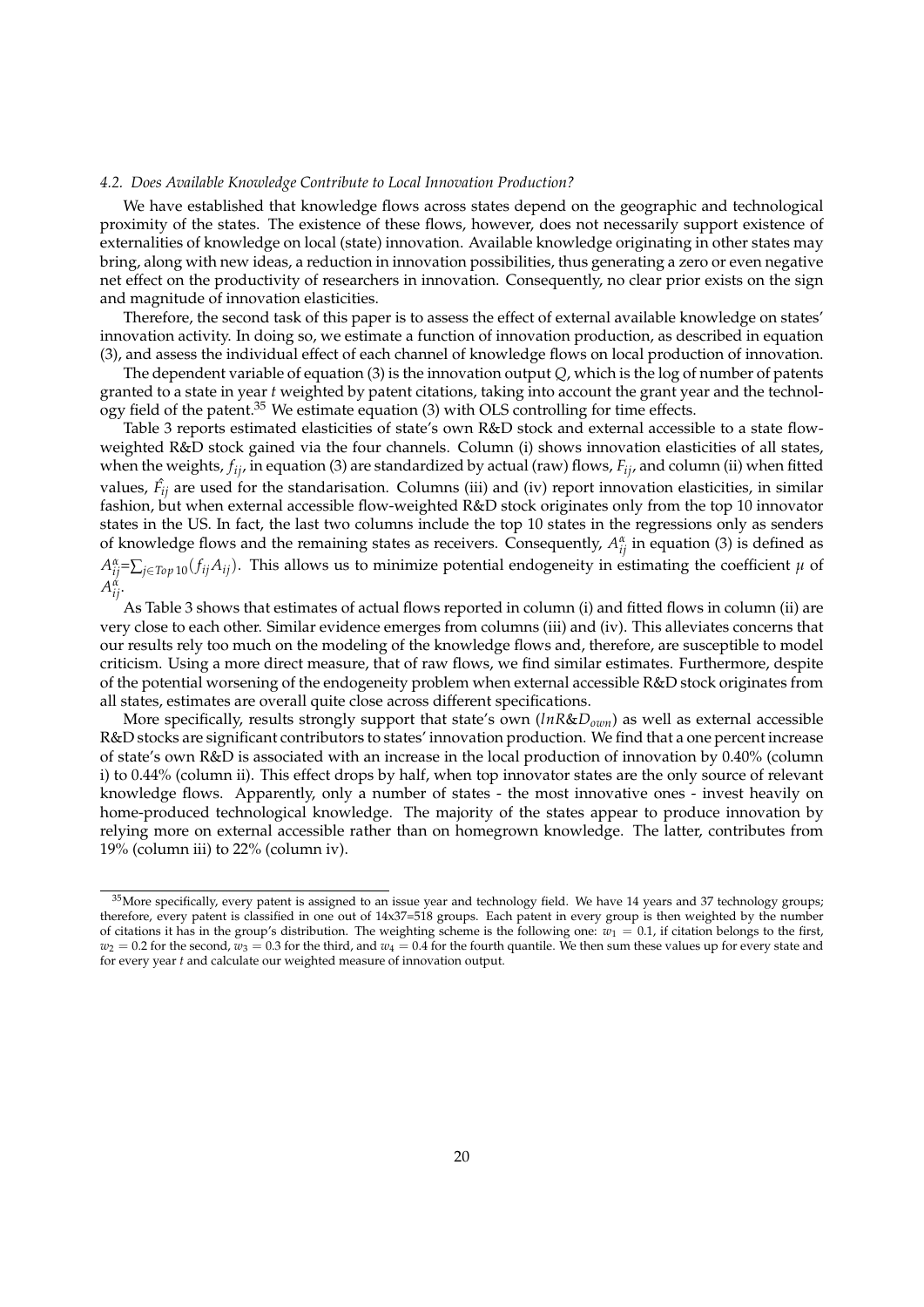#### *4.2. Does Available Knowledge Contribute to Local Innovation Production?*

We have established that knowledge flows across states depend on the geographic and technological proximity of the states. The existence of these flows, however, does not necessarily support existence of externalities of knowledge on local (state) innovation. Available knowledge originating in other states may bring, along with new ideas, a reduction in innovation possibilities, thus generating a zero or even negative net effect on the productivity of researchers in innovation. Consequently, no clear prior exists on the sign and magnitude of innovation elasticities.

Therefore, the second task of this paper is to assess the effect of external available knowledge on states' innovation activity. In doing so, we estimate a function of innovation production, as described in equation (3), and assess the individual effect of each channel of knowledge flows on local production of innovation.

The dependent variable of equation (3) is the innovation output *Q*, which is the log of number of patents granted to a state in year *t* weighted by patent citations, taking into account the grant year and the technology field of the patent.<sup>35</sup> We estimate equation (3) with OLS controlling for time effects.

Table 3 reports estimated elasticities of state's own R&D stock and external accessible to a state flowweighted R&D stock gained via the four channels. Column (i) shows innovation elasticities of all states, when the weights, *fij*, in equation (3) are standardized by actual (raw) flows, *Fij*, and column (ii) when fitted values,  $\hat{F}_{ij}$  are used for the standarisation. Columns (iii) and (iv) report innovation elasticities, in similar fashion, but when external accessible flow-weighted R&D stock originates only from the top 10 innovator states in the US. In fact, the last two columns include the top 10 states in the regressions only as senders of knowledge flows and the remaining states as receivers. Consequently,  $A_{ij}^{\alpha}$  in equation (3) is defined as  $A_{ij}^{\alpha} = \sum_{j \in Top 10} (f_{ij}A_{ij})$ . This allows us to minimize potential endogeneity in estimating the coefficient  $\mu$  of *A α ij*.

As Table 3 shows that estimates of actual flows reported in column (i) and fitted flows in column (ii) are very close to each other. Similar evidence emerges from columns (iii) and (iv). This alleviates concerns that our results rely too much on the modeling of the knowledge flows and, therefore, are susceptible to model criticism. Using a more direct measure, that of raw flows, we find similar estimates. Furthermore, despite of the potential worsening of the endogeneity problem when external accessible R&D stock originates from all states, estimates are overall quite close across different specifications.

More specifically, results strongly support that state's own (*lnR*&*Down*) as well as external accessible R&D stocks are significant contributors to states' innovation production. We find that a one percent increase of state's own R&D is associated with an increase in the local production of innovation by 0.40% (column i) to 0.44% (column ii). This effect drops by half, when top innovator states are the only source of relevant knowledge flows. Apparently, only a number of states - the most innovative ones - invest heavily on home-produced technological knowledge. The majority of the states appear to produce innovation by relying more on external accessible rather than on homegrown knowledge. The latter, contributes from 19% (column iii) to 22% (column iv).

 $35$ More specifically, every patent is assigned to an issue year and technology field. We have 14 years and 37 technology groups; therefore, every patent is classified in one out of 14x37=518 groups. Each patent in every group is then weighted by the number of citations it has in the group's distribution. The weighting scheme is the following one:  $w_1 = 0.1$ , if citation belongs to the first,  $w_2 = 0.2$  for the second,  $w_3 = 0.3$  for the third, and  $w_4 = 0.4$  for the fourth quantile. We then sum these values up for every state and for every year *t* and calculate our weighted measure of innovation output.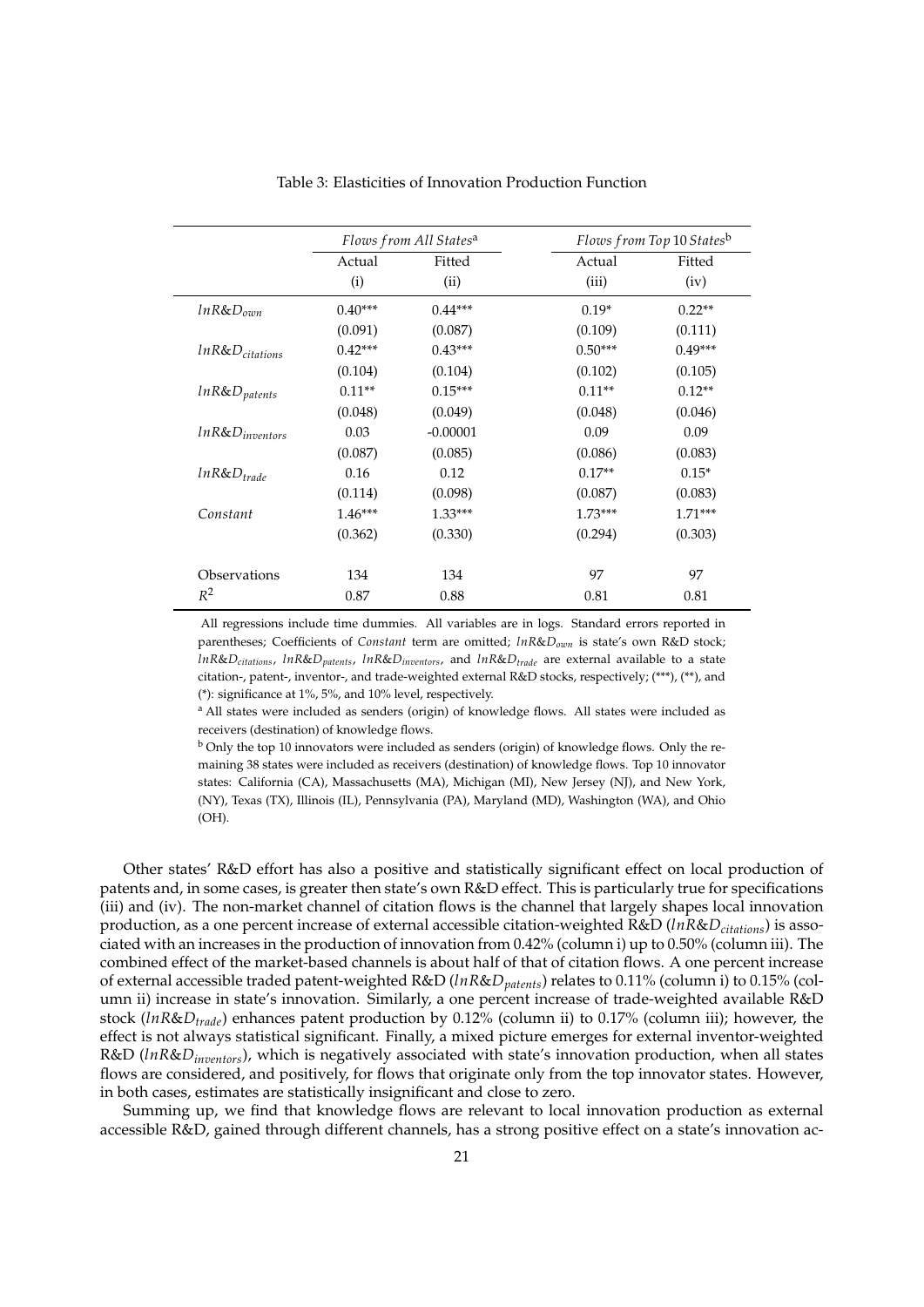|                        |           | Flows from All States <sup>a</sup> |           | Flows from Top 10 Statesb |  |  |
|------------------------|-----------|------------------------------------|-----------|---------------------------|--|--|
|                        | Actual    | Fitted                             | Actual    | Fitted                    |  |  |
|                        | (i)       | (ii)                               | (iii)     | (iv)                      |  |  |
| $ln R & D_{\alpha mn}$ | $0.40***$ | $0.44***$                          | $0.19*$   | $0.22**$                  |  |  |
|                        | (0.091)   | (0.087)                            | (0.109)   | (0.111)                   |  |  |
| $lnR&D_{citations}$    | $0.42***$ | $0.43***$                          | $0.50***$ | $0.49***$                 |  |  |
|                        | (0.104)   | (0.104)                            | (0.102)   | (0.105)                   |  |  |
| $lnR&D_{patterns}$     | $0.11**$  | $0.15***$                          | $0.11**$  | $0.12**$                  |  |  |
|                        | (0.048)   | (0.049)                            | (0.048)   | (0.046)                   |  |  |
| $ln R&D_{inventors}$   | 0.03      | $-0.00001$                         | 0.09      | 0.09                      |  |  |
|                        | (0.087)   | (0.085)                            | (0.086)   | (0.083)                   |  |  |
| $ln R$ & $D_{trade}$   | 0.16      | 0.12                               | $0.17**$  | $0.15*$                   |  |  |
|                        | (0.114)   | (0.098)                            | (0.087)   | (0.083)                   |  |  |
| Constant               | $1.46***$ | $1.33***$                          | $1.73***$ | $1.71***$                 |  |  |
|                        | (0.362)   | (0.330)                            | (0.294)   | (0.303)                   |  |  |
| Observations           | 134       | 134                                | 97        | 97                        |  |  |
| $R^2$                  | 0.87      | 0.88                               | 0.81      | 0.81                      |  |  |

Table 3: Elasticities of Innovation Production Function

All regressions include time dummies. All variables are in logs. Standard errors reported in parentheses; Coefficients of *Constant* term are omitted; *lnR*&*Down* is state's own R&D stock; *lnR*&*Dcitations*, *lnR*&*Dpatents*, *lnR*&*Dinventors*, and *lnR*&*Dtrade* are external available to a state citation-, patent-, inventor-, and trade-weighted external R&D stocks, respectively; (\*\*\*), (\*\*), and (\*): significance at 1%, 5%, and 10% level, respectively.

<sup>a</sup> All states were included as senders (origin) of knowledge flows. All states were included as receivers (destination) of knowledge flows.

<sup>b</sup> Only the top 10 innovators were included as senders (origin) of knowledge flows. Only the remaining 38 states were included as receivers (destination) of knowledge flows. Top 10 innovator states: California (CA), Massachusetts (MA), Michigan (MI), New Jersey (NJ), and New York, (NY), Texas (TX), Illinois (IL), Pennsylvania (PA), Maryland (MD), Washington (WA), and Ohio  $(OH)$ .

Other states' R&D effort has also a positive and statistically significant effect on local production of patents and, in some cases, is greater then state's own R&D effect. This is particularly true for specifications (iii) and (iv). The non-market channel of citation flows is the channel that largely shapes local innovation production, as a one percent increase of external accessible citation-weighted R&D (*lnR*&*Dcitations*) is associated with an increases in the production of innovation from 0.42% (column i) up to 0.50% (column iii). The combined effect of the market-based channels is about half of that of citation flows. A one percent increase of external accessible traded patent-weighted R&D (*lnR*&*Dpatents*) relates to 0.11% (column i) to 0.15% (column ii) increase in state's innovation. Similarly, a one percent increase of trade-weighted available R&D stock (*lnR*&*Dtrade*) enhances patent production by 0.12% (column ii) to 0.17% (column iii); however, the effect is not always statistical significant. Finally, a mixed picture emerges for external inventor-weighted R&D (*lnR*&*Dinventors*), which is negatively associated with state's innovation production, when all states flows are considered, and positively, for flows that originate only from the top innovator states. However, in both cases, estimates are statistically insignificant and close to zero.

Summing up, we find that knowledge flows are relevant to local innovation production as external accessible R&D, gained through different channels, has a strong positive effect on a state's innovation ac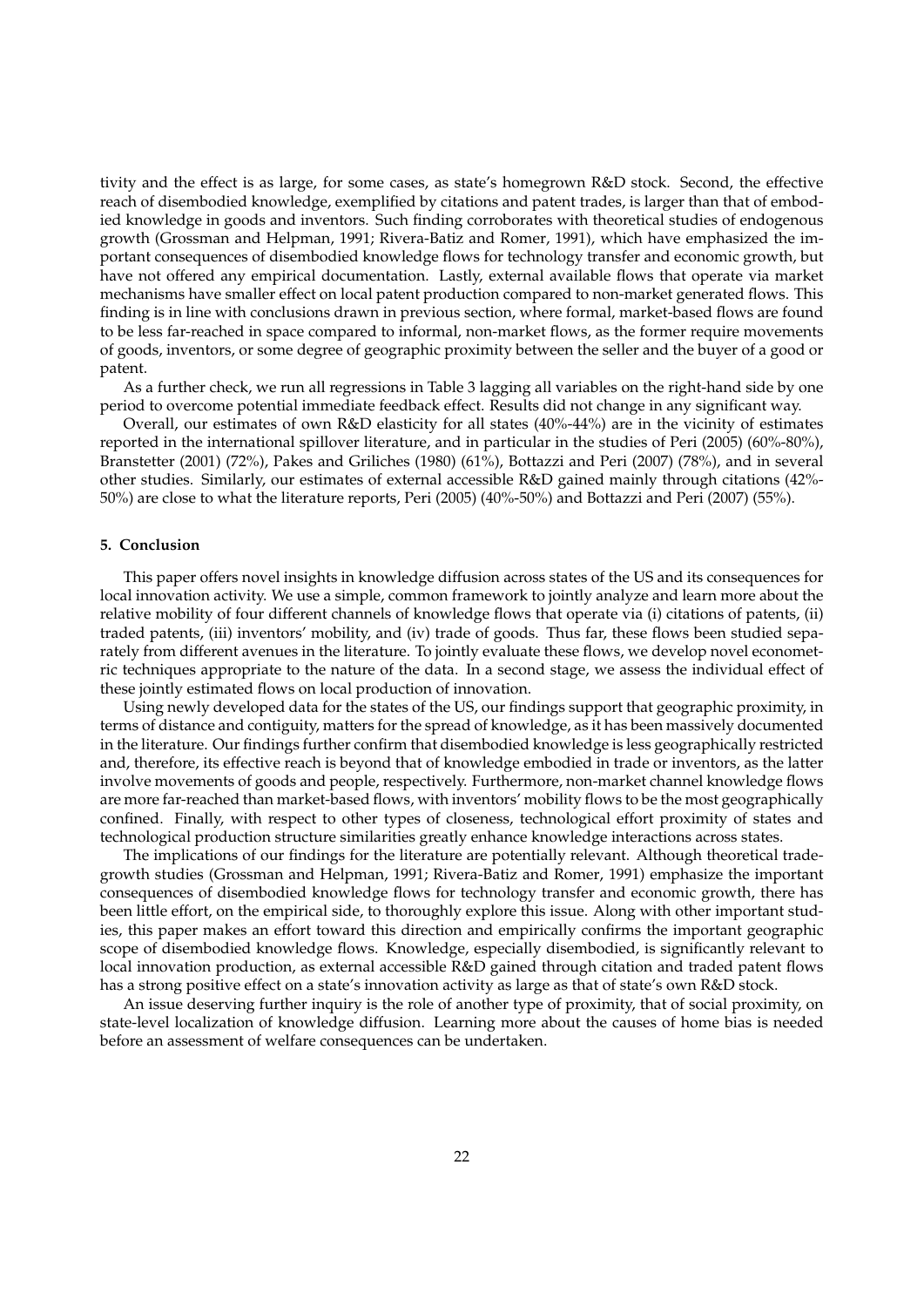tivity and the effect is as large, for some cases, as state's homegrown R&D stock. Second, the effective reach of disembodied knowledge, exemplified by citations and patent trades, is larger than that of embodied knowledge in goods and inventors. Such finding corroborates with theoretical studies of endogenous growth (Grossman and Helpman, 1991; Rivera-Batiz and Romer, 1991), which have emphasized the important consequences of disembodied knowledge flows for technology transfer and economic growth, but have not offered any empirical documentation. Lastly, external available flows that operate via market mechanisms have smaller effect on local patent production compared to non-market generated flows. This finding is in line with conclusions drawn in previous section, where formal, market-based flows are found to be less far-reached in space compared to informal, non-market flows, as the former require movements of goods, inventors, or some degree of geographic proximity between the seller and the buyer of a good or patent.

As a further check, we run all regressions in Table 3 lagging all variables on the right-hand side by one period to overcome potential immediate feedback effect. Results did not change in any significant way.

Overall, our estimates of own R&D elasticity for all states (40%-44%) are in the vicinity of estimates reported in the international spillover literature, and in particular in the studies of Peri (2005) (60%-80%), Branstetter (2001) (72%), Pakes and Griliches (1980) (61%), Bottazzi and Peri (2007) (78%), and in several other studies. Similarly, our estimates of external accessible R&D gained mainly through citations (42%- 50%) are close to what the literature reports, Peri (2005) (40%-50%) and Bottazzi and Peri (2007) (55%).

# **5. Conclusion**

This paper offers novel insights in knowledge diffusion across states of the US and its consequences for local innovation activity. We use a simple, common framework to jointly analyze and learn more about the relative mobility of four different channels of knowledge flows that operate via (i) citations of patents, (ii) traded patents, (iii) inventors' mobility, and (iv) trade of goods. Thus far, these flows been studied separately from different avenues in the literature. To jointly evaluate these flows, we develop novel econometric techniques appropriate to the nature of the data. In a second stage, we assess the individual effect of these jointly estimated flows on local production of innovation.

Using newly developed data for the states of the US, our findings support that geographic proximity, in terms of distance and contiguity, matters for the spread of knowledge, as it has been massively documented in the literature. Our findings further confirm that disembodied knowledge is less geographically restricted and, therefore, its effective reach is beyond that of knowledge embodied in trade or inventors, as the latter involve movements of goods and people, respectively. Furthermore, non-market channel knowledge flows are more far-reached than market-based flows, with inventors' mobility flows to be the most geographically confined. Finally, with respect to other types of closeness, technological effort proximity of states and technological production structure similarities greatly enhance knowledge interactions across states.

The implications of our findings for the literature are potentially relevant. Although theoretical tradegrowth studies (Grossman and Helpman, 1991; Rivera-Batiz and Romer, 1991) emphasize the important consequences of disembodied knowledge flows for technology transfer and economic growth, there has been little effort, on the empirical side, to thoroughly explore this issue. Along with other important studies, this paper makes an effort toward this direction and empirically confirms the important geographic scope of disembodied knowledge flows. Knowledge, especially disembodied, is significantly relevant to local innovation production, as external accessible R&D gained through citation and traded patent flows has a strong positive effect on a state's innovation activity as large as that of state's own R&D stock.

An issue deserving further inquiry is the role of another type of proximity, that of social proximity, on state-level localization of knowledge diffusion. Learning more about the causes of home bias is needed before an assessment of welfare consequences can be undertaken.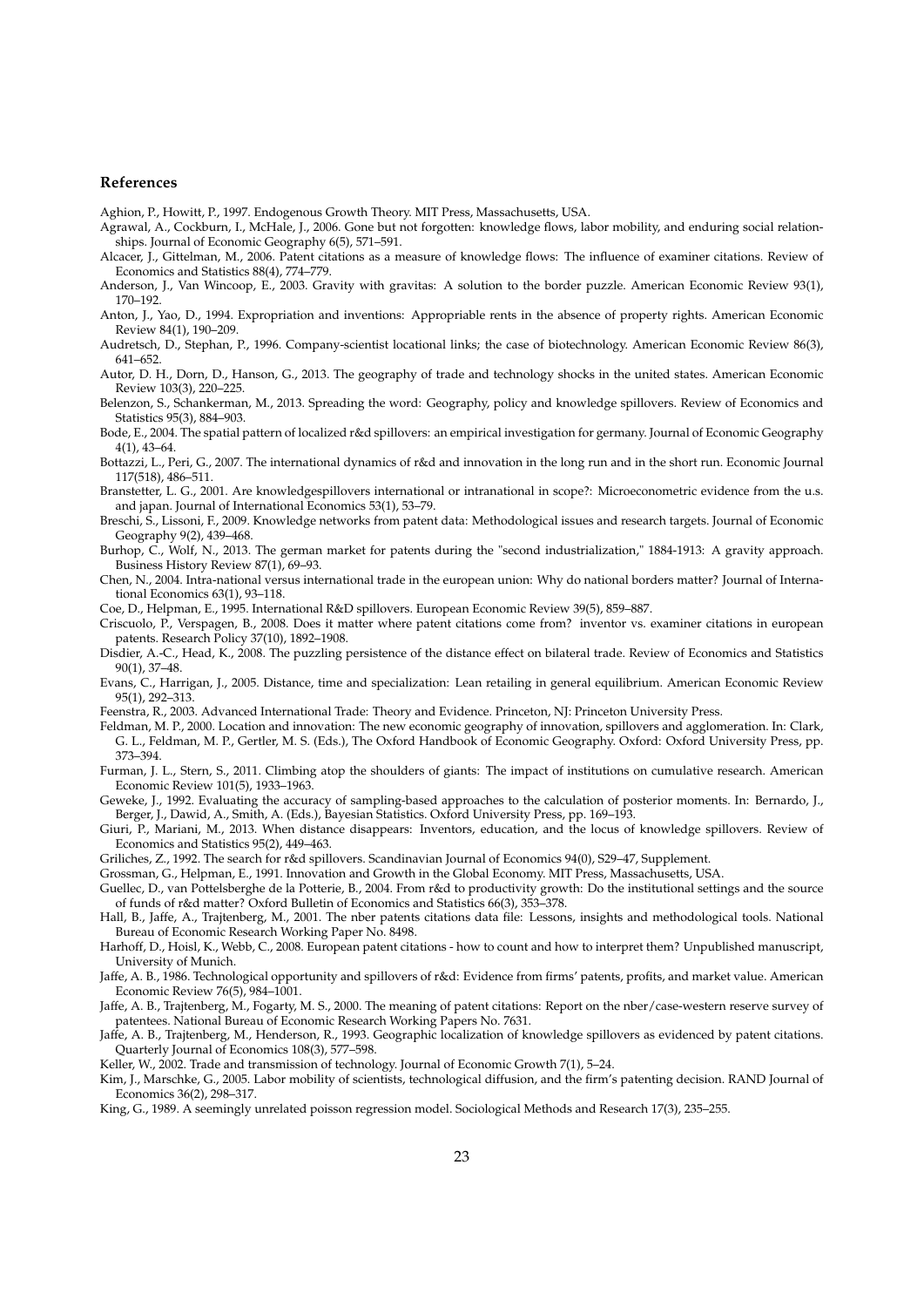#### **References**

Aghion, P., Howitt, P., 1997. Endogenous Growth Theory. MIT Press, Massachusetts, USA.

- Agrawal, A., Cockburn, I., McHale, J., 2006. Gone but not forgotten: knowledge flows, labor mobility, and enduring social relationships. Journal of Economic Geography 6(5), 571–591.
- Alcacer, J., Gittelman, M., 2006. Patent citations as a measure of knowledge flows: The influence of examiner citations. Review of Economics and Statistics 88(4), 774–779.
- Anderson, J., Van Wincoop, E., 2003. Gravity with gravitas: A solution to the border puzzle. American Economic Review 93(1), 170–192.
- Anton, J., Yao, D., 1994. Expropriation and inventions: Appropriable rents in the absence of property rights. American Economic Review 84(1), 190–209.
- Audretsch, D., Stephan, P., 1996. Company-scientist locational links; the case of biotechnology. American Economic Review 86(3), 641–652.
- Autor, D. H., Dorn, D., Hanson, G., 2013. The geography of trade and technology shocks in the united states. American Economic Review 103(3), 220–225.
- Belenzon, S., Schankerman, M., 2013. Spreading the word: Geography, policy and knowledge spillovers. Review of Economics and Statistics 95(3), 884–903.
- Bode, E., 2004. The spatial pattern of localized r&d spillovers: an empirical investigation for germany. Journal of Economic Geography 4(1), 43–64.
- Bottazzi, L., Peri, G., 2007. The international dynamics of r&d and innovation in the long run and in the short run. Economic Journal 117(518), 486–511.
- Branstetter, L. G., 2001. Are knowledgespillovers international or intranational in scope?: Microeconometric evidence from the u.s. and japan. Journal of International Economics 53(1), 53–79.
- Breschi, S., Lissoni, F., 2009. Knowledge networks from patent data: Methodological issues and research targets. Journal of Economic Geography 9(2), 439–468.
- Burhop, C., Wolf, N., 2013. The german market for patents during the "second industrialization," 1884-1913: A gravity approach. Business History Review 87(1), 69–93.
- Chen, N., 2004. Intra-national versus international trade in the european union: Why do national borders matter? Journal of International Economics 63(1), 93–118.
- Coe, D., Helpman, E., 1995. International R&D spillovers. European Economic Review 39(5), 859–887.
- Criscuolo, P., Verspagen, B., 2008. Does it matter where patent citations come from? inventor vs. examiner citations in european patents. Research Policy 37(10), 1892–1908.
- Disdier, A.-C., Head, K., 2008. The puzzling persistence of the distance effect on bilateral trade. Review of Economics and Statistics 90(1), 37–48.
- Evans, C., Harrigan, J., 2005. Distance, time and specialization: Lean retailing in general equilibrium. American Economic Review 95(1), 292–313.
- Feenstra, R., 2003. Advanced International Trade: Theory and Evidence. Princeton, NJ: Princeton University Press.
- Feldman, M. P., 2000. Location and innovation: The new economic geography of innovation, spillovers and agglomeration. In: Clark, G. L., Feldman, M. P., Gertler, M. S. (Eds.), The Oxford Handbook of Economic Geography. Oxford: Oxford University Press, pp. 373–394.
- Furman, J. L., Stern, S., 2011. Climbing atop the shoulders of giants: The impact of institutions on cumulative research. American Economic Review 101(5), 1933–1963.
- Geweke, J., 1992. Evaluating the accuracy of sampling-based approaches to the calculation of posterior moments. In: Bernardo, J., Berger, J., Dawid, A., Smith, A. (Eds.), Bayesian Statistics. Oxford University Press, pp. 169–193.
- Giuri, P., Mariani, M., 2013. When distance disappears: Inventors, education, and the locus of knowledge spillovers. Review of Economics and Statistics 95(2), 449–463.
- Griliches, Z., 1992. The search for r&d spillovers. Scandinavian Journal of Economics 94(0), S29–47, Supplement.
- Grossman, G., Helpman, E., 1991. Innovation and Growth in the Global Economy. MIT Press, Massachusetts, USA.
- Guellec, D., van Pottelsberghe de la Potterie, B., 2004. From r&d to productivity growth: Do the institutional settings and the source of funds of r&d matter? Oxford Bulletin of Economics and Statistics 66(3), 353–378.
- Hall, B., Jaffe, A., Trajtenberg, M., 2001. The nber patents citations data file: Lessons, insights and methodological tools. National Bureau of Economic Research Working Paper No. 8498.
- Harhoff, D., Hoisl, K., Webb, C., 2008. European patent citations how to count and how to interpret them? Unpublished manuscript, University of Munich.
- Jaffe, A. B., 1986. Technological opportunity and spillovers of r&d: Evidence from firms' patents, profits, and market value. American Economic Review 76(5), 984–1001.
- Jaffe, A. B., Trajtenberg, M., Fogarty, M. S., 2000. The meaning of patent citations: Report on the nber/case-western reserve survey of patentees. National Bureau of Economic Research Working Papers No. 7631.
- Jaffe, A. B., Trajtenberg, M., Henderson, R., 1993. Geographic localization of knowledge spillovers as evidenced by patent citations. Quarterly Journal of Economics 108(3), 577–598.
- Keller, W., 2002. Trade and transmission of technology. Journal of Economic Growth 7(1), 5–24.
- Kim, J., Marschke, G., 2005. Labor mobility of scientists, technological diffusion, and the firm's patenting decision. RAND Journal of Economics 36(2), 298–317.
- King, G., 1989. A seemingly unrelated poisson regression model. Sociological Methods and Research 17(3), 235–255.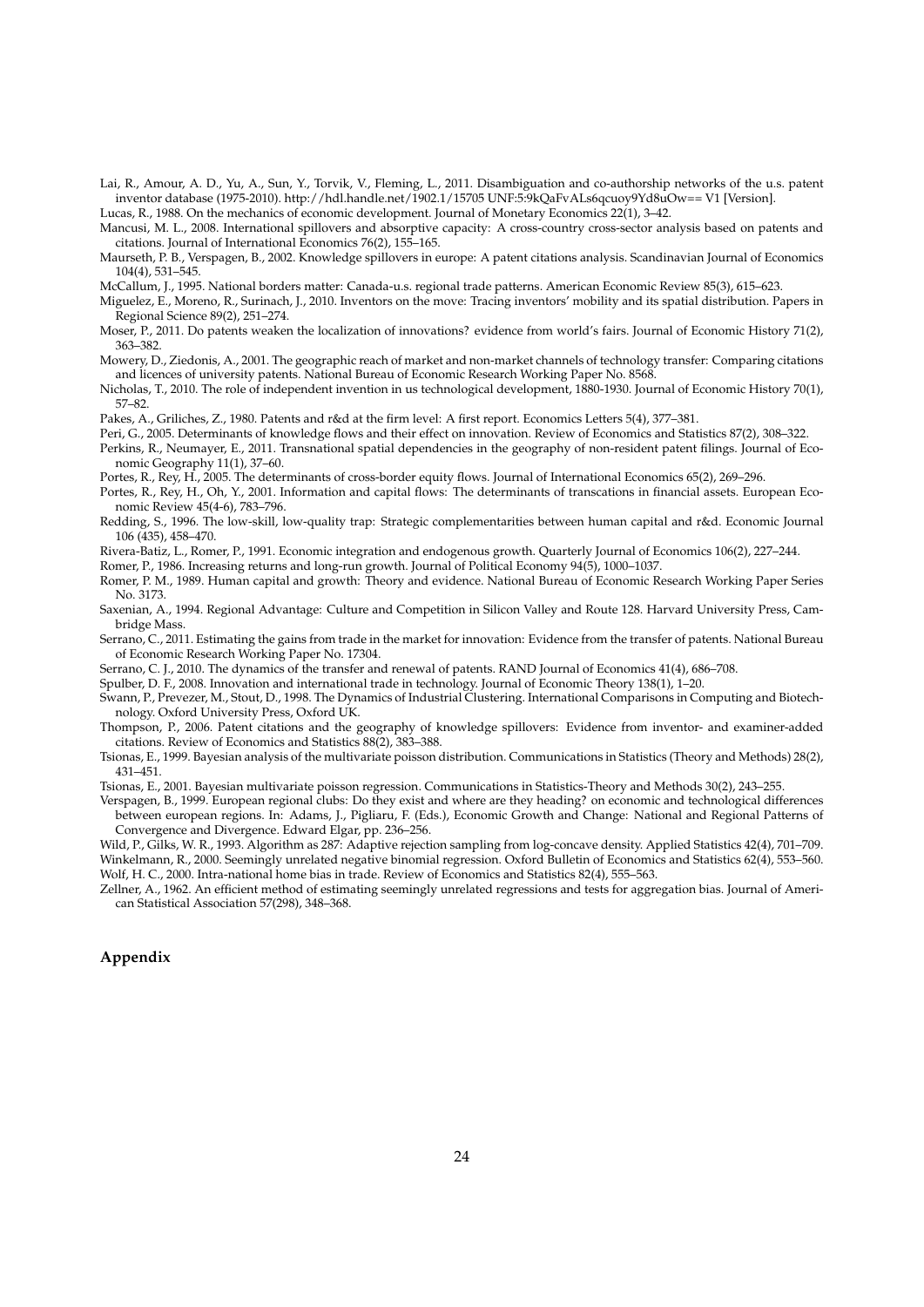Lai, R., Amour, A. D., Yu, A., Sun, Y., Torvik, V., Fleming, L., 2011. Disambiguation and co-authorship networks of the u.s. patent inventor database (1975-2010). http://hdl.handle.net/1902.1/15705 UNF:5:9kQaFvALs6qcuoy9Yd8uOw== V1 [Version].

Lucas, R., 1988. On the mechanics of economic development. Journal of Monetary Economics 22(1), 3–42. Mancusi, M. L., 2008. International spillovers and absorptive capacity: A cross-country cross-sector analysis based on patents and citations. Journal of International Economics 76(2), 155–165.

Maurseth, P. B., Verspagen, B., 2002. Knowledge spillovers in europe: A patent citations analysis. Scandinavian Journal of Economics 104(4), 531–545.

McCallum, J., 1995. National borders matter: Canada-u.s. regional trade patterns. American Economic Review 85(3), 615–623.

Miguelez, E., Moreno, R., Surinach, J., 2010. Inventors on the move: Tracing inventors' mobility and its spatial distribution. Papers in Regional Science 89(2), 251–274.

Moser, P., 2011. Do patents weaken the localization of innovations? evidence from world's fairs. Journal of Economic History 71(2), 363–382.

Mowery, D., Ziedonis, A., 2001. The geographic reach of market and non-market channels of technology transfer: Comparing citations and licences of university patents. National Bureau of Economic Research Working Paper No. 8568.

Nicholas, T., 2010. The role of independent invention in us technological development, 1880-1930. Journal of Economic History 70(1), 57–82.

Pakes, A., Griliches, Z., 1980. Patents and r&d at the firm level: A first report. Economics Letters 5(4), 377–381.

Peri, G., 2005. Determinants of knowledge flows and their effect on innovation. Review of Economics and Statistics 87(2), 308–322.

Perkins, R., Neumayer, E., 2011. Transnational spatial dependencies in the geography of non-resident patent filings. Journal of Economic Geography 11(1), 37–60.

Portes, R., Rey, H., 2005. The determinants of cross-border equity flows. Journal of International Economics 65(2), 269–296.

Portes, R., Rey, H., Oh, Y., 2001. Information and capital flows: The determinants of transcations in financial assets. European Economic Review 45(4-6), 783–796.

Redding, S., 1996. The low-skill, low-quality trap: Strategic complementarities between human capital and r&d. Economic Journal 106 (435), 458–470.

Rivera-Batiz, L., Romer, P., 1991. Economic integration and endogenous growth. Quarterly Journal of Economics 106(2), 227–244.

Romer, P., 1986. Increasing returns and long-run growth. Journal of Political Economy 94(5), 1000–1037.

Romer, P. M., 1989. Human capital and growth: Theory and evidence. National Bureau of Economic Research Working Paper Series No. 3173.

Saxenian, A., 1994. Regional Advantage: Culture and Competition in Silicon Valley and Route 128. Harvard University Press, Cambridge Mass.

Serrano, C., 2011. Estimating the gains from trade in the market for innovation: Evidence from the transfer of patents. National Bureau of Economic Research Working Paper No. 17304.

Serrano, C. J., 2010. The dynamics of the transfer and renewal of patents. RAND Journal of Economics 41(4), 686–708.

Spulber, D. F., 2008. Innovation and international trade in technology. Journal of Economic Theory 138(1), 1–20.

Swann, P., Prevezer, M., Stout, D., 1998. The Dynamics of Industrial Clustering. International Comparisons in Computing and Biotechnology. Oxford University Press, Oxford UK.

Thompson, P., 2006. Patent citations and the geography of knowledge spillovers: Evidence from inventor- and examiner-added citations. Review of Economics and Statistics 88(2), 383–388.

Tsionas, E., 1999. Bayesian analysis of the multivariate poisson distribution. Communications in Statistics (Theory and Methods) 28(2), 431–451.

Tsionas, E., 2001. Bayesian multivariate poisson regression. Communications in Statistics-Theory and Methods 30(2), 243–255.

Verspagen, B., 1999. European regional clubs: Do they exist and where are they heading? on economic and technological differences between european regions. In: Adams, J., Pigliaru, F. (Eds.), Economic Growth and Change: National and Regional Patterns of Convergence and Divergence. Edward Elgar, pp. 236–256.

Wild, P., Gilks, W. R., 1993. Algorithm as 287: Adaptive rejection sampling from log-concave density. Applied Statistics 42(4), 701–709. Winkelmann, R., 2000. Seemingly unrelated negative binomial regression. Oxford Bulletin of Economics and Statistics 62(4), 553–560. Wolf, H. C., 2000. Intra-national home bias in trade. Review of Economics and Statistics 82(4), 555–563.

Zellner, A., 1962. An efficient method of estimating seemingly unrelated regressions and tests for aggregation bias. Journal of American Statistical Association 57(298), 348–368.

# **Appendix**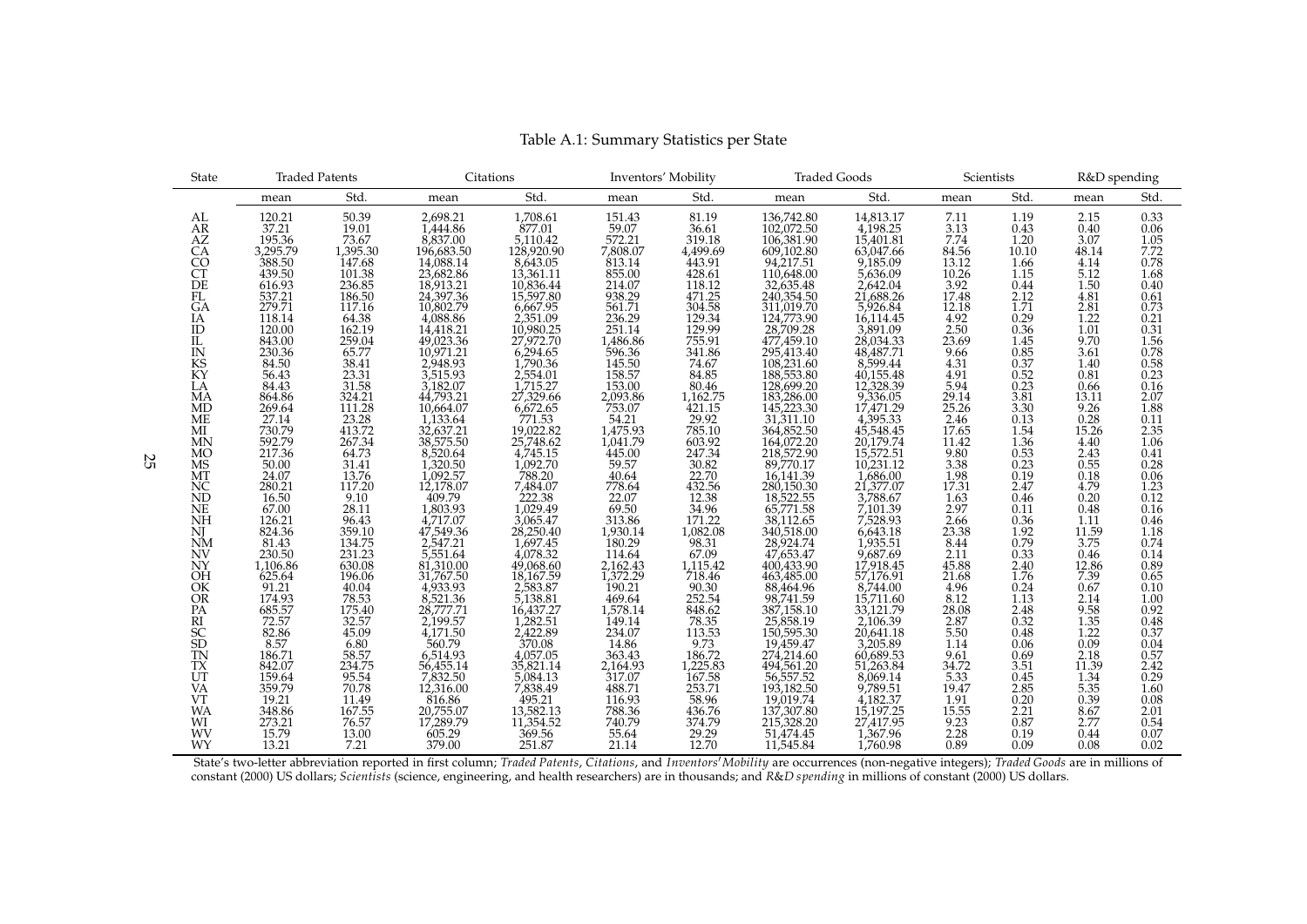| <b>State</b>                           | <b>Traded Patents</b>                                                             |                                                                                              | Citations                                                                                           |                                                                                                                                                                                                                                                                                                     | Inventors' Mobility                                                                                                                                                                                                                                                |                                                                                                                                                                                                                                                                                                             | <b>Traded Goods</b>                                                                                                                                                                                                                                       |                                                                                                                                                  | Scientists                                                           |                                                             | R&D spending                                                      |                                             |
|----------------------------------------|-----------------------------------------------------------------------------------|----------------------------------------------------------------------------------------------|-----------------------------------------------------------------------------------------------------|-----------------------------------------------------------------------------------------------------------------------------------------------------------------------------------------------------------------------------------------------------------------------------------------------------|--------------------------------------------------------------------------------------------------------------------------------------------------------------------------------------------------------------------------------------------------------------------|-------------------------------------------------------------------------------------------------------------------------------------------------------------------------------------------------------------------------------------------------------------------------------------------------------------|-----------------------------------------------------------------------------------------------------------------------------------------------------------------------------------------------------------------------------------------------------------|--------------------------------------------------------------------------------------------------------------------------------------------------|----------------------------------------------------------------------|-------------------------------------------------------------|-------------------------------------------------------------------|---------------------------------------------|
|                                        | mean                                                                              | Std.                                                                                         | mean                                                                                                | Std.                                                                                                                                                                                                                                                                                                | mean                                                                                                                                                                                                                                                               | Std.                                                                                                                                                                                                                                                                                                        | mean                                                                                                                                                                                                                                                      | Std.                                                                                                                                             | mean                                                                 | Std.                                                        | mean                                                              | Std.                                        |
| AL                                     | 120.21                                                                            | $\frac{50.39}{19.01}$                                                                        |                                                                                                     | 1,708.61<br>877.01<br>5,110.42<br>128,920.90<br>8,643.05<br>13,361.11<br>10,836.44<br>15,597.80<br>2,351.09<br>10,980.25<br>10,980.25<br>10,980.25<br>10,980.25                                                                                                                                     |                                                                                                                                                                                                                                                                    | 81.19<br>36.61<br>319.18<br>4499.69<br>443.91<br>428.61<br>118.12<br>304.58<br>129.34<br>129.99<br>1755.91                                                                                                                                                                                                  |                                                                                                                                                                                                                                                           | 14,813.17<br>4,198.25<br>15,401.81<br>63,047.66                                                                                                  |                                                                      | 1.19                                                        |                                                                   |                                             |
| AR                                     | 37.21                                                                             |                                                                                              | 2,698.21<br>1,444.86                                                                                |                                                                                                                                                                                                                                                                                                     |                                                                                                                                                                                                                                                                    |                                                                                                                                                                                                                                                                                                             |                                                                                                                                                                                                                                                           |                                                                                                                                                  |                                                                      | 0.43                                                        |                                                                   | $\begin{array}{c} 0.33 \\ 0.06 \end{array}$ |
| AZ<br>CA<br>CO<br>CT<br>DE<br>FL<br>GA | $\begin{array}{c} 39.21 \\ 195.36 \\ 3,295.79 \\ 388.50 \\ 439.50 \\ \end{array}$ | $73.67$<br>1,395.30                                                                          | 8,837.00<br>196,683.50                                                                              |                                                                                                                                                                                                                                                                                                     |                                                                                                                                                                                                                                                                    |                                                                                                                                                                                                                                                                                                             |                                                                                                                                                                                                                                                           |                                                                                                                                                  | $\underset{7.74}{\textbf{7.11}}\,\phantom{0}$                        | 1.20                                                        | $\underset{3.07}{2.15}$<br>$\underset{3.07}{0.40}$                | 1.05                                        |
|                                        |                                                                                   |                                                                                              |                                                                                                     |                                                                                                                                                                                                                                                                                                     |                                                                                                                                                                                                                                                                    |                                                                                                                                                                                                                                                                                                             |                                                                                                                                                                                                                                                           |                                                                                                                                                  | $84.56$<br>$13.12$                                                   | 10.10                                                       | 48.14                                                             | 7.72                                        |
|                                        |                                                                                   | 147.68                                                                                       |                                                                                                     |                                                                                                                                                                                                                                                                                                     |                                                                                                                                                                                                                                                                    |                                                                                                                                                                                                                                                                                                             |                                                                                                                                                                                                                                                           |                                                                                                                                                  |                                                                      | 1.66                                                        | 4.14                                                              | 0.78                                        |
|                                        |                                                                                   |                                                                                              |                                                                                                     |                                                                                                                                                                                                                                                                                                     |                                                                                                                                                                                                                                                                    |                                                                                                                                                                                                                                                                                                             |                                                                                                                                                                                                                                                           |                                                                                                                                                  |                                                                      | 1.15                                                        |                                                                   | 1.68                                        |
|                                        |                                                                                   |                                                                                              |                                                                                                     |                                                                                                                                                                                                                                                                                                     |                                                                                                                                                                                                                                                                    |                                                                                                                                                                                                                                                                                                             |                                                                                                                                                                                                                                                           |                                                                                                                                                  |                                                                      | 0.44                                                        |                                                                   | 0.40                                        |
|                                        | 616.93<br>537.21<br>279.71<br>118.14<br>120.00                                    | 101.38<br>236.85<br>186.50<br>117.16                                                         | 14,088.14<br>14,088.14<br>23,682.86<br>18,913.21<br>24,397.36<br>10,802.79<br>4,088.86<br>14,418.21 |                                                                                                                                                                                                                                                                                                     |                                                                                                                                                                                                                                                                    |                                                                                                                                                                                                                                                                                                             |                                                                                                                                                                                                                                                           | 05,042.09<br>9,185.09<br>7,636.09<br>2,642.04<br>21,688.26<br>5,926.84<br>5,891.09<br>28,034.33<br>48,487.71<br>8,599.44<br>8,599.44<br>8,599.44 | 10.26<br>10.26<br>3.92<br>17.48<br>12.18<br>4.92<br>2.50<br>23.69    | $\frac{2.12}{1.71}$                                         | $\frac{5.12}{1.50}$<br>$\frac{4.81}{2.81}$<br>$\frac{2.81}{1.22}$ | $\begin{array}{c} 0.61 \\ 0.73 \end{array}$ |
|                                        |                                                                                   |                                                                                              |                                                                                                     |                                                                                                                                                                                                                                                                                                     |                                                                                                                                                                                                                                                                    |                                                                                                                                                                                                                                                                                                             |                                                                                                                                                                                                                                                           |                                                                                                                                                  |                                                                      | 0.29                                                        |                                                                   | 0.21                                        |
|                                        |                                                                                   |                                                                                              |                                                                                                     |                                                                                                                                                                                                                                                                                                     |                                                                                                                                                                                                                                                                    |                                                                                                                                                                                                                                                                                                             |                                                                                                                                                                                                                                                           |                                                                                                                                                  |                                                                      | 0.36                                                        | 1.01                                                              | 0.31                                        |
|                                        |                                                                                   |                                                                                              |                                                                                                     |                                                                                                                                                                                                                                                                                                     |                                                                                                                                                                                                                                                                    |                                                                                                                                                                                                                                                                                                             |                                                                                                                                                                                                                                                           |                                                                                                                                                  |                                                                      | 1.45                                                        | 9.70                                                              | 1.56                                        |
|                                        |                                                                                   |                                                                                              |                                                                                                     |                                                                                                                                                                                                                                                                                                     |                                                                                                                                                                                                                                                                    | 755.91<br>341.86                                                                                                                                                                                                                                                                                            |                                                                                                                                                                                                                                                           |                                                                                                                                                  |                                                                      | 0.85                                                        | 3.61                                                              | 0.78                                        |
|                                        | 843.00<br>230.36<br>84.50                                                         |                                                                                              | 49,023.36<br>10,971.21<br>2,948.93                                                                  |                                                                                                                                                                                                                                                                                                     |                                                                                                                                                                                                                                                                    | 74.67                                                                                                                                                                                                                                                                                                       |                                                                                                                                                                                                                                                           |                                                                                                                                                  |                                                                      | 0.37                                                        | 1.40                                                              | 0.58                                        |
| IA<br>ID<br>IL<br>IN<br>KS<br>KY       |                                                                                   |                                                                                              | 3,515.93                                                                                            |                                                                                                                                                                                                                                                                                                     |                                                                                                                                                                                                                                                                    |                                                                                                                                                                                                                                                                                                             |                                                                                                                                                                                                                                                           |                                                                                                                                                  |                                                                      |                                                             | 0.81                                                              | 0.23                                        |
|                                        |                                                                                   |                                                                                              |                                                                                                     |                                                                                                                                                                                                                                                                                                     |                                                                                                                                                                                                                                                                    |                                                                                                                                                                                                                                                                                                             |                                                                                                                                                                                                                                                           |                                                                                                                                                  |                                                                      |                                                             |                                                                   | 0.16                                        |
| LA<br>MA                               | 56.43<br>84.43<br>864.86                                                          |                                                                                              |                                                                                                     |                                                                                                                                                                                                                                                                                                     | 151.43<br>59.07<br>7,808.07<br>813.14<br>85.007<br>813.14<br>85.22<br>51.14<br>86.86<br>54.55<br>153.00<br>753.00<br>753.00<br>753.00<br>753.00                                                                                                                    |                                                                                                                                                                                                                                                                                                             |                                                                                                                                                                                                                                                           |                                                                                                                                                  |                                                                      |                                                             | $\frac{0.66}{13.11}$                                              | 2.07                                        |
| <b>MD</b>                              | 269.64                                                                            | 117.16<br>64.38<br>162.19<br>259.04<br>65.77<br>38.41<br>31.58<br>324.21<br>11.28            | 3,182.07<br>44,793.21<br>10,664.07                                                                  | 27,972.70<br>6,294.65<br>2,554.01<br>7,790.36<br>2,554.01<br>7,732.732.82<br>7,732.732.82<br>7,748.62<br>4,745.15<br>7,748.40<br>7,748.40<br>2,200.44<br>7,832.94<br>4,000.84<br>4,745.02<br>9,250.44<br>4,000.54<br>4,745.15<br>7,484.07<br>4,8,250.44<br>4,007.45<br>2,25583.83<br>4,007.45<br>4, |                                                                                                                                                                                                                                                                    | $84.85$<br>$80.46$<br>$1,162.75$<br>$421.15$                                                                                                                                                                                                                                                                | $\begin{array}{l} 136,742.80\\ 102,072.50\\ 106,381.90\\ 06,81.90\\ 09,102.80\\ 94,217.51\\ 20,635.48\\ 240,354.50\\ 124,773.90\\ 28,709.28\\ 497,459.10\\ 188,553.80\\ 145,522.80\\ 145,522.90\\ 164,852.50\\ 164,852.50\\ 164,852.50\\ 164,7072.20\\ 8$ | 40,155.48<br>12,328.39<br>9,336.05<br>17,471.29                                                                                                  | $9.66$<br>$4.31$<br>$4.91$<br>$5.94$<br>$29.14$<br>$25.26$           | $\begin{array}{c} 0.52 \\ 0.23 \\ 3.81 \\ 3.30 \end{array}$ | 9.26                                                              | 1.88                                        |
| <b>ME</b>                              | 27.14<br>730.79<br>592.79<br>217.36                                               | 23.28<br>413.72<br>267.34<br>64.73                                                           | $1,133.64$<br>$32,637.21$                                                                           |                                                                                                                                                                                                                                                                                                     | $\begin{array}{c} 54.21 \\ 1.475.93 \\ 1.475.94 \\ 1.475.99 \\ 445.00 \\ 59.57 \\ 4778.64 \\ 22.07 \\ 69.313.86 \\ 1.930.14 \\ 1.804 \\ 2.162.43 \\ 1.372.29 \\ 190.21 \\ 1.464.93 \\ 1.491.14 \\ 2.34.07 \\ 149.14 \\ 2.34.07 \\ 317.07 \\ 318.71 \\ \end{array}$ | $\begin{array}{l} 29.92 \\ 27851 \\ 29.93 \\ 247.34 \\ 20.03 \\ 22.75 \\ 23.3 \\ 24.3 \\ 25.3 \\ 24.3 \\ 25.3 \\ 27.4 \\ 27.4 \\ 28.4 \\ 29.3 \\ 21.4 \\ 24.4 \\ 25.4 \\ 27.5 \\ 28.4 \\ 27.5 \\ 27.5 \\ 27.5 \\ 27.5 \\ 27.5 \\ 27.5 \\ 27.5 \\ 27.5 \\ 27.5 \\ 27.5 \\ 27.5 \\ 27.5 \\ 27.5 \\ 27.5 \\ 2$ |                                                                                                                                                                                                                                                           | 1/4/1.29<br>45,548.45<br>45,548.45<br>20,179.74<br>15,572.51<br>10,231.12<br>21,377.07<br>3,788.67<br>7,101.39<br>7,528.93<br>6,643.18           | $\frac{2.46}{17.65}$<br>11.42                                        | 0.13                                                        | $\frac{0.28}{15.26}$                                              | 0.11                                        |
| $\frac{\text{MI}}{\text{MN}}$          |                                                                                   |                                                                                              |                                                                                                     |                                                                                                                                                                                                                                                                                                     |                                                                                                                                                                                                                                                                    |                                                                                                                                                                                                                                                                                                             |                                                                                                                                                                                                                                                           |                                                                                                                                                  |                                                                      | 1.54                                                        |                                                                   | 2.35                                        |
|                                        |                                                                                   |                                                                                              | 38,575.50                                                                                           |                                                                                                                                                                                                                                                                                                     |                                                                                                                                                                                                                                                                    |                                                                                                                                                                                                                                                                                                             |                                                                                                                                                                                                                                                           |                                                                                                                                                  |                                                                      | 1.36                                                        | 4.40                                                              | $\frac{100}{6}$                             |
| MO<br>MS                               |                                                                                   |                                                                                              | 8,520.64                                                                                            |                                                                                                                                                                                                                                                                                                     |                                                                                                                                                                                                                                                                    |                                                                                                                                                                                                                                                                                                             |                                                                                                                                                                                                                                                           |                                                                                                                                                  | $9.80$<br>$3.38$<br>$1.98$<br>$17.31$<br>$1.63$                      | $\begin{array}{c} 0.53 \\ 0.23 \end{array}$                 | 2.43<br>0.55<br>0.18<br>4.79                                      | 0.41<br>0.28                                |
|                                        | $\frac{50.00}{24.07}$<br>280.21                                                   | $\begin{array}{c} 31.41 \\ 13.76 \\ 117.20 \end{array}$                                      | 1,320.50<br>1,092.57<br>12,178.07                                                                   |                                                                                                                                                                                                                                                                                                     |                                                                                                                                                                                                                                                                    |                                                                                                                                                                                                                                                                                                             |                                                                                                                                                                                                                                                           |                                                                                                                                                  |                                                                      |                                                             |                                                                   | 0.06                                        |
| MT<br>NC                               |                                                                                   |                                                                                              |                                                                                                     |                                                                                                                                                                                                                                                                                                     |                                                                                                                                                                                                                                                                    |                                                                                                                                                                                                                                                                                                             |                                                                                                                                                                                                                                                           |                                                                                                                                                  |                                                                      | $\overline{0.19}$<br>2.47                                   |                                                                   | 1.23                                        |
| <b>ND</b>                              | 16.50                                                                             |                                                                                              | 409.79                                                                                              |                                                                                                                                                                                                                                                                                                     |                                                                                                                                                                                                                                                                    |                                                                                                                                                                                                                                                                                                             |                                                                                                                                                                                                                                                           |                                                                                                                                                  |                                                                      | 0.46                                                        | 0.20                                                              | 0.12                                        |
| <b>NE</b>                              | $67.00$<br>126.21                                                                 | $\frac{9.10}{28.11}$                                                                         |                                                                                                     |                                                                                                                                                                                                                                                                                                     |                                                                                                                                                                                                                                                                    |                                                                                                                                                                                                                                                                                                             |                                                                                                                                                                                                                                                           |                                                                                                                                                  | 2.97                                                                 | 0.11                                                        | 0.48                                                              | 0.16                                        |
| <b>NH</b>                              |                                                                                   |                                                                                              | 1,803.93<br>4,717.07                                                                                |                                                                                                                                                                                                                                                                                                     |                                                                                                                                                                                                                                                                    |                                                                                                                                                                                                                                                                                                             |                                                                                                                                                                                                                                                           |                                                                                                                                                  | 2.66                                                                 | 0.36                                                        | 1.11                                                              | 0.46                                        |
| NJ<br>NM                               | 824.36                                                                            |                                                                                              | 47,549.36<br>2,547.21                                                                               |                                                                                                                                                                                                                                                                                                     |                                                                                                                                                                                                                                                                    |                                                                                                                                                                                                                                                                                                             |                                                                                                                                                                                                                                                           |                                                                                                                                                  |                                                                      | 1.92                                                        | $\begin{array}{c} 11.59 \\ 3.75 \end{array}$                      | 1.18                                        |
|                                        | $81.43\n230.50\n1,106.86$                                                         |                                                                                              |                                                                                                     |                                                                                                                                                                                                                                                                                                     |                                                                                                                                                                                                                                                                    |                                                                                                                                                                                                                                                                                                             |                                                                                                                                                                                                                                                           |                                                                                                                                                  | $\frac{23.38}{8.44}$                                                 | 0.79                                                        |                                                                   | 0.74                                        |
| <b>NV</b>                              |                                                                                   |                                                                                              |                                                                                                     |                                                                                                                                                                                                                                                                                                     |                                                                                                                                                                                                                                                                    |                                                                                                                                                                                                                                                                                                             |                                                                                                                                                                                                                                                           |                                                                                                                                                  |                                                                      | $\overline{0.33}$<br>2.40                                   |                                                                   | 0.14                                        |
|                                        |                                                                                   |                                                                                              |                                                                                                     |                                                                                                                                                                                                                                                                                                     |                                                                                                                                                                                                                                                                    |                                                                                                                                                                                                                                                                                                             |                                                                                                                                                                                                                                                           |                                                                                                                                                  |                                                                      |                                                             |                                                                   | 0.89                                        |
|                                        |                                                                                   |                                                                                              |                                                                                                     |                                                                                                                                                                                                                                                                                                     |                                                                                                                                                                                                                                                                    |                                                                                                                                                                                                                                                                                                             |                                                                                                                                                                                                                                                           |                                                                                                                                                  | 2.11<br>45.88<br>21.68<br>4.96                                       | $\overline{1.76}$                                           | $0.46$<br>12.86<br>7.39<br>0.67                                   | 0.65                                        |
| NY<br>OH<br>OK<br>OR<br>PA             | $625.64$<br>$91.21$<br>$174.93$<br>$685.57$                                       | 28.11<br>96.43<br>359.10<br>134.75<br>231.23<br>630.08<br>196.06<br>40.04<br>78.53<br>175.41 | 5,551.64<br>81,310.00<br>31,767.50<br>4,933.93<br>8,521.36<br>28,777.77                             |                                                                                                                                                                                                                                                                                                     |                                                                                                                                                                                                                                                                    |                                                                                                                                                                                                                                                                                                             |                                                                                                                                                                                                                                                           | 0,945.51<br>9,687.69<br>17,918.45<br>57,176.91<br>8,744.00<br>15,711.60<br>33,121.79                                                             |                                                                      | 0.24<br>1.13                                                | 2.14                                                              | 0.10<br>1.00                                |
|                                        |                                                                                   |                                                                                              |                                                                                                     |                                                                                                                                                                                                                                                                                                     |                                                                                                                                                                                                                                                                    |                                                                                                                                                                                                                                                                                                             |                                                                                                                                                                                                                                                           |                                                                                                                                                  | $\begin{array}{c} 8.12 \\ 28.08 \\ 2.87 \\ 5.50 \\ 1.14 \end{array}$ | 2.48                                                        | 9.58                                                              | 0.92                                        |
|                                        |                                                                                   |                                                                                              |                                                                                                     |                                                                                                                                                                                                                                                                                                     |                                                                                                                                                                                                                                                                    |                                                                                                                                                                                                                                                                                                             |                                                                                                                                                                                                                                                           |                                                                                                                                                  |                                                                      | 0.32                                                        | 1.35                                                              | 0.48                                        |
|                                        | $72.57$<br>82.86<br>8.57                                                          | 32.57<br>45.09                                                                               | 2,199.57<br>4,171.50                                                                                |                                                                                                                                                                                                                                                                                                     |                                                                                                                                                                                                                                                                    |                                                                                                                                                                                                                                                                                                             | 25,858.19<br>150,595.30<br>19,459.47                                                                                                                                                                                                                      | 2,106.39<br>20,641.18<br>3,205.89                                                                                                                |                                                                      | 0.48                                                        | 1.22                                                              | 0.37                                        |
|                                        |                                                                                   |                                                                                              | 560.79                                                                                              |                                                                                                                                                                                                                                                                                                     |                                                                                                                                                                                                                                                                    |                                                                                                                                                                                                                                                                                                             |                                                                                                                                                                                                                                                           |                                                                                                                                                  |                                                                      | 0.06                                                        | 0.09                                                              | 0.04                                        |
| RI<br>SC<br>SD<br>TN<br>TX<br>UT       | 186.71<br>842.07<br>159.64                                                        |                                                                                              | 6,514.93                                                                                            |                                                                                                                                                                                                                                                                                                     |                                                                                                                                                                                                                                                                    |                                                                                                                                                                                                                                                                                                             |                                                                                                                                                                                                                                                           |                                                                                                                                                  |                                                                      |                                                             |                                                                   | 0.57                                        |
|                                        |                                                                                   |                                                                                              | 56,455.14<br>7,832.50                                                                               |                                                                                                                                                                                                                                                                                                     |                                                                                                                                                                                                                                                                    |                                                                                                                                                                                                                                                                                                             |                                                                                                                                                                                                                                                           |                                                                                                                                                  |                                                                      |                                                             |                                                                   | 2.42                                        |
|                                        |                                                                                   |                                                                                              |                                                                                                     |                                                                                                                                                                                                                                                                                                     |                                                                                                                                                                                                                                                                    |                                                                                                                                                                                                                                                                                                             |                                                                                                                                                                                                                                                           |                                                                                                                                                  |                                                                      |                                                             |                                                                   | 0.29                                        |
| <b>VA</b>                              | 359.79                                                                            | 6.80<br>58.57<br>234.75<br>95.54<br>70.78                                                    | 12,316.00                                                                                           |                                                                                                                                                                                                                                                                                                     |                                                                                                                                                                                                                                                                    |                                                                                                                                                                                                                                                                                                             | 274,214.60<br>494,561.20<br>56,557.52<br>193,182.50                                                                                                                                                                                                       | 60,689.53<br>51,263.84<br>8,069.14<br>9,789.51                                                                                                   | $9.61$<br>$34.72$<br>$5.33$<br>$19.47$                               | $\begin{array}{c} 0.69 \\ 3.51 \\ 0.45 \\ 2.85 \end{array}$ | 2.18<br>11.39<br>1.34<br>5.35                                     | 1.60                                        |
| <b>VT</b>                              | 19.21                                                                             | $\frac{11.49}{167.55}$                                                                       | 816.86                                                                                              |                                                                                                                                                                                                                                                                                                     |                                                                                                                                                                                                                                                                    |                                                                                                                                                                                                                                                                                                             |                                                                                                                                                                                                                                                           | 4,182.37<br>15,197.25<br>27,417.95                                                                                                               | $\frac{1.91}{15.55}$<br>9.23                                         | 0.20                                                        | 0.39                                                              | $0.08\,$                                    |
| <b>WA</b>                              | 348.86                                                                            |                                                                                              | 20,755.07<br>17,289.79                                                                              |                                                                                                                                                                                                                                                                                                     |                                                                                                                                                                                                                                                                    |                                                                                                                                                                                                                                                                                                             |                                                                                                                                                                                                                                                           |                                                                                                                                                  |                                                                      | $\frac{2.21}{0.87}$                                         | $8.67$<br>2.77                                                    | 2.01                                        |
| WI                                     | 273.21                                                                            | 76.57<br>13.00                                                                               |                                                                                                     | $495.21$<br>$13,582.13$<br>$11,354.52$<br>$369.56$<br>$251.87$                                                                                                                                                                                                                                      | 116.93<br>788.36<br>740.79<br>55.64<br>21.14                                                                                                                                                                                                                       | 58.96<br>58.96<br>436.76<br>374.79<br>29.29<br>12.70                                                                                                                                                                                                                                                        | 19,019.74<br>137,307.80<br>215,328.20<br>51,474.45                                                                                                                                                                                                        |                                                                                                                                                  |                                                                      |                                                             |                                                                   | 0.54                                        |
| WV                                     | 15.79<br>13.21                                                                    | 7.21                                                                                         | 605.29<br>379.00                                                                                    |                                                                                                                                                                                                                                                                                                     |                                                                                                                                                                                                                                                                    |                                                                                                                                                                                                                                                                                                             |                                                                                                                                                                                                                                                           | 1,367.96                                                                                                                                         | $\substack{2.28 \\ 0.89}$                                            | 0.19<br>0.09                                                | 0.44                                                              | 0.07                                        |
| WY                                     |                                                                                   |                                                                                              |                                                                                                     |                                                                                                                                                                                                                                                                                                     |                                                                                                                                                                                                                                                                    |                                                                                                                                                                                                                                                                                                             | 11,545.84                                                                                                                                                                                                                                                 | 1,760.98                                                                                                                                         |                                                                      |                                                             | 0.08                                                              | 0.02                                        |

Table A.1: Summary Statistics per State

State's two-letter abbreviation reported in first column; *Traded Patents*, *Citations*, and *Inventors*′*Mobility* are occurrences (non-negative integers); *Traded Goods* are in millions of constant (2000) US dollars; *Scientists* (science, engineering, and health researchers) are in thousands; and *R*&*D spending* in millions of constant (2000) US dollars.